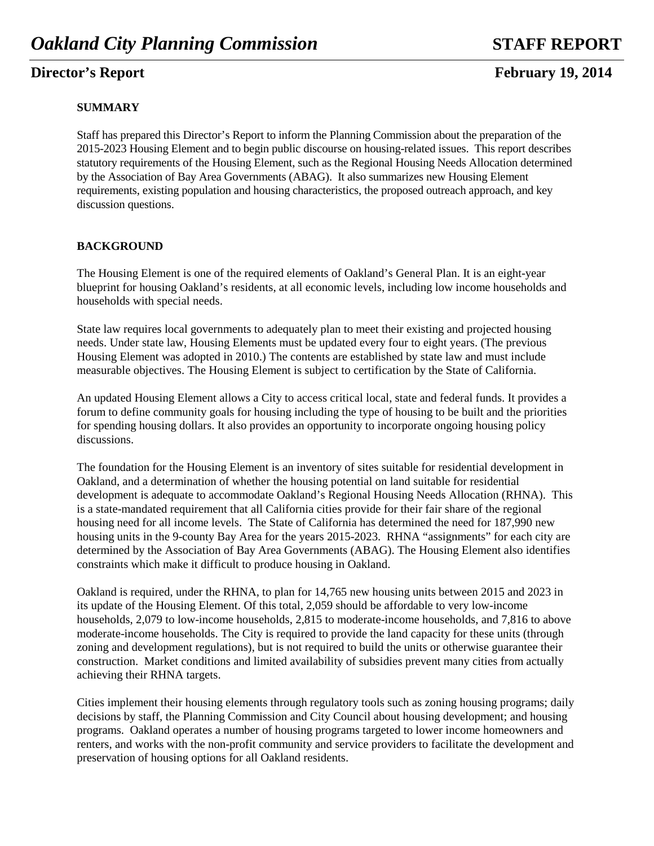#### **SUMMARY**

Staff has prepared this Director's Report to inform the Planning Commission about the preparation of the 2015-2023 Housing Element and to begin public discourse on housing-related issues. This report describes statutory requirements of the Housing Element, such as the Regional Housing Needs Allocation determined by the Association of Bay Area Governments (ABAG). It also summarizes new Housing Element requirements, existing population and housing characteristics, the proposed outreach approach, and key discussion questions.

#### **BACKGROUND**

The Housing Element is one of the required elements of Oakland's General Plan. It is an eight-year blueprint for housing Oakland's residents, at all economic levels, including low income households and households with special needs.

State law requires local governments to adequately plan to meet their existing and projected housing needs. Under state law, Housing Elements must be updated every four to eight years. (The previous Housing Element was adopted in 2010.) The contents are established by state law and must include measurable objectives. The Housing Element is subject to certification by the State of California.

An updated Housing Element allows a City to access critical local, state and federal funds. It provides a forum to define community goals for housing including the type of housing to be built and the priorities for spending housing dollars. It also provides an opportunity to incorporate ongoing housing policy discussions.

The foundation for the Housing Element is an inventory of sites suitable for residential development in Oakland, and a determination of whether the housing potential on land suitable for residential development is adequate to accommodate Oakland's Regional Housing Needs Allocation (RHNA). This is a state-mandated requirement that all California cities provide for their fair share of the regional housing need for all income levels. The State of California has determined the need for 187,990 new housing units in the 9-county Bay Area for the years 2015-2023. RHNA "assignments" for each city are determined by the Association of Bay Area Governments (ABAG). The Housing Element also identifies constraints which make it difficult to produce housing in Oakland.

Oakland is required, under the RHNA, to plan for 14,765 new housing units between 2015 and 2023 in its update of the Housing Element. Of this total, 2,059 should be affordable to very low-income households, 2,079 to low-income households, 2,815 to moderate-income households, and 7,816 to above moderate-income households. The City is required to provide the land capacity for these units (through zoning and development regulations), but is not required to build the units or otherwise guarantee their construction. Market conditions and limited availability of subsidies prevent many cities from actually achieving their RHNA targets.

Cities implement their housing elements through regulatory tools such as zoning housing programs; daily decisions by staff, the Planning Commission and City Council about housing development; and housing programs. Oakland operates a number of housing programs targeted to lower income homeowners and renters, and works with the non-profit community and service providers to facilitate the development and preservation of housing options for all Oakland residents.

## **Director's Report February 19, 2014**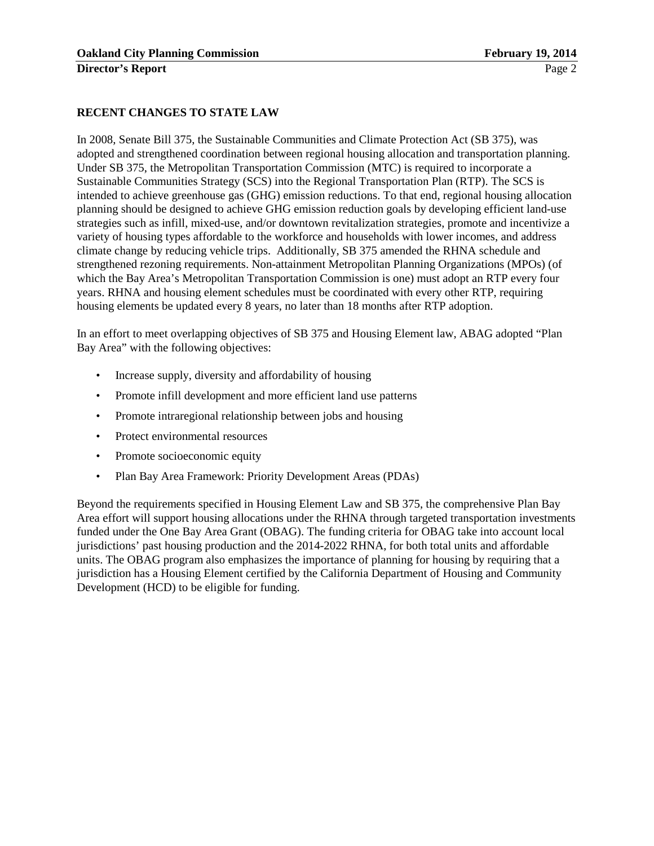#### **RECENT CHANGES TO STATE LAW**

In 2008, Senate Bill 375, the Sustainable Communities and Climate Protection Act (SB 375), was adopted and strengthened coordination between regional housing allocation and transportation planning. Under SB 375, the Metropolitan Transportation Commission (MTC) is required to incorporate a Sustainable Communities Strategy (SCS) into the Regional Transportation Plan (RTP). The SCS is intended to achieve greenhouse gas (GHG) emission reductions. To that end, regional housing allocation planning should be designed to achieve GHG emission reduction goals by developing efficient land-use strategies such as infill, mixed-use, and/or downtown revitalization strategies, promote and incentivize a variety of housing types affordable to the workforce and households with lower incomes, and address climate change by reducing vehicle trips. Additionally, SB 375 amended the RHNA schedule and strengthened rezoning requirements. Non-attainment Metropolitan Planning Organizations (MPOs) (of which the Bay Area's Metropolitan Transportation Commission is one) must adopt an RTP every four years. RHNA and housing element schedules must be coordinated with every other RTP, requiring housing elements be updated every 8 years, no later than 18 months after RTP adoption.

In an effort to meet overlapping objectives of SB 375 and Housing Element law, ABAG adopted "Plan Bay Area" with the following objectives:

- Increase supply, diversity and affordability of housing
- Promote infill development and more efficient land use patterns
- Promote intraregional relationship between jobs and housing
- Protect environmental resources
- Promote socioeconomic equity
- Plan Bay Area Framework: Priority Development Areas (PDAs)

Beyond the requirements specified in Housing Element Law and SB 375, the comprehensive Plan Bay Area effort will support housing allocations under the RHNA through targeted transportation investments funded under the One Bay Area Grant (OBAG). The funding criteria for OBAG take into account local jurisdictions' past housing production and the 2014-2022 RHNA, for both total units and affordable units. The OBAG program also emphasizes the importance of planning for housing by requiring that a jurisdiction has a Housing Element certified by the California Department of Housing and Community Development (HCD) to be eligible for funding.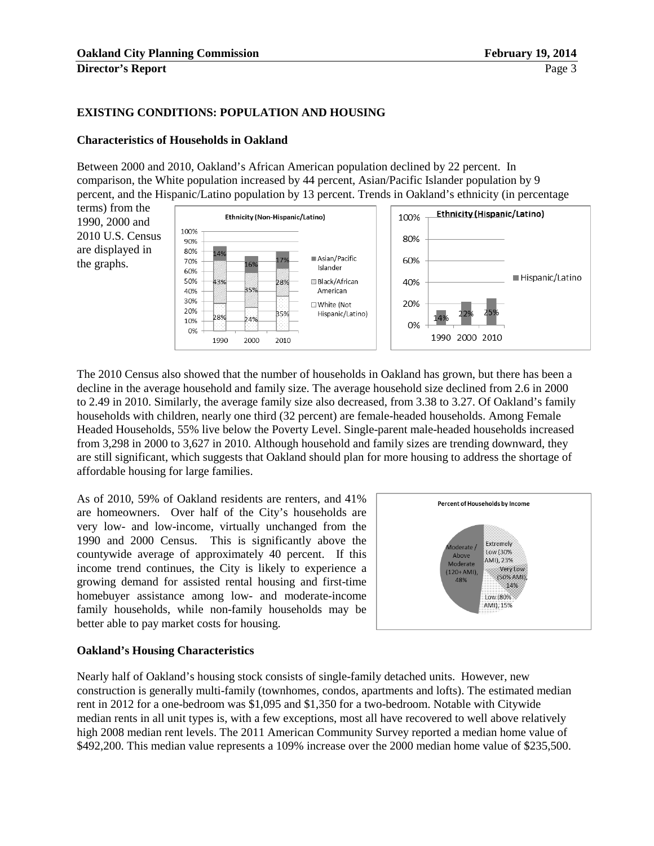#### **EXISTING CONDITIONS: POPULATION AND HOUSING**

#### **Characteristics of Households in Oakland**

Between 2000 and 2010, Oakland's African American population declined by 22 percent. In comparison, the White population increased by 44 percent, Asian/Pacific Islander population by 9 percent, and the Hispanic/Latino population by 13 percent. Trends in Oakland's ethnicity (in percentage

terms) from the 1990, 2000 and 2010 U.S. Census are displayed in the graphs.



The 2010 Census also showed that the number of households in Oakland has grown, but there has been a decline in the average household and family size. The average household size declined from 2.6 in 2000 to 2.49 in 2010. Similarly, the average family size also decreased, from 3.38 to 3.27. Of Oakland's family households with children, nearly one third (32 percent) are female-headed households. Among Female Headed Households, 55% live below the Poverty Level. Single-parent male-headed households increased from 3,298 in 2000 to 3,627 in 2010. Although household and family sizes are trending downward, they are still significant, which suggests that Oakland should plan for more housing to address the shortage of affordable housing for large families.

As of 2010, 59% of Oakland residents are renters, and 41% are homeowners. Over half of the City's households are very low- and low-income, virtually unchanged from the 1990 and 2000 Census. This is significantly above the countywide average of approximately 40 percent. If this income trend continues, the City is likely to experience a growing demand for assisted rental housing and first-time homebuyer assistance among low- and moderate-income family households, while non-family households may be better able to pay market costs for housing.



#### **Oakland's Housing Characteristics**

Nearly half of Oakland's housing stock consists of single-family detached units. However, new construction is generally multi-family (townhomes, condos, apartments and lofts). The estimated median rent in 2012 for a one-bedroom was \$1,095 and \$1,350 for a two-bedroom. Notable with Citywide median rents in all unit types is, with a few exceptions, most all have recovered to well above relatively high 2008 median rent levels. The 2011 American Community Survey reported a median home value of \$492,200. This median value represents a 109% increase over the 2000 median home value of \$235,500.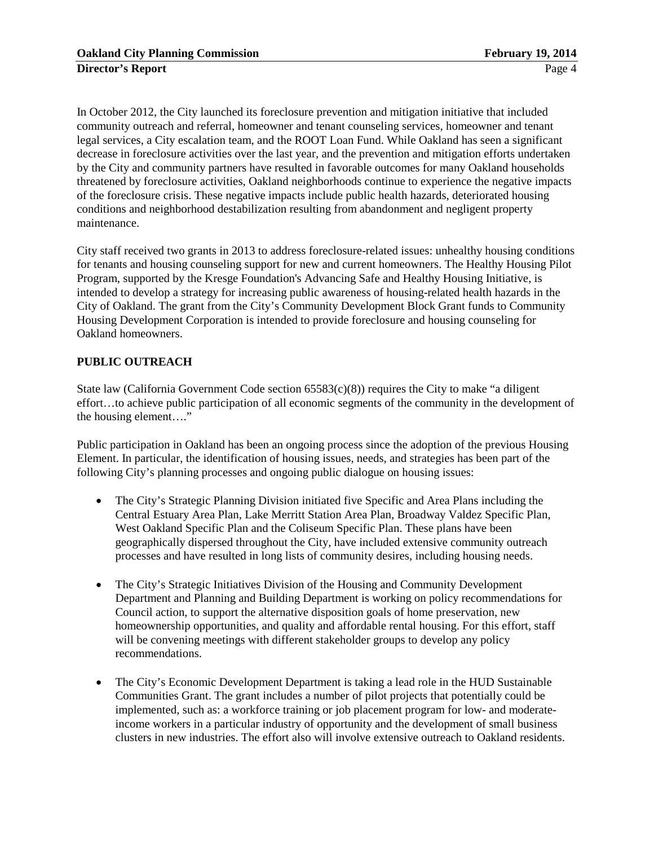In October 2012, the City launched its foreclosure prevention and mitigation initiative that included community outreach and referral, homeowner and tenant counseling services, homeowner and tenant legal services, a City escalation team, and the ROOT Loan Fund. While Oakland has seen a significant decrease in foreclosure activities over the last year, and the prevention and mitigation efforts undertaken by the City and community partners have resulted in favorable outcomes for many Oakland households threatened by foreclosure activities, Oakland neighborhoods continue to experience the negative impacts of the foreclosure crisis. These negative impacts include public health hazards, deteriorated housing conditions and neighborhood destabilization resulting from abandonment and negligent property maintenance.

City staff received two grants in 2013 to address foreclosure-related issues: unhealthy housing conditions for tenants and housing counseling support for new and current homeowners. The Healthy Housing Pilot Program, supported by the Kresge Foundation's Advancing Safe and Healthy Housing Initiative, is intended to develop a strategy for increasing public awareness of housing-related health hazards in the City of Oakland. The grant from the City's Community Development Block Grant funds to Community Housing Development Corporation is intended to provide foreclosure and housing counseling for Oakland homeowners.

#### **PUBLIC OUTREACH**

State law (California Government Code section  $65583(c)(8)$ ) requires the City to make "a diligent effort…to achieve public participation of all economic segments of the community in the development of the housing element…."

Public participation in Oakland has been an ongoing process since the adoption of the previous Housing Element. In particular, the identification of housing issues, needs, and strategies has been part of the following City's planning processes and ongoing public dialogue on housing issues:

- The City's Strategic Planning Division initiated five Specific and Area Plans including the Central Estuary Area Plan, Lake Merritt Station Area Plan, Broadway Valdez Specific Plan, West Oakland Specific Plan and the Coliseum Specific Plan. These plans have been geographically dispersed throughout the City, have included extensive community outreach processes and have resulted in long lists of community desires, including housing needs.
- The City's Strategic Initiatives Division of the Housing and Community Development Department and Planning and Building Department is working on policy recommendations for Council action, to support the alternative disposition goals of home preservation, new homeownership opportunities, and quality and affordable rental housing. For this effort, staff will be convening meetings with different stakeholder groups to develop any policy recommendations.
- The City's Economic Development Department is taking a lead role in the HUD Sustainable Communities Grant. The grant includes a number of pilot projects that potentially could be implemented, such as: a workforce training or job placement program for low- and moderateincome workers in a particular industry of opportunity and the development of small business clusters in new industries. The effort also will involve extensive outreach to Oakland residents.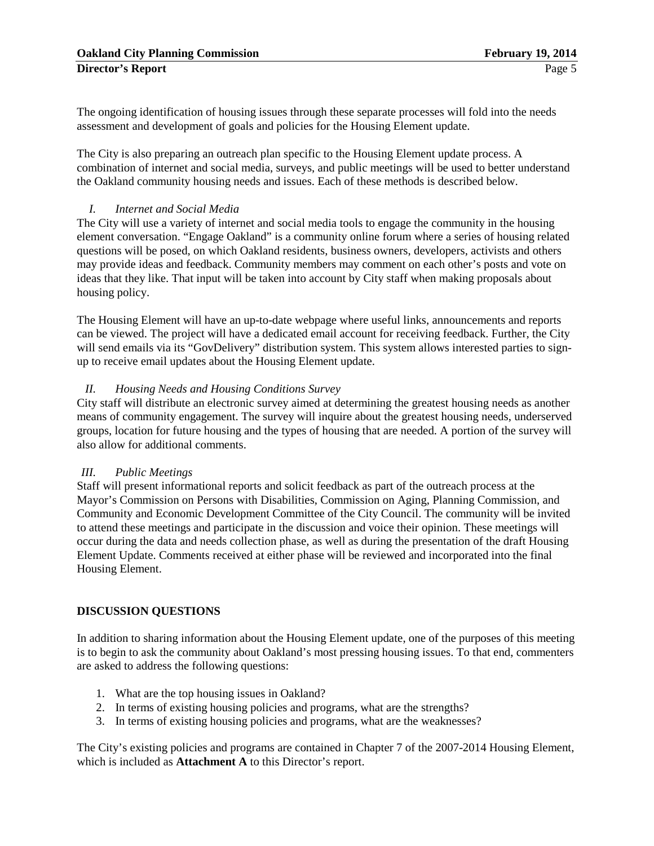The ongoing identification of housing issues through these separate processes will fold into the needs assessment and development of goals and policies for the Housing Element update.

The City is also preparing an outreach plan specific to the Housing Element update process. A combination of internet and social media, surveys, and public meetings will be used to better understand the Oakland community housing needs and issues. Each of these methods is described below.

#### *I. Internet and Social Media*

The City will use a variety of internet and social media tools to engage the community in the housing element conversation. "Engage Oakland" is a community online forum where a series of housing related questions will be posed, on which Oakland residents, business owners, developers, activists and others may provide ideas and feedback. Community members may comment on each other's posts and vote on ideas that they like. That input will be taken into account by City staff when making proposals about housing policy.

The Housing Element will have an up-to-date webpage where useful links, announcements and reports can be viewed. The project will have a dedicated email account for receiving feedback. Further, the City will send emails via its "GovDelivery" distribution system. This system allows interested parties to signup to receive email updates about the Housing Element update.

#### *II. Housing Needs and Housing Conditions Survey*

City staff will distribute an electronic survey aimed at determining the greatest housing needs as another means of community engagement. The survey will inquire about the greatest housing needs, underserved groups, location for future housing and the types of housing that are needed. A portion of the survey will also allow for additional comments.

#### *III. Public Meetings*

Staff will present informational reports and solicit feedback as part of the outreach process at the Mayor's Commission on Persons with Disabilities, Commission on Aging, Planning Commission, and Community and Economic Development Committee of the City Council. The community will be invited to attend these meetings and participate in the discussion and voice their opinion. These meetings will occur during the data and needs collection phase, as well as during the presentation of the draft Housing Element Update. Comments received at either phase will be reviewed and incorporated into the final Housing Element.

#### **DISCUSSION QUESTIONS**

In addition to sharing information about the Housing Element update, one of the purposes of this meeting is to begin to ask the community about Oakland's most pressing housing issues. To that end, commenters are asked to address the following questions:

- 1. What are the top housing issues in Oakland?
- 2. In terms of existing housing policies and programs, what are the strengths?
- 3. In terms of existing housing policies and programs, what are the weaknesses?

The City's existing policies and programs are contained in Chapter 7 of the 2007-2014 Housing Element, which is included as **Attachment A** to this Director's report.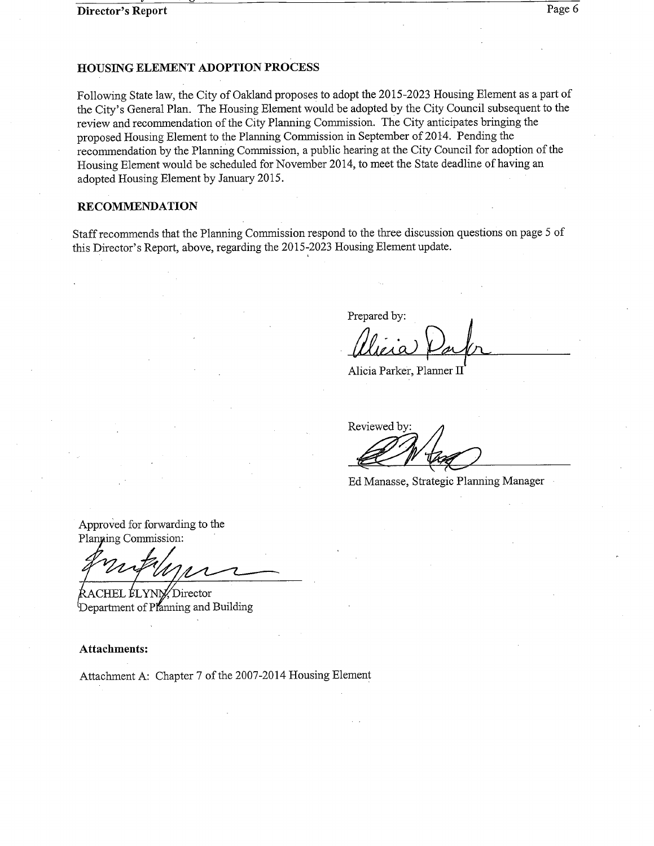#### **HOUSING ELEMENT ADOPTION PROCESS**

Following State law, the City of Oakland proposes to adopt the 2015-2023 Housing Element as a part of the City's General Plan. The Housing Element would be adopted by the City Council subsequent to the review and recommendation of the City Planning Commission. The City anticipates bringing the proposed Housing Element to the Planning Commission in September of 2014. Pending the recommendation by the Planning Commission, a public hearing at the City Council for adoption of the Housing Element would be scheduled for November 2014, to meet the State deadline of having an adopted Housing Element by January 2015.

#### **RECOMMENDATION**

Staff recommends that the Planning Commission respond to the three discussion questions on page 5 of this Director's Report, above, regarding the 2015-2023 Housing Element update.

Prepared by:

Alicia Parker, Planner II

Reviewed by

Ed Manasse, Strategic Planning Manager

Approved for forwarding to the Planning Commission:

ACHEL ÉLYNI Director Department of Planning and Building

#### **Attachments:**

Attachment A: Chapter 7 of the 2007-2014 Housing Element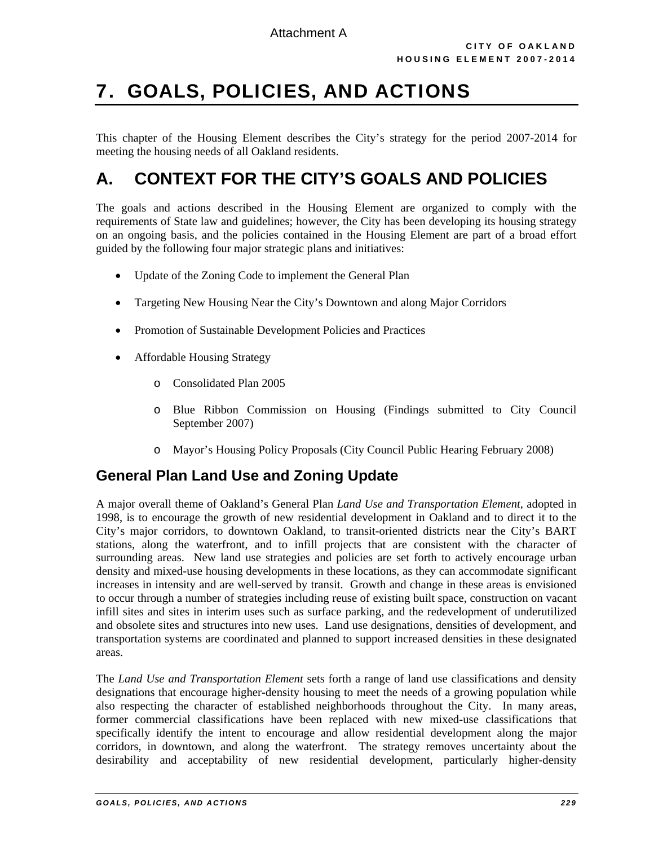# 7. GOALS, POLICIES, AND ACTIONS

This chapter of the Housing Element describes the City's strategy for the period 2007-2014 for meeting the housing needs of all Oakland residents.

## **A. CONTEXT FOR THE CITY'S GOALS AND POLICIES**

The goals and actions described in the Housing Element are organized to comply with the requirements of State law and guidelines; however, the City has been developing its housing strategy on an ongoing basis, and the policies contained in the Housing Element are part of a broad effort guided by the following four major strategic plans and initiatives:

- Update of the Zoning Code to implement the General Plan
- Targeting New Housing Near the City's Downtown and along Major Corridors
- Promotion of Sustainable Development Policies and Practices
- Affordable Housing Strategy
	- o Consolidated Plan 2005
	- o Blue Ribbon Commission on Housing (Findings submitted to City Council September 2007)
	- o Mayor's Housing Policy Proposals (City Council Public Hearing February 2008)

## **General Plan Land Use and Zoning Update**

A major overall theme of Oakland's General Plan *Land Use and Transportation Element*, adopted in 1998, is to encourage the growth of new residential development in Oakland and to direct it to the City's major corridors, to downtown Oakland, to transit-oriented districts near the City's BART stations, along the waterfront, and to infill projects that are consistent with the character of surrounding areas. New land use strategies and policies are set forth to actively encourage urban density and mixed-use housing developments in these locations, as they can accommodate significant increases in intensity and are well-served by transit. Growth and change in these areas is envisioned to occur through a number of strategies including reuse of existing built space, construction on vacant infill sites and sites in interim uses such as surface parking, and the redevelopment of underutilized and obsolete sites and structures into new uses. Land use designations, densities of development, and transportation systems are coordinated and planned to support increased densities in these designated areas.

The *Land Use and Transportation Element* sets forth a range of land use classifications and density designations that encourage higher-density housing to meet the needs of a growing population while also respecting the character of established neighborhoods throughout the City. In many areas, former commercial classifications have been replaced with new mixed-use classifications that specifically identify the intent to encourage and allow residential development along the major corridors, in downtown, and along the waterfront. The strategy removes uncertainty about the desirability and acceptability of new residential development, particularly higher-density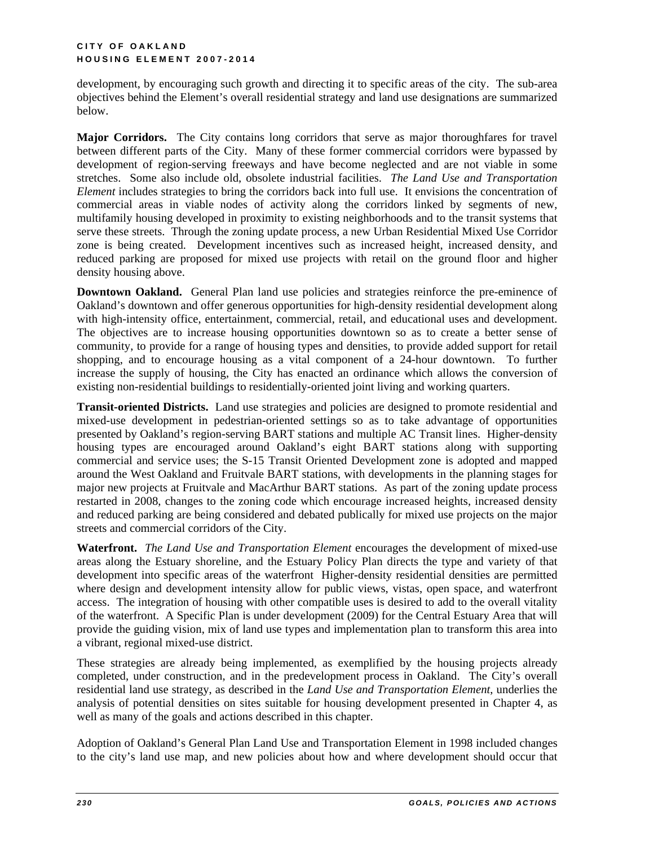development, by encouraging such growth and directing it to specific areas of the city. The sub-area objectives behind the Element's overall residential strategy and land use designations are summarized below.

**Major Corridors.** The City contains long corridors that serve as major thoroughfares for travel between different parts of the City. Many of these former commercial corridors were bypassed by development of region-serving freeways and have become neglected and are not viable in some stretches. Some also include old, obsolete industrial facilities. *The Land Use and Transportation Element* includes strategies to bring the corridors back into full use. It envisions the concentration of commercial areas in viable nodes of activity along the corridors linked by segments of new, multifamily housing developed in proximity to existing neighborhoods and to the transit systems that serve these streets. Through the zoning update process, a new Urban Residential Mixed Use Corridor zone is being created. Development incentives such as increased height, increased density, and reduced parking are proposed for mixed use projects with retail on the ground floor and higher density housing above.

**Downtown Oakland.** General Plan land use policies and strategies reinforce the pre-eminence of Oakland's downtown and offer generous opportunities for high-density residential development along with high-intensity office, entertainment, commercial, retail, and educational uses and development. The objectives are to increase housing opportunities downtown so as to create a better sense of community, to provide for a range of housing types and densities, to provide added support for retail shopping, and to encourage housing as a vital component of a 24-hour downtown. To further increase the supply of housing, the City has enacted an ordinance which allows the conversion of existing non-residential buildings to residentially-oriented joint living and working quarters.

**Transit-oriented Districts.** Land use strategies and policies are designed to promote residential and mixed-use development in pedestrian-oriented settings so as to take advantage of opportunities presented by Oakland's region-serving BART stations and multiple AC Transit lines. Higher-density housing types are encouraged around Oakland's eight BART stations along with supporting commercial and service uses; the S-15 Transit Oriented Development zone is adopted and mapped around the West Oakland and Fruitvale BART stations, with developments in the planning stages for major new projects at Fruitvale and MacArthur BART stations. As part of the zoning update process restarted in 2008, changes to the zoning code which encourage increased heights, increased density and reduced parking are being considered and debated publically for mixed use projects on the major streets and commercial corridors of the City.

**Waterfront.** *The Land Use and Transportation Element* encourages the development of mixed-use areas along the Estuary shoreline, and the Estuary Policy Plan directs the type and variety of that development into specific areas of the waterfront Higher-density residential densities are permitted where design and development intensity allow for public views, vistas, open space, and waterfront access. The integration of housing with other compatible uses is desired to add to the overall vitality of the waterfront. A Specific Plan is under development (2009) for the Central Estuary Area that will provide the guiding vision, mix of land use types and implementation plan to transform this area into a vibrant, regional mixed-use district.

These strategies are already being implemented, as exemplified by the housing projects already completed, under construction, and in the predevelopment process in Oakland. The City's overall residential land use strategy, as described in the *Land Use and Transportation Element*, underlies the analysis of potential densities on sites suitable for housing development presented in Chapter 4, as well as many of the goals and actions described in this chapter.

Adoption of Oakland's General Plan Land Use and Transportation Element in 1998 included changes to the city's land use map, and new policies about how and where development should occur that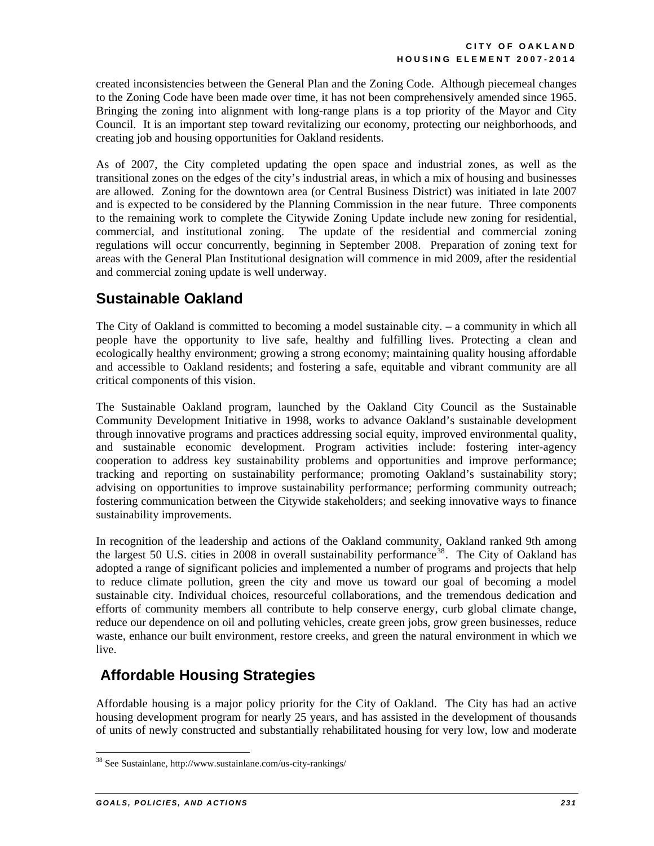created inconsistencies between the General Plan and the Zoning Code. Although piecemeal changes to the Zoning Code have been made over time, it has not been comprehensively amended since 1965. Bringing the zoning into alignment with long-range plans is a top priority of the Mayor and City Council. It is an important step toward revitalizing our economy, protecting our neighborhoods, and creating job and housing opportunities for Oakland residents.

As of 2007, the City completed updating the open space and industrial zones, as well as the transitional zones on the edges of the city's industrial areas, in which a mix of housing and businesses are allowed. Zoning for the downtown area (or Central Business District) was initiated in late 2007 and is expected to be considered by the Planning Commission in the near future. Three components to the remaining work to complete the Citywide Zoning Update include new zoning for residential, commercial, and institutional zoning. The update of the residential and commercial zoning regulations will occur concurrently, beginning in September 2008. Preparation of zoning text for areas with the General Plan Institutional designation will commence in mid 2009, after the residential and commercial zoning update is well underway.

## **Sustainable Oakland**

The City of Oakland is committed to becoming a model sustainable city. – a community in which all people have the opportunity to live safe, healthy and fulfilling lives. Protecting a clean and ecologically healthy environment; growing a strong economy; maintaining quality housing affordable and accessible to Oakland residents; and fostering a safe, equitable and vibrant community are all critical components of this vision.

The Sustainable Oakland program, launched by the Oakland City Council as the Sustainable Community Development Initiative in 1998, works to advance Oakland's sustainable development through innovative programs and practices addressing social equity, improved environmental quality, and sustainable economic development. Program activities include: fostering inter-agency cooperation to address key sustainability problems and opportunities and improve performance; tracking and reporting on sustainability performance; promoting Oakland's sustainability story; advising on opportunities to improve sustainability performance; performing community outreach; fostering communication between the Citywide stakeholders; and seeking innovative ways to finance sustainability improvements.

In recognition of the leadership and actions of the Oakland community, Oakland ranked 9th among the largest 50 U.S. cities in 2008 in overall sustainability performance<sup>[38](#page-8-0)</sup>. The City of Oakland has adopted a range of significant policies and implemented a number of programs and projects that help to reduce climate pollution, green the city and move us toward our goal of becoming a model sustainable city. Individual choices, resourceful collaborations, and the tremendous dedication and efforts of community members all contribute to help conserve energy, curb global climate change, reduce our dependence on oil and polluting vehicles, create green jobs, grow green businesses, reduce waste, enhance our built environment, restore creeks, and green the natural environment in which we live.

## **Affordable Housing Strategies**

Affordable housing is a major policy priority for the City of Oakland. The City has had an active housing development program for nearly 25 years, and has assisted in the development of thousands of units of newly constructed and substantially rehabilitated housing for very low, low and moderate

<span id="page-8-0"></span><sup>&</sup>lt;u>.</u> 38 See Sustainlane, http://www.sustainlane.com/us-city-rankings/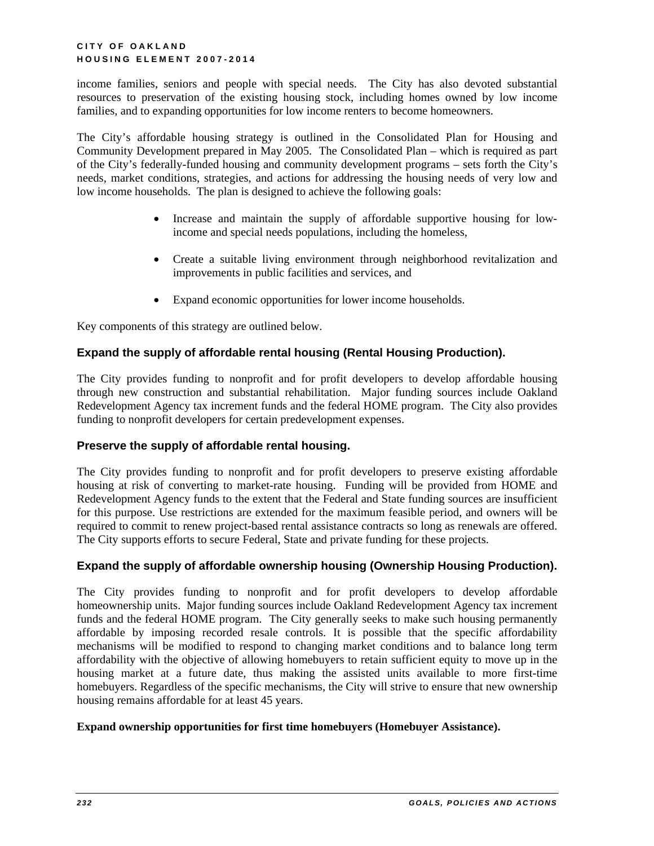income families, seniors and people with special needs. The City has also devoted substantial resources to preservation of the existing housing stock, including homes owned by low income families, and to expanding opportunities for low income renters to become homeowners.

The City's affordable housing strategy is outlined in the Consolidated Plan for Housing and Community Development prepared in May 2005. The Consolidated Plan – which is required as part of the City's federally-funded housing and community development programs – sets forth the City's needs, market conditions, strategies, and actions for addressing the housing needs of very low and low income households. The plan is designed to achieve the following goals:

- Increase and maintain the supply of affordable supportive housing for lowincome and special needs populations, including the homeless,
- Create a suitable living environment through neighborhood revitalization and improvements in public facilities and services, and
- Expand economic opportunities for lower income households.

Key components of this strategy are outlined below.

#### **Expand the supply of affordable rental housing (Rental Housing Production).**

The City provides funding to nonprofit and for profit developers to develop affordable housing through new construction and substantial rehabilitation. Major funding sources include Oakland Redevelopment Agency tax increment funds and the federal HOME program. The City also provides funding to nonprofit developers for certain predevelopment expenses.

#### **Preserve the supply of affordable rental housing.**

The City provides funding to nonprofit and for profit developers to preserve existing affordable housing at risk of converting to market-rate housing. Funding will be provided from HOME and Redevelopment Agency funds to the extent that the Federal and State funding sources are insufficient for this purpose. Use restrictions are extended for the maximum feasible period, and owners will be required to commit to renew project-based rental assistance contracts so long as renewals are offered. The City supports efforts to secure Federal, State and private funding for these projects.

#### **Expand the supply of affordable ownership housing (Ownership Housing Production).**

The City provides funding to nonprofit and for profit developers to develop affordable homeownership units. Major funding sources include Oakland Redevelopment Agency tax increment funds and the federal HOME program. The City generally seeks to make such housing permanently affordable by imposing recorded resale controls. It is possible that the specific affordability mechanisms will be modified to respond to changing market conditions and to balance long term affordability with the objective of allowing homebuyers to retain sufficient equity to move up in the housing market at a future date, thus making the assisted units available to more first-time homebuyers. Regardless of the specific mechanisms, the City will strive to ensure that new ownership housing remains affordable for at least 45 years.

#### **Expand ownership opportunities for first time homebuyers (Homebuyer Assistance).**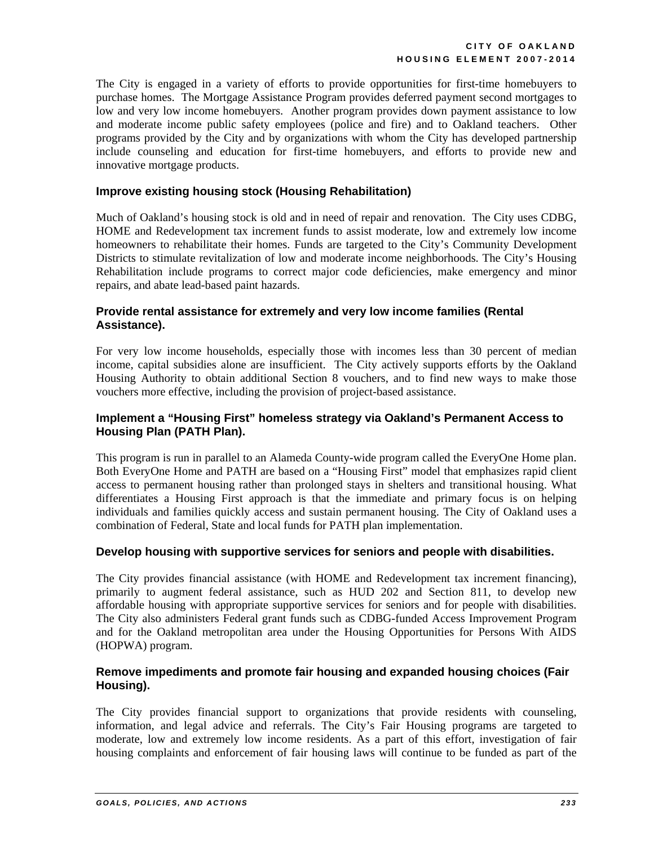The City is engaged in a variety of efforts to provide opportunities for first-time homebuyers to purchase homes. The Mortgage Assistance Program provides deferred payment second mortgages to low and very low income homebuyers. Another program provides down payment assistance to low and moderate income public safety employees (police and fire) and to Oakland teachers. Other programs provided by the City and by organizations with whom the City has developed partnership include counseling and education for first-time homebuyers, and efforts to provide new and innovative mortgage products.

#### **Improve existing housing stock (Housing Rehabilitation)**

Much of Oakland's housing stock is old and in need of repair and renovation. The City uses CDBG, HOME and Redevelopment tax increment funds to assist moderate, low and extremely low income homeowners to rehabilitate their homes. Funds are targeted to the City's Community Development Districts to stimulate revitalization of low and moderate income neighborhoods. The City's Housing Rehabilitation include programs to correct major code deficiencies, make emergency and minor repairs, and abate lead-based paint hazards.

#### **Provide rental assistance for extremely and very low income families (Rental Assistance).**

For very low income households, especially those with incomes less than 30 percent of median income, capital subsidies alone are insufficient. The City actively supports efforts by the Oakland Housing Authority to obtain additional Section 8 vouchers, and to find new ways to make those vouchers more effective, including the provision of project-based assistance.

#### **Implement a "Housing First" homeless strategy via Oakland's Permanent Access to Housing Plan (PATH Plan).**

This program is run in parallel to an Alameda County-wide program called the EveryOne Home plan. Both EveryOne Home and PATH are based on a "Housing First" model that emphasizes rapid client access to permanent housing rather than prolonged stays in shelters and transitional housing. What differentiates a Housing First approach is that the immediate and primary focus is on helping individuals and families quickly access and sustain permanent housing. The City of Oakland uses a combination of Federal, State and local funds for PATH plan implementation.

#### **Develop housing with supportive services for seniors and people with disabilities.**

The City provides financial assistance (with HOME and Redevelopment tax increment financing), primarily to augment federal assistance, such as HUD 202 and Section 811, to develop new affordable housing with appropriate supportive services for seniors and for people with disabilities. The City also administers Federal grant funds such as CDBG-funded Access Improvement Program and for the Oakland metropolitan area under the Housing Opportunities for Persons With AIDS (HOPWA) program.

#### **Remove impediments and promote fair housing and expanded housing choices (Fair Housing).**

The City provides financial support to organizations that provide residents with counseling, information, and legal advice and referrals. The City's Fair Housing programs are targeted to moderate, low and extremely low income residents. As a part of this effort, investigation of fair housing complaints and enforcement of fair housing laws will continue to be funded as part of the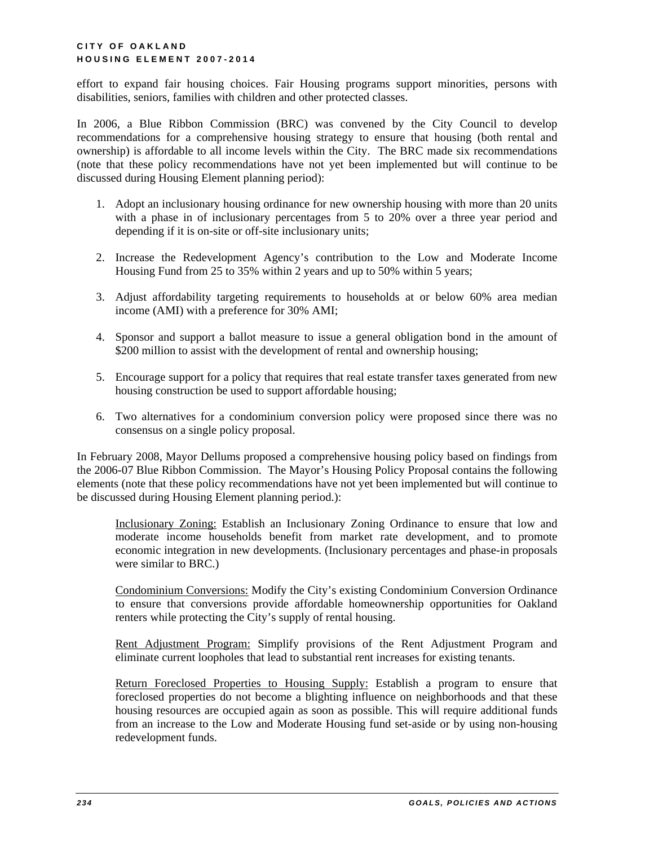effort to expand fair housing choices. Fair Housing programs support minorities, persons with disabilities, seniors, families with children and other protected classes.

In 2006, a Blue Ribbon Commission (BRC) was convened by the City Council to develop recommendations for a comprehensive housing strategy to ensure that housing (both rental and ownership) is affordable to all income levels within the City. The BRC made six recommendations (note that these policy recommendations have not yet been implemented but will continue to be discussed during Housing Element planning period):

- 1. Adopt an inclusionary housing ordinance for new ownership housing with more than 20 units with a phase in of inclusionary percentages from 5 to 20% over a three year period and depending if it is on-site or off-site inclusionary units;
- 2. Increase the Redevelopment Agency's contribution to the Low and Moderate Income Housing Fund from 25 to 35% within 2 years and up to 50% within 5 years;
- 3. Adjust affordability targeting requirements to households at or below 60% area median income (AMI) with a preference for 30% AMI;
- 4. Sponsor and support a ballot measure to issue a general obligation bond in the amount of \$200 million to assist with the development of rental and ownership housing;
- 5. Encourage support for a policy that requires that real estate transfer taxes generated from new housing construction be used to support affordable housing;
- 6. Two alternatives for a condominium conversion policy were proposed since there was no consensus on a single policy proposal.

In February 2008, Mayor Dellums proposed a comprehensive housing policy based on findings from the 2006-07 Blue Ribbon Commission. The Mayor's Housing Policy Proposal contains the following elements (note that these policy recommendations have not yet been implemented but will continue to be discussed during Housing Element planning period.):

Inclusionary Zoning: Establish an Inclusionary Zoning Ordinance to ensure that low and moderate income households benefit from market rate development, and to promote economic integration in new developments. (Inclusionary percentages and phase-in proposals were similar to BRC.)

Condominium Conversions: Modify the City's existing Condominium Conversion Ordinance to ensure that conversions provide affordable homeownership opportunities for Oakland renters while protecting the City's supply of rental housing.

Rent Adjustment Program: Simplify provisions of the Rent Adjustment Program and eliminate current loopholes that lead to substantial rent increases for existing tenants.

Return Foreclosed Properties to Housing Supply: Establish a program to ensure that foreclosed properties do not become a blighting influence on neighborhoods and that these housing resources are occupied again as soon as possible. This will require additional funds from an increase to the Low and Moderate Housing fund set-aside or by using non-housing redevelopment funds.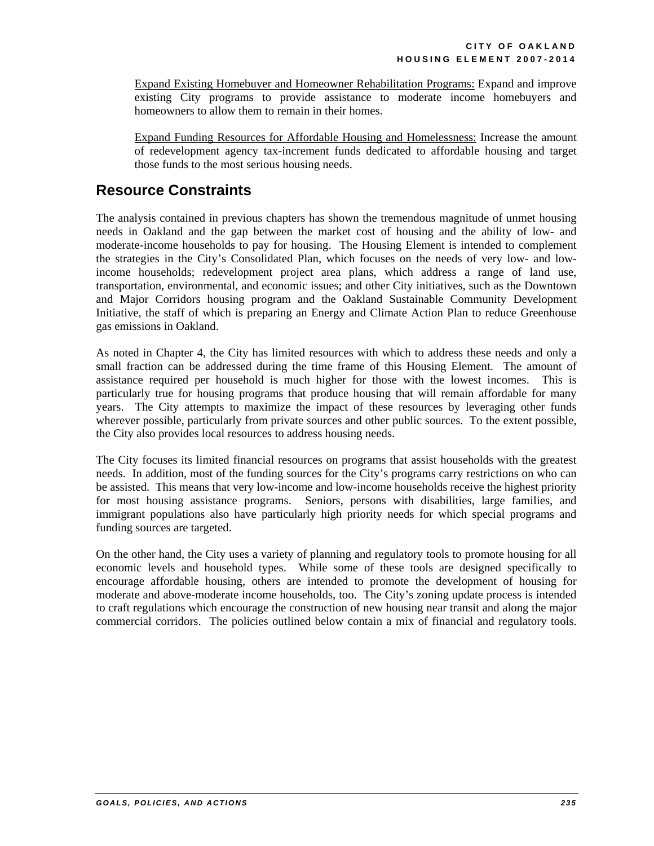Expand Existing Homebuyer and Homeowner Rehabilitation Programs: Expand and improve existing City programs to provide assistance to moderate income homebuyers and homeowners to allow them to remain in their homes.

Expand Funding Resources for Affordable Housing and Homelessness: Increase the amount of redevelopment agency tax-increment funds dedicated to affordable housing and target those funds to the most serious housing needs.

## **Resource Constraints**

The analysis contained in previous chapters has shown the tremendous magnitude of unmet housing needs in Oakland and the gap between the market cost of housing and the ability of low- and moderate-income households to pay for housing. The Housing Element is intended to complement the strategies in the City's Consolidated Plan, which focuses on the needs of very low- and lowincome households; redevelopment project area plans, which address a range of land use, transportation, environmental, and economic issues; and other City initiatives, such as the Downtown and Major Corridors housing program and the Oakland Sustainable Community Development Initiative, the staff of which is preparing an Energy and Climate Action Plan to reduce Greenhouse gas emissions in Oakland.

As noted in Chapter 4, the City has limited resources with which to address these needs and only a small fraction can be addressed during the time frame of this Housing Element. The amount of assistance required per household is much higher for those with the lowest incomes. This is particularly true for housing programs that produce housing that will remain affordable for many years. The City attempts to maximize the impact of these resources by leveraging other funds wherever possible, particularly from private sources and other public sources. To the extent possible, the City also provides local resources to address housing needs.

The City focuses its limited financial resources on programs that assist households with the greatest needs. In addition, most of the funding sources for the City's programs carry restrictions on who can be assisted. This means that very low-income and low-income households receive the highest priority for most housing assistance programs. Seniors, persons with disabilities, large families, and immigrant populations also have particularly high priority needs for which special programs and funding sources are targeted.

On the other hand, the City uses a variety of planning and regulatory tools to promote housing for all economic levels and household types. While some of these tools are designed specifically to encourage affordable housing, others are intended to promote the development of housing for moderate and above-moderate income households, too. The City's zoning update process is intended to craft regulations which encourage the construction of new housing near transit and along the major commercial corridors. The policies outlined below contain a mix of financial and regulatory tools.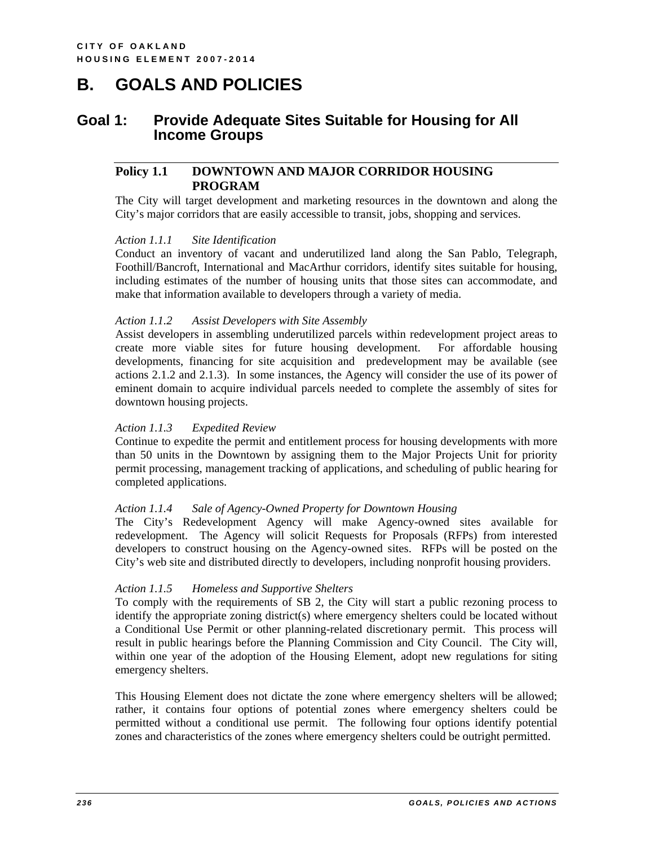## **B. GOALS AND POLICIES**

## **Goal 1: Provide Adequate Sites Suitable for Housing for All Income Groups**

#### **Policy 1.1 DOWNTOWN AND MAJOR CORRIDOR HOUSING PROGRAM**

The City will target development and marketing resources in the downtown and along the City's major corridors that are easily accessible to transit, jobs, shopping and services.

#### *Action 1.1.1 Site Identification*

Conduct an inventory of vacant and underutilized land along the San Pablo, Telegraph, Foothill/Bancroft, International and MacArthur corridors, identify sites suitable for housing, including estimates of the number of housing units that those sites can accommodate, and make that information available to developers through a variety of media.

#### *Action 1.1.2 Assist Developers with Site Assembly*

Assist developers in assembling underutilized parcels within redevelopment project areas to create more viable sites for future housing development. For affordable housing developments, financing for site acquisition and predevelopment may be available (see actions 2.1.2 and 2.1.3). In some instances, the Agency will consider the use of its power of eminent domain to acquire individual parcels needed to complete the assembly of sites for downtown housing projects.

#### *Action 1.1.3 Expedited Review*

Continue to expedite the permit and entitlement process for housing developments with more than 50 units in the Downtown by assigning them to the Major Projects Unit for priority permit processing, management tracking of applications, and scheduling of public hearing for completed applications.

#### *Action 1.1.4 Sale of Agency-Owned Property for Downtown Housing*

The City's Redevelopment Agency will make Agency-owned sites available for redevelopment. The Agency will solicit Requests for Proposals (RFPs) from interested developers to construct housing on the Agency-owned sites. RFPs will be posted on the City's web site and distributed directly to developers, including nonprofit housing providers.

#### *Action 1.1.5 Homeless and Supportive Shelters*

To comply with the requirements of SB 2, the City will start a public rezoning process to identify the appropriate zoning district(s) where emergency shelters could be located without a Conditional Use Permit or other planning-related discretionary permit. This process will result in public hearings before the Planning Commission and City Council. The City will, within one year of the adoption of the Housing Element, adopt new regulations for siting emergency shelters.

This Housing Element does not dictate the zone where emergency shelters will be allowed; rather, it contains four options of potential zones where emergency shelters could be permitted without a conditional use permit. The following four options identify potential zones and characteristics of the zones where emergency shelters could be outright permitted.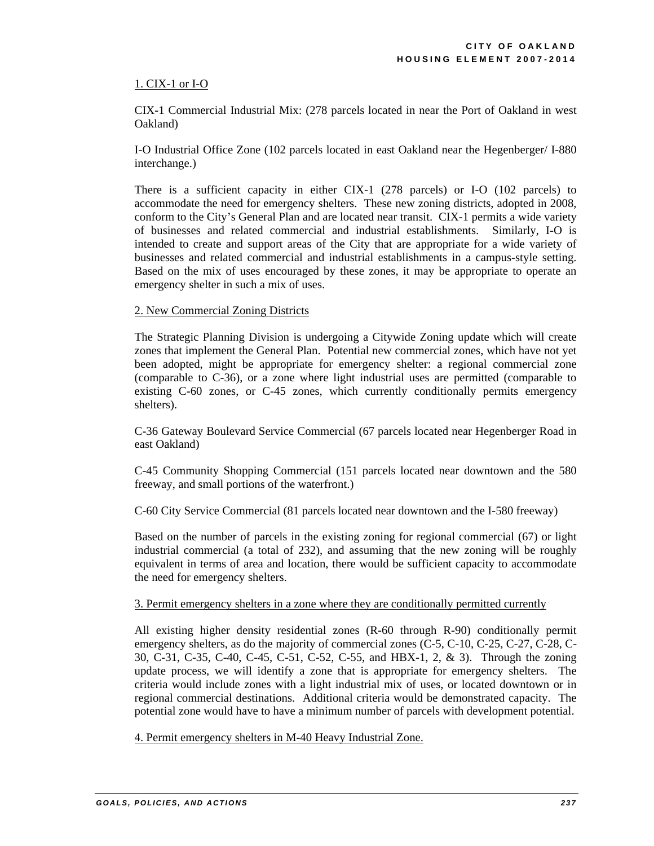#### 1. CIX-1 or I-O

CIX-1 Commercial Industrial Mix: (278 parcels located in near the Port of Oakland in west Oakland)

I-O Industrial Office Zone (102 parcels located in east Oakland near the Hegenberger/ I-880 interchange.)

There is a sufficient capacity in either CIX-1 (278 parcels) or I-O (102 parcels) to accommodate the need for emergency shelters. These new zoning districts, adopted in 2008, conform to the City's General Plan and are located near transit. CIX-1 permits a wide variety of businesses and related commercial and industrial establishments. Similarly, I-O is intended to create and support areas of the City that are appropriate for a wide variety of businesses and related commercial and industrial establishments in a campus-style setting. Based on the mix of uses encouraged by these zones, it may be appropriate to operate an emergency shelter in such a mix of uses.

#### 2. New Commercial Zoning Districts

The Strategic Planning Division is undergoing a Citywide Zoning update which will create zones that implement the General Plan. Potential new commercial zones, which have not yet been adopted, might be appropriate for emergency shelter: a regional commercial zone (comparable to C-36), or a zone where light industrial uses are permitted (comparable to existing C-60 zones, or C-45 zones, which currently conditionally permits emergency shelters).

C-36 Gateway Boulevard Service Commercial (67 parcels located near Hegenberger Road in east Oakland)

C-45 Community Shopping Commercial (151 parcels located near downtown and the 580 freeway, and small portions of the waterfront.)

C-60 City Service Commercial (81 parcels located near downtown and the I-580 freeway)

Based on the number of parcels in the existing zoning for regional commercial (67) or light industrial commercial (a total of 232), and assuming that the new zoning will be roughly equivalent in terms of area and location, there would be sufficient capacity to accommodate the need for emergency shelters.

#### 3. Permit emergency shelters in a zone where they are conditionally permitted currently

All existing higher density residential zones (R-60 through R-90) conditionally permit emergency shelters, as do the majority of commercial zones (C-5, C-10, C-25, C-27, C-28, C-30, C-31, C-35, C-40, C-45, C-51, C-52, C-55, and HBX-1, 2, & 3). Through the zoning update process, we will identify a zone that is appropriate for emergency shelters. The criteria would include zones with a light industrial mix of uses, or located downtown or in regional commercial destinations. Additional criteria would be demonstrated capacity. The potential zone would have to have a minimum number of parcels with development potential.

4. Permit emergency shelters in M-40 Heavy Industrial Zone.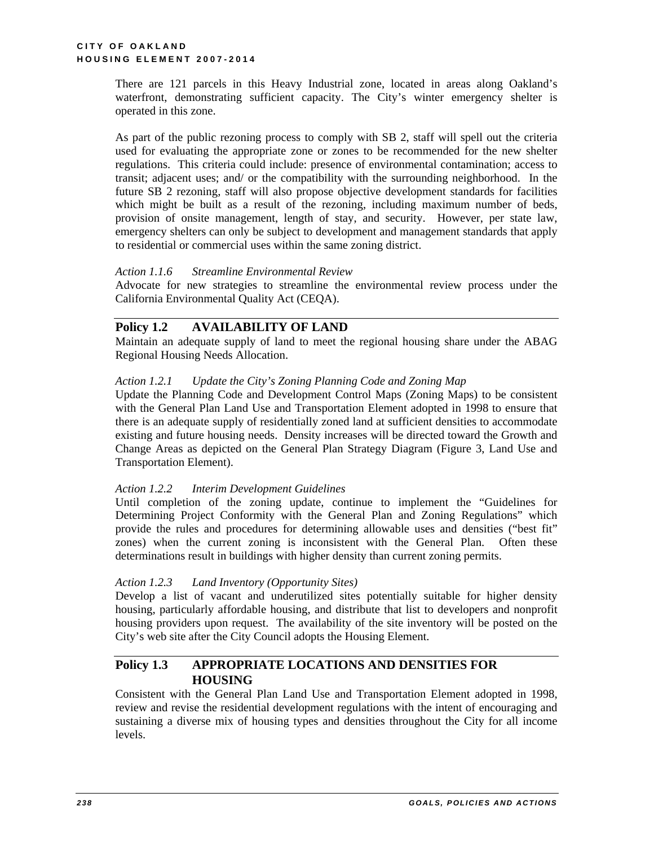There are 121 parcels in this Heavy Industrial zone, located in areas along Oakland's waterfront, demonstrating sufficient capacity. The City's winter emergency shelter is operated in this zone.

As part of the public rezoning process to comply with SB 2, staff will spell out the criteria used for evaluating the appropriate zone or zones to be recommended for the new shelter regulations. This criteria could include: presence of environmental contamination; access to transit; adjacent uses; and/ or the compatibility with the surrounding neighborhood. In the future SB 2 rezoning, staff will also propose objective development standards for facilities which might be built as a result of the rezoning, including maximum number of beds, provision of onsite management, length of stay, and security. However, per state law, emergency shelters can only be subject to development and management standards that apply to residential or commercial uses within the same zoning district.

#### *Action 1.1.6 Streamline Environmental Review*

Advocate for new strategies to streamline the environmental review process under the California Environmental Quality Act (CEQA).

#### **Policy 1.2 AVAILABILITY OF LAND**

Maintain an adequate supply of land to meet the regional housing share under the ABAG Regional Housing Needs Allocation.

#### *Action 1.2.1 Update the City's Zoning Planning Code and Zoning Map*

Update the Planning Code and Development Control Maps (Zoning Maps) to be consistent with the General Plan Land Use and Transportation Element adopted in 1998 to ensure that there is an adequate supply of residentially zoned land at sufficient densities to accommodate existing and future housing needs. Density increases will be directed toward the Growth and Change Areas as depicted on the General Plan Strategy Diagram (Figure 3, Land Use and Transportation Element).

#### *Action 1.2.2 Interim Development Guidelines*

Until completion of the zoning update, continue to implement the "Guidelines for Determining Project Conformity with the General Plan and Zoning Regulations" which provide the rules and procedures for determining allowable uses and densities ("best fit" zones) when the current zoning is inconsistent with the General Plan. Often these determinations result in buildings with higher density than current zoning permits.

#### *Action 1.2.3 Land Inventory (Opportunity Sites)*

Develop a list of vacant and underutilized sites potentially suitable for higher density housing, particularly affordable housing, and distribute that list to developers and nonprofit housing providers upon request. The availability of the site inventory will be posted on the City's web site after the City Council adopts the Housing Element.

#### **Policy 1.3 APPROPRIATE LOCATIONS AND DENSITIES FOR HOUSING**

Consistent with the General Plan Land Use and Transportation Element adopted in 1998, review and revise the residential development regulations with the intent of encouraging and sustaining a diverse mix of housing types and densities throughout the City for all income levels.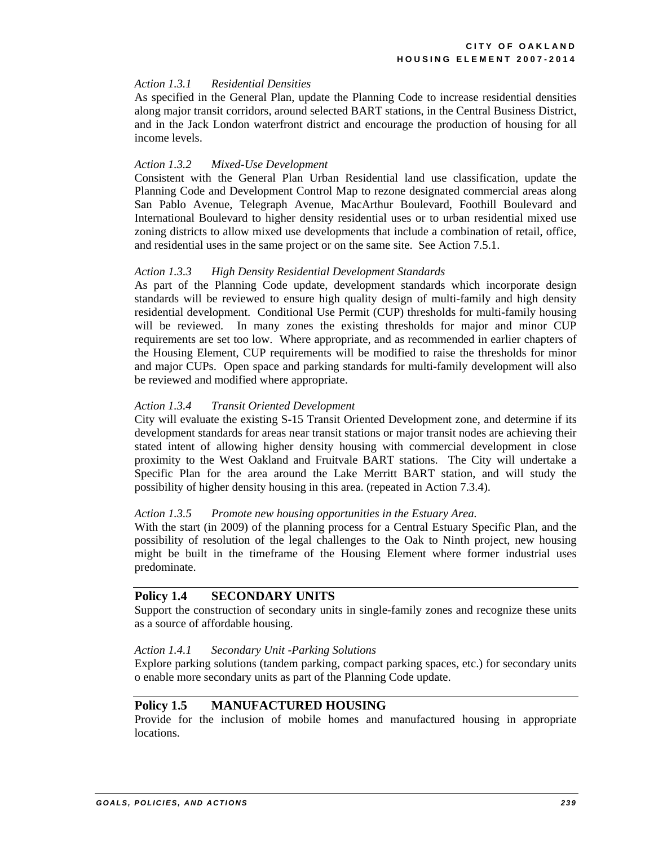#### *Action 1.3.1 Residential Densities*

As specified in the General Plan, update the Planning Code to increase residential densities along major transit corridors, around selected BART stations, in the Central Business District, and in the Jack London waterfront district and encourage the production of housing for all income levels.

#### *Action 1.3.2 Mixed-Use Development*

Consistent with the General Plan Urban Residential land use classification, update the Planning Code and Development Control Map to rezone designated commercial areas along San Pablo Avenue, Telegraph Avenue, MacArthur Boulevard, Foothill Boulevard and International Boulevard to higher density residential uses or to urban residential mixed use zoning districts to allow mixed use developments that include a combination of retail, office, and residential uses in the same project or on the same site. See Action 7.5.1.

#### *Action 1.3.3 High Density Residential Development Standards*

As part of the Planning Code update, development standards which incorporate design standards will be reviewed to ensure high quality design of multi-family and high density residential development. Conditional Use Permit (CUP) thresholds for multi-family housing will be reviewed. In many zones the existing thresholds for major and minor CUP requirements are set too low. Where appropriate, and as recommended in earlier chapters of the Housing Element, CUP requirements will be modified to raise the thresholds for minor and major CUPs. Open space and parking standards for multi-family development will also be reviewed and modified where appropriate.

#### *Action 1.3.4 Transit Oriented Development*

City will evaluate the existing S-15 Transit Oriented Development zone, and determine if its development standards for areas near transit stations or major transit nodes are achieving their stated intent of allowing higher density housing with commercial development in close proximity to the West Oakland and Fruitvale BART stations. The City will undertake a Specific Plan for the area around the Lake Merritt BART station, and will study the possibility of higher density housing in this area. (repeated in Action 7.3.4).

#### *Action 1.3.5 Promote new housing opportunities in the Estuary Area.*

With the start (in 2009) of the planning process for a Central Estuary Specific Plan, and the possibility of resolution of the legal challenges to the Oak to Ninth project, new housing might be built in the timeframe of the Housing Element where former industrial uses predominate.

#### **Policy 1.4 SECONDARY UNITS**

Support the construction of secondary units in single-family zones and recognize these units as a source of affordable housing.

#### *Action 1.4.1 Secondary Unit -Parking Solutions*

Explore parking solutions (tandem parking, compact parking spaces, etc.) for secondary units o enable more secondary units as part of the Planning Code update.

#### **Policy 1.5 MANUFACTURED HOUSING**

Provide for the inclusion of mobile homes and manufactured housing in appropriate locations.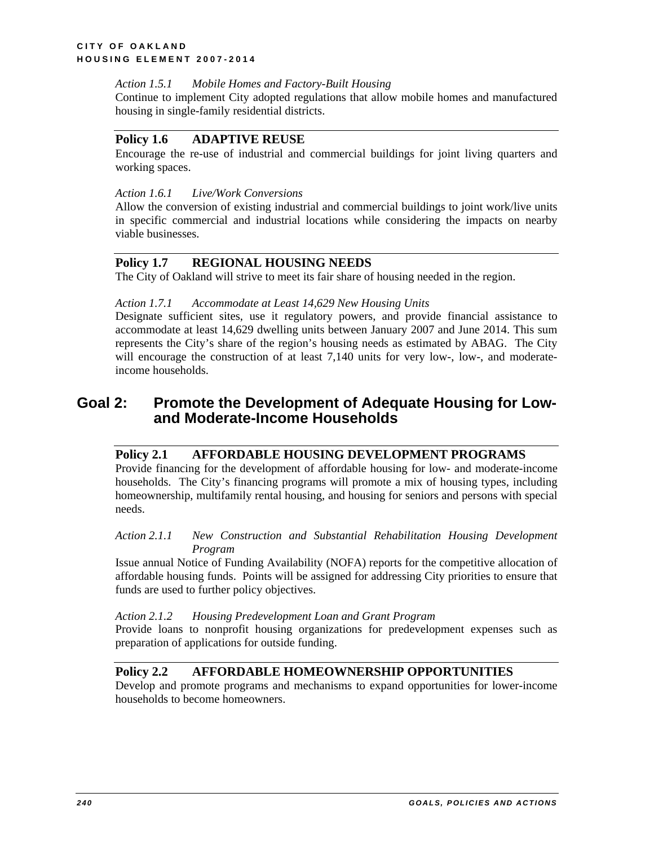#### *Action 1.5.1 Mobile Homes and Factory-Built Housing*

Continue to implement City adopted regulations that allow mobile homes and manufactured housing in single-family residential districts.

#### **Policy 1.6 ADAPTIVE REUSE**

Encourage the re-use of industrial and commercial buildings for joint living quarters and working spaces.

#### *Action 1.6.1 Live/Work Conversions*

Allow the conversion of existing industrial and commercial buildings to joint work/live units in specific commercial and industrial locations while considering the impacts on nearby viable businesses.

#### **Policy 1.7 REGIONAL HOUSING NEEDS**

The City of Oakland will strive to meet its fair share of housing needed in the region.

#### *Action 1.7.1 Accommodate at Least 14,629 New Housing Units*

Designate sufficient sites, use it regulatory powers, and provide financial assistance to accommodate at least 14,629 dwelling units between January 2007 and June 2014. This sum represents the City's share of the region's housing needs as estimated by ABAG. The City will encourage the construction of at least 7,140 units for very low-, low-, and moderateincome households.

### **Goal 2: Promote the Development of Adequate Housing for Lowand Moderate-Income Households**

#### **Policy 2.1 AFFORDABLE HOUSING DEVELOPMENT PROGRAMS**

Provide financing for the development of affordable housing for low- and moderate-income households. The City's financing programs will promote a mix of housing types, including homeownership, multifamily rental housing, and housing for seniors and persons with special needs.

#### *Action 2.1.1 New Construction and Substantial Rehabilitation Housing Development Program*

Issue annual Notice of Funding Availability (NOFA) reports for the competitive allocation of affordable housing funds. Points will be assigned for addressing City priorities to ensure that funds are used to further policy objectives.

## *Action 2.1.2 Housing Predevelopment Loan and Grant Program*

Provide loans to nonprofit housing organizations for predevelopment expenses such as preparation of applications for outside funding.

#### **Policy 2.2 AFFORDABLE HOMEOWNERSHIP OPPORTUNITIES**

Develop and promote programs and mechanisms to expand opportunities for lower-income households to become homeowners.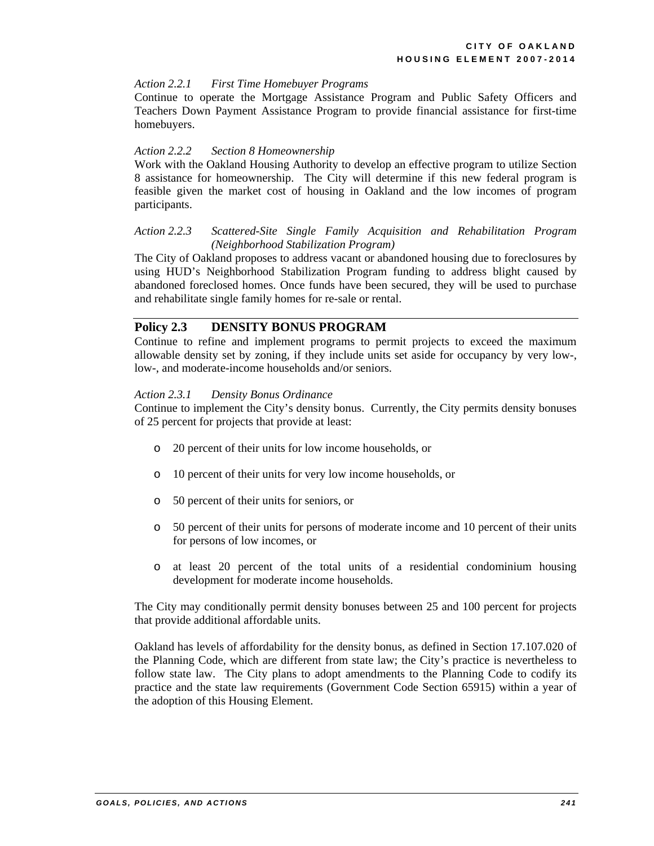#### *Action 2.2.1 First Time Homebuyer Programs*

Continue to operate the Mortgage Assistance Program and Public Safety Officers and Teachers Down Payment Assistance Program to provide financial assistance for first-time homebuyers.

#### *Action 2.2.2 Section 8 Homeownership*

Work with the Oakland Housing Authority to develop an effective program to utilize Section 8 assistance for homeownership. The City will determine if this new federal program is feasible given the market cost of housing in Oakland and the low incomes of program participants.

#### *Action 2.2.3 Scattered-Site Single Family Acquisition and Rehabilitation Program (Neighborhood Stabilization Program)*

The City of Oakland proposes to address vacant or abandoned housing due to foreclosures by using HUD's Neighborhood Stabilization Program funding to address blight caused by abandoned foreclosed homes. Once funds have been secured, they will be used to purchase and rehabilitate single family homes for re-sale or rental.

#### **Policy 2.3 DENSITY BONUS PROGRAM**

Continue to refine and implement programs to permit projects to exceed the maximum allowable density set by zoning, if they include units set aside for occupancy by very low-, low-, and moderate-income households and/or seniors.

#### *Action 2.3.1 Density Bonus Ordinance*

Continue to implement the City's density bonus. Currently, the City permits density bonuses of 25 percent for projects that provide at least:

- o 20 percent of their units for low income households, or
- o 10 percent of their units for very low income households, or
- o 50 percent of their units for seniors, or
- o 50 percent of their units for persons of moderate income and 10 percent of their units for persons of low incomes, or
- o at least 20 percent of the total units of a residential condominium housing development for moderate income households.

The City may conditionally permit density bonuses between 25 and 100 percent for projects that provide additional affordable units.

Oakland has levels of affordability for the density bonus, as defined in Section 17.107.020 of the Planning Code, which are different from state law; the City's practice is nevertheless to follow state law. The City plans to adopt amendments to the Planning Code to codify its practice and the state law requirements (Government Code Section 65915) within a year of the adoption of this Housing Element.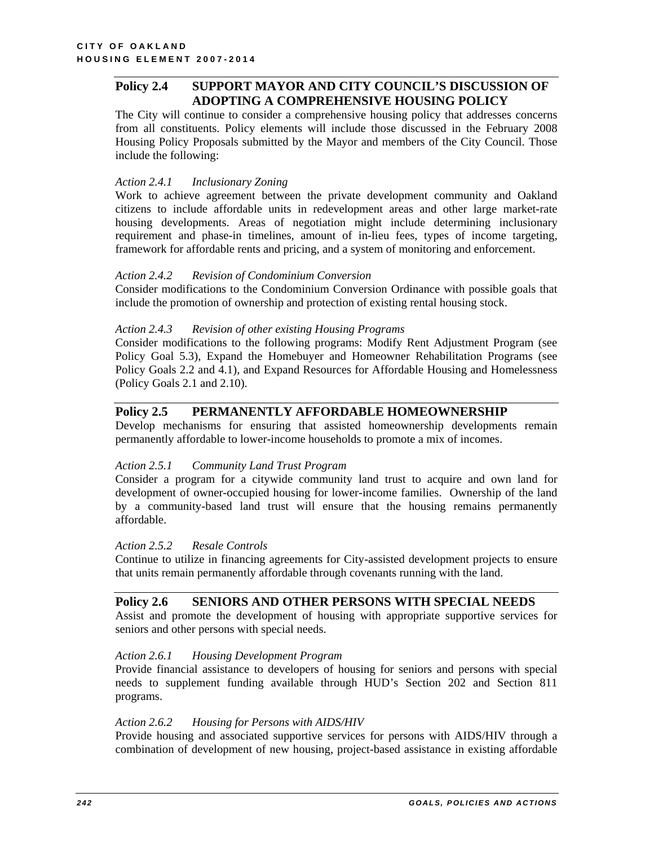#### **Policy 2.4 SUPPORT MAYOR AND CITY COUNCIL'S DISCUSSION OF ADOPTING A COMPREHENSIVE HOUSING POLICY**

The City will continue to consider a comprehensive housing policy that addresses concerns from all constituents. Policy elements will include those discussed in the February 2008 Housing Policy Proposals submitted by the Mayor and members of the City Council. Those include the following:

#### *Action 2.4.1 Inclusionary Zoning*

Work to achieve agreement between the private development community and Oakland citizens to include affordable units in redevelopment areas and other large market-rate housing developments. Areas of negotiation might include determining inclusionary requirement and phase-in timelines, amount of in-lieu fees, types of income targeting, framework for affordable rents and pricing, and a system of monitoring and enforcement.

#### *Action 2.4.2 Revision of Condominium Conversion*

Consider modifications to the Condominium Conversion Ordinance with possible goals that include the promotion of ownership and protection of existing rental housing stock.

#### *Action 2.4.3 Revision of other existing Housing Programs*

Consider modifications to the following programs: Modify Rent Adjustment Program (see Policy Goal 5.3), Expand the Homebuyer and Homeowner Rehabilitation Programs (see Policy Goals 2.2 and 4.1), and Expand Resources for Affordable Housing and Homelessness (Policy Goals 2.1 and 2.10).

#### **Policy 2.5 PERMANENTLY AFFORDABLE HOMEOWNERSHIP**

Develop mechanisms for ensuring that assisted homeownership developments remain permanently affordable to lower-income households to promote a mix of incomes.

#### *Action 2.5.1 Community Land Trust Program*

Consider a program for a citywide community land trust to acquire and own land for development of owner-occupied housing for lower-income families. Ownership of the land by a community-based land trust will ensure that the housing remains permanently affordable.

#### *Action 2.5.2 Resale Controls*

Continue to utilize in financing agreements for City-assisted development projects to ensure that units remain permanently affordable through covenants running with the land.

#### **Policy 2.6 SENIORS AND OTHER PERSONS WITH SPECIAL NEEDS**

Assist and promote the development of housing with appropriate supportive services for seniors and other persons with special needs.

#### *Action 2.6.1 Housing Development Program*

Provide financial assistance to developers of housing for seniors and persons with special needs to supplement funding available through HUD's Section 202 and Section 811 programs.

#### *Action 2.6.2 Housing for Persons with AIDS/HIV*

Provide housing and associated supportive services for persons with AIDS/HIV through a combination of development of new housing, project-based assistance in existing affordable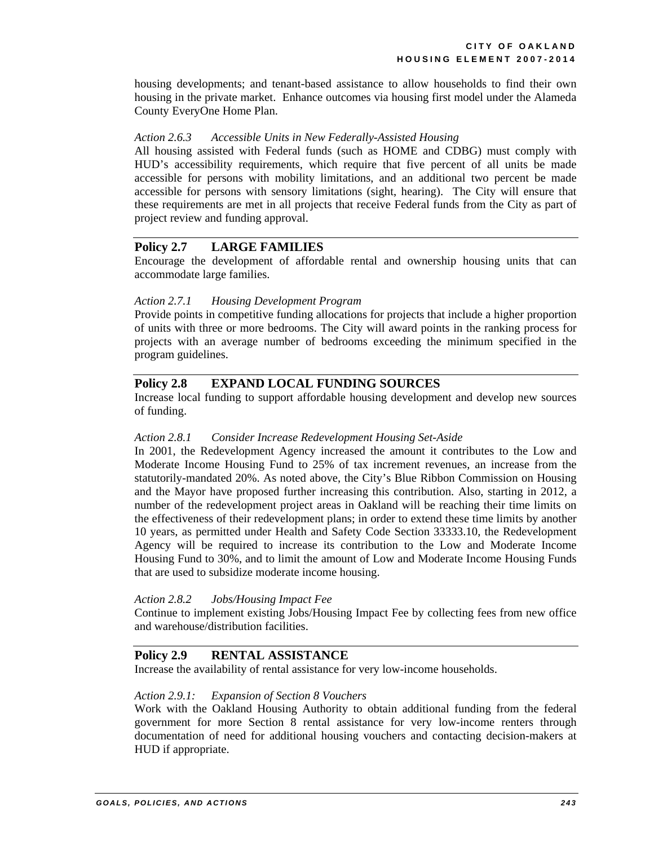housing developments; and tenant-based assistance to allow households to find their own housing in the private market. Enhance outcomes via housing first model under the Alameda County EveryOne Home Plan.

#### *Action 2.6.3 Accessible Units in New Federally-Assisted Housing*

All housing assisted with Federal funds (such as HOME and CDBG) must comply with HUD's accessibility requirements, which require that five percent of all units be made accessible for persons with mobility limitations, and an additional two percent be made accessible for persons with sensory limitations (sight, hearing). The City will ensure that these requirements are met in all projects that receive Federal funds from the City as part of project review and funding approval.

#### **Policy 2.7 LARGE FAMILIES**

Encourage the development of affordable rental and ownership housing units that can accommodate large families.

#### *Action 2.7.1 Housing Development Program*

Provide points in competitive funding allocations for projects that include a higher proportion of units with three or more bedrooms. The City will award points in the ranking process for projects with an average number of bedrooms exceeding the minimum specified in the program guidelines.

#### **Policy 2.8 EXPAND LOCAL FUNDING SOURCES**

Increase local funding to support affordable housing development and develop new sources of funding.

#### *Action 2.8.1 Consider Increase Redevelopment Housing Set-Aside*

In 2001, the Redevelopment Agency increased the amount it contributes to the Low and Moderate Income Housing Fund to 25% of tax increment revenues, an increase from the statutorily-mandated 20%. As noted above, the City's Blue Ribbon Commission on Housing and the Mayor have proposed further increasing this contribution. Also, starting in 2012, a number of the redevelopment project areas in Oakland will be reaching their time limits on the effectiveness of their redevelopment plans; in order to extend these time limits by another 10 years, as permitted under Health and Safety Code Section 33333.10, the Redevelopment Agency will be required to increase its contribution to the Low and Moderate Income Housing Fund to 30%, and to limit the amount of Low and Moderate Income Housing Funds that are used to subsidize moderate income housing.

#### *Action 2.8.2 Jobs/Housing Impact Fee*

Continue to implement existing Jobs/Housing Impact Fee by collecting fees from new office and warehouse/distribution facilities.

#### **Policy 2.9 RENTAL ASSISTANCE**

Increase the availability of rental assistance for very low-income households.

#### *Action 2.9.1: Expansion of Section 8 Vouchers*

Work with the Oakland Housing Authority to obtain additional funding from the federal government for more Section 8 rental assistance for very low-income renters through documentation of need for additional housing vouchers and contacting decision-makers at HUD if appropriate.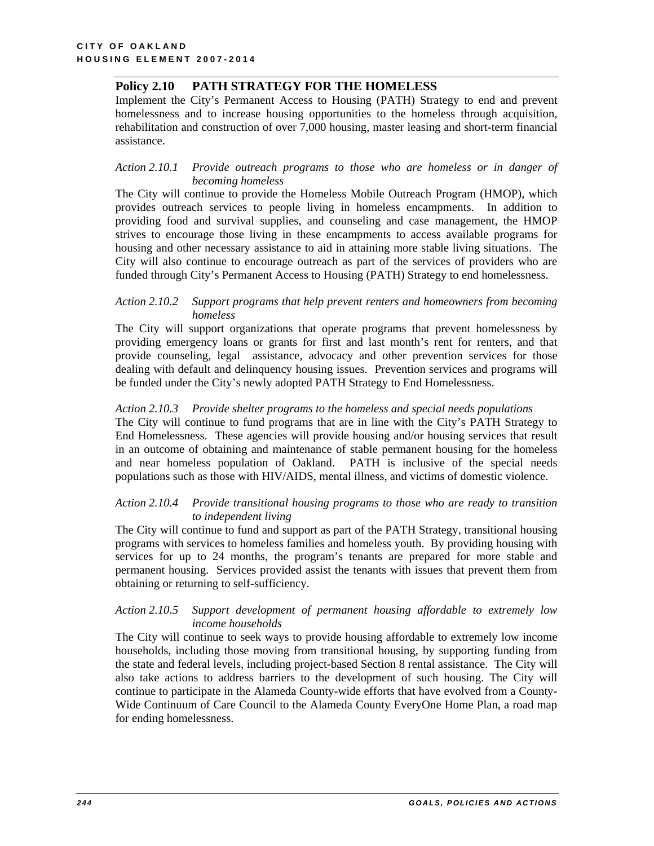#### **Policy 2.10 PATH STRATEGY FOR THE HOMELESS**

Implement the City's Permanent Access to Housing (PATH) Strategy to end and prevent homelessness and to increase housing opportunities to the homeless through acquisition, rehabilitation and construction of over 7,000 housing, master leasing and short-term financial assistance.

#### *Action 2.10.1 Provide outreach programs to those who are homeless or in danger of becoming homeless*

The City will continue to provide the Homeless Mobile Outreach Program (HMOP), which provides outreach services to people living in homeless encampments. In addition to providing food and survival supplies, and counseling and case management, the HMOP strives to encourage those living in these encampments to access available programs for housing and other necessary assistance to aid in attaining more stable living situations. The City will also continue to encourage outreach as part of the services of providers who are funded through City's Permanent Access to Housing (PATH) Strategy to end homelessness.

#### *Action 2.10.2 Support programs that help prevent renters and homeowners from becoming homeless*

The City will support organizations that operate programs that prevent homelessness by providing emergency loans or grants for first and last month's rent for renters, and that provide counseling, legal assistance, advocacy and other prevention services for those dealing with default and delinquency housing issues. Prevention services and programs will be funded under the City's newly adopted PATH Strategy to End Homelessness.

#### *Action 2.10.3 Provide shelter programs to the homeless and special needs populations*

The City will continue to fund programs that are in line with the City's PATH Strategy to End Homelessness. These agencies will provide housing and/or housing services that result in an outcome of obtaining and maintenance of stable permanent housing for the homeless and near homeless population of Oakland. PATH is inclusive of the special needs populations such as those with HIV/AIDS, mental illness, and victims of domestic violence.

#### *Action 2.10.4 Provide transitional housing programs to those who are ready to transition to independent living*

The City will continue to fund and support as part of the PATH Strategy, transitional housing programs with services to homeless families and homeless youth. By providing housing with services for up to 24 months, the program's tenants are prepared for more stable and permanent housing. Services provided assist the tenants with issues that prevent them from obtaining or returning to self-sufficiency.

#### *Action 2.10.5 Support development of permanent housing affordable to extremely low income households*

The City will continue to seek ways to provide housing affordable to extremely low income households, including those moving from transitional housing, by supporting funding from the state and federal levels, including project-based Section 8 rental assistance. The City will also take actions to address barriers to the development of such housing. The City will continue to participate in the Alameda County-wide efforts that have evolved from a County-Wide Continuum of Care Council to the Alameda County EveryOne Home Plan, a road map for ending homelessness.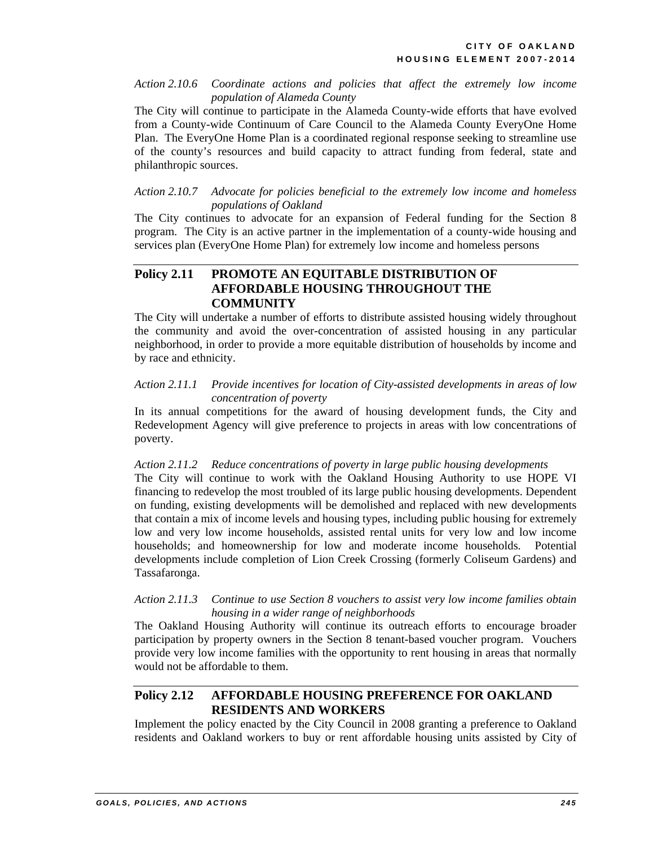#### *Action 2.10.6 Coordinate actions and policies that affect the extremely low income population of Alameda County*

The City will continue to participate in the Alameda County-wide efforts that have evolved from a County-wide Continuum of Care Council to the Alameda County EveryOne Home Plan. The EveryOne Home Plan is a coordinated regional response seeking to streamline use of the county's resources and build capacity to attract funding from federal, state and philanthropic sources.

#### *Action 2.10.7 Advocate for policies beneficial to the extremely low income and homeless populations of Oakland*

The City continues to advocate for an expansion of Federal funding for the Section 8 program. The City is an active partner in the implementation of a county-wide housing and services plan (EveryOne Home Plan) for extremely low income and homeless persons

#### **Policy 2.11 PROMOTE AN EQUITABLE DISTRIBUTION OF AFFORDABLE HOUSING THROUGHOUT THE COMMUNITY**

The City will undertake a number of efforts to distribute assisted housing widely throughout the community and avoid the over-concentration of assisted housing in any particular neighborhood, in order to provide a more equitable distribution of households by income and by race and ethnicity.

#### *Action 2.11.1 Provide incentives for location of City-assisted developments in areas of low concentration of poverty*

In its annual competitions for the award of housing development funds, the City and Redevelopment Agency will give preference to projects in areas with low concentrations of poverty.

#### *Action 2.11.2 Reduce concentrations of poverty in large public housing developments*

The City will continue to work with the Oakland Housing Authority to use HOPE VI financing to redevelop the most troubled of its large public housing developments. Dependent on funding, existing developments will be demolished and replaced with new developments that contain a mix of income levels and housing types, including public housing for extremely low and very low income households, assisted rental units for very low and low income households; and homeownership for low and moderate income households. Potential developments include completion of Lion Creek Crossing (formerly Coliseum Gardens) and Tassafaronga.

#### *Action 2.11.3 Continue to use Section 8 vouchers to assist very low income families obtain housing in a wider range of neighborhoods*

The Oakland Housing Authority will continue its outreach efforts to encourage broader participation by property owners in the Section 8 tenant-based voucher program. Vouchers provide very low income families with the opportunity to rent housing in areas that normally would not be affordable to them.

### **Policy 2.12 AFFORDABLE HOUSING PREFERENCE FOR OAKLAND RESIDENTS AND WORKERS**

Implement the policy enacted by the City Council in 2008 granting a preference to Oakland residents and Oakland workers to buy or rent affordable housing units assisted by City of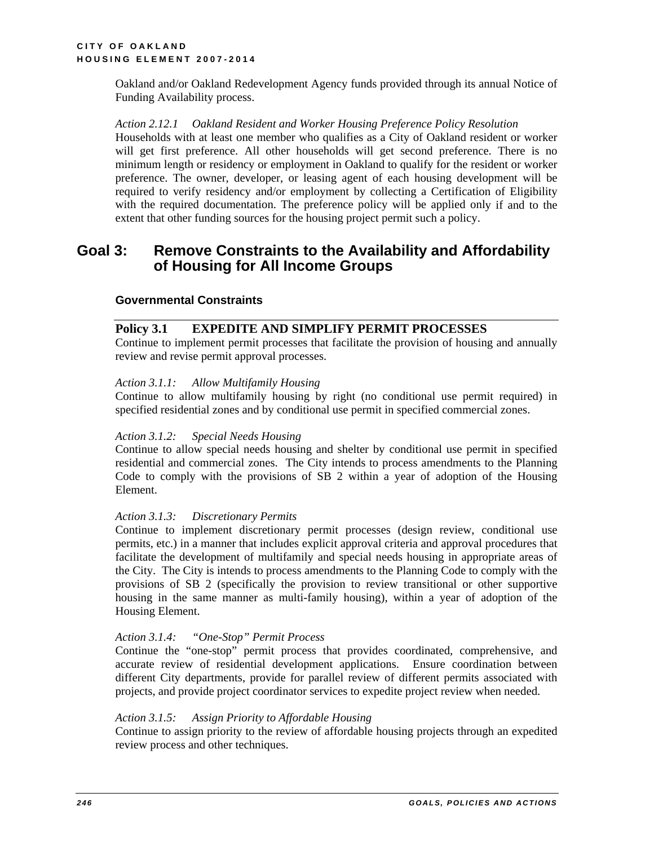Oakland and/or Oakland Redevelopment Agency funds provided through its annual Notice of Funding Availability process.

#### *Action 2.12.1 Oakland Resident and Worker Housing Preference Policy Resolution*

Households with at least one member who qualifies as a City of Oakland resident or worker will get first preference. All other households will get second preference. There is no minimum length or residency or employment in Oakland to qualify for the resident or worker preference. The owner, developer, or leasing agent of each housing development will be required to verify residency and/or employment by collecting a Certification of Eligibility with the required documentation. The preference policy will be applied only if and to the extent that other funding sources for the housing project permit such a policy.

### **Goal 3: Remove Constraints to the Availability and Affordability of Housing for All Income Groups**

#### **Governmental Constraints**

#### **Policy 3.1 EXPEDITE AND SIMPLIFY PERMIT PROCESSES**

Continue to implement permit processes that facilitate the provision of housing and annually review and revise permit approval processes.

#### *Action 3.1.1: Allow Multifamily Housing*

Continue to allow multifamily housing by right (no conditional use permit required) in specified residential zones and by conditional use permit in specified commercial zones.

#### *Action 3.1.2: Special Needs Housing*

Continue to allow special needs housing and shelter by conditional use permit in specified residential and commercial zones. The City intends to process amendments to the Planning Code to comply with the provisions of SB 2 within a year of adoption of the Housing Element.

#### *Action 3.1.3: Discretionary Permits*

Continue to implement discretionary permit processes (design review, conditional use permits, etc.) in a manner that includes explicit approval criteria and approval procedures that facilitate the development of multifamily and special needs housing in appropriate areas of the City. The City is intends to process amendments to the Planning Code to comply with the provisions of SB 2 (specifically the provision to review transitional or other supportive housing in the same manner as multi-family housing), within a year of adoption of the Housing Element.

#### *Action 3.1.4: "One-Stop" Permit Process*

Continue the "one-stop" permit process that provides coordinated, comprehensive, and accurate review of residential development applications. Ensure coordination between different City departments, provide for parallel review of different permits associated with projects, and provide project coordinator services to expedite project review when needed.

#### *Action 3.1.5: Assign Priority to Affordable Housing*

Continue to assign priority to the review of affordable housing projects through an expedited review process and other techniques.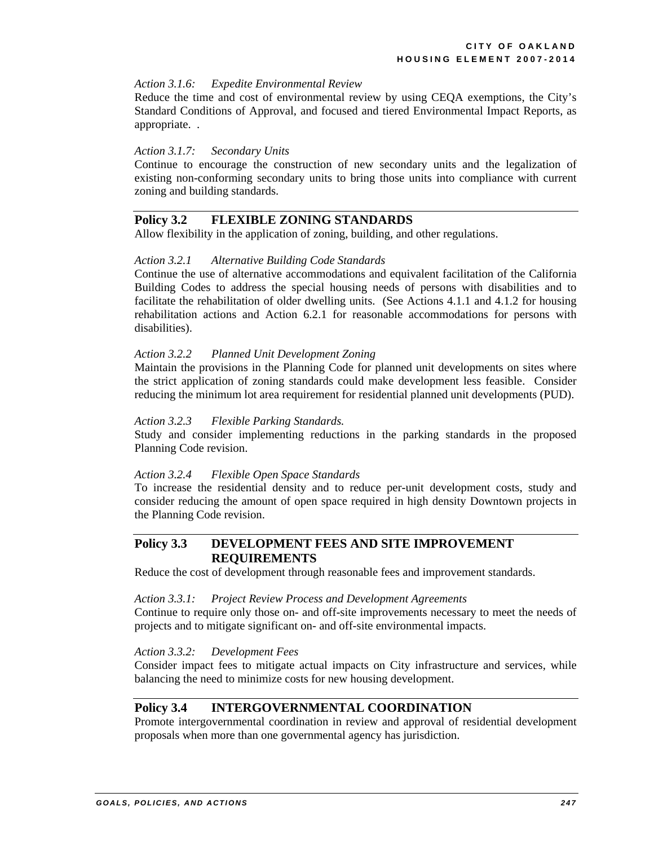#### *Action 3.1.6: Expedite Environmental Review*

Reduce the time and cost of environmental review by using CEQA exemptions, the City's Standard Conditions of Approval, and focused and tiered Environmental Impact Reports, as appropriate. .

#### *Action 3.1.7: Secondary Units*

Continue to encourage the construction of new secondary units and the legalization of existing non-conforming secondary units to bring those units into compliance with current zoning and building standards.

#### **Policy 3.2 FLEXIBLE ZONING STANDARDS**

Allow flexibility in the application of zoning, building, and other regulations.

#### *Action 3.2.1 Alternative Building Code Standards*

Continue the use of alternative accommodations and equivalent facilitation of the California Building Codes to address the special housing needs of persons with disabilities and to facilitate the rehabilitation of older dwelling units. (See Actions 4.1.1 and 4.1.2 for housing rehabilitation actions and Action 6.2.1 for reasonable accommodations for persons with disabilities).

#### *Action 3.2.2 Planned Unit Development Zoning*

Maintain the provisions in the Planning Code for planned unit developments on sites where the strict application of zoning standards could make development less feasible. Consider reducing the minimum lot area requirement for residential planned unit developments (PUD).

#### *Action 3.2.3 Flexible Parking Standards.*

Study and consider implementing reductions in the parking standards in the proposed Planning Code revision.

#### *Action 3.2.4 Flexible Open Space Standards*

To increase the residential density and to reduce per-unit development costs, study and consider reducing the amount of open space required in high density Downtown projects in the Planning Code revision.

#### **Policy 3.3 DEVELOPMENT FEES AND SITE IMPROVEMENT REQUIREMENTS**

Reduce the cost of development through reasonable fees and improvement standards.

#### *Action 3.3.1: Project Review Process and Development Agreements*

Continue to require only those on- and off-site improvements necessary to meet the needs of projects and to mitigate significant on- and off-site environmental impacts.

#### *Action 3.3.2: Development Fees*

Consider impact fees to mitigate actual impacts on City infrastructure and services, while balancing the need to minimize costs for new housing development.

#### **Policy 3.4 INTERGOVERNMENTAL COORDINATION**

Promote intergovernmental coordination in review and approval of residential development proposals when more than one governmental agency has jurisdiction.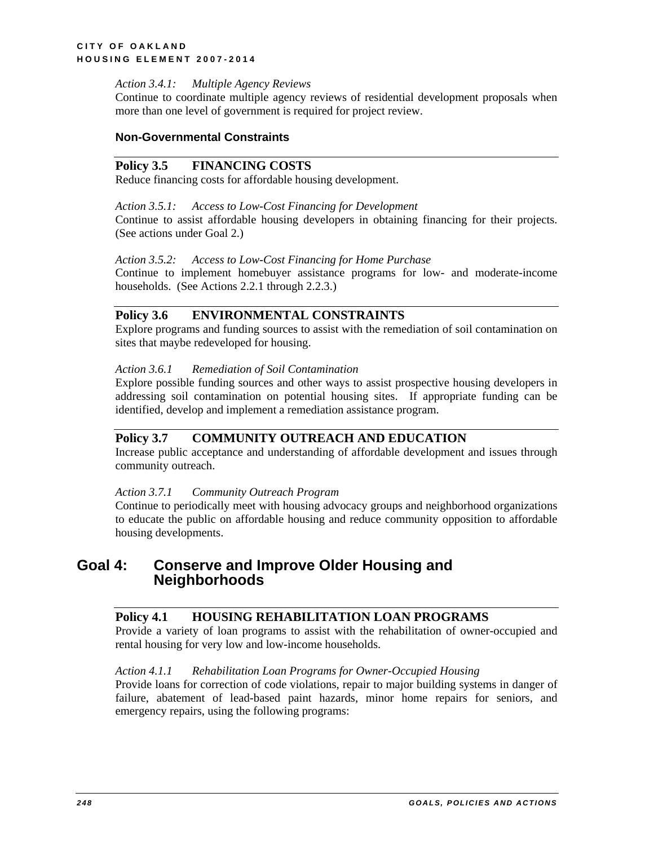#### *Action 3.4.1: Multiple Agency Reviews*

Continue to coordinate multiple agency reviews of residential development proposals when more than one level of government is required for project review.

#### **Non-Governmental Constraints**

#### **Policy 3.5 FINANCING COSTS**

Reduce financing costs for affordable housing development.

#### *Action 3.5.1: Access to Low-Cost Financing for Development*

Continue to assist affordable housing developers in obtaining financing for their projects. (See actions under Goal 2.)

#### *Action 3.5.2: Access to Low-Cost Financing for Home Purchase*

Continue to implement homebuyer assistance programs for low- and moderate-income households. (See Actions 2.2.1 through 2.2.3.)

#### **Policy 3.6 ENVIRONMENTAL CONSTRAINTS**

Explore programs and funding sources to assist with the remediation of soil contamination on sites that maybe redeveloped for housing.

#### *Action 3.6.1 Remediation of Soil Contamination*

Explore possible funding sources and other ways to assist prospective housing developers in addressing soil contamination on potential housing sites. If appropriate funding can be identified, develop and implement a remediation assistance program.

#### **Policy 3.7 COMMUNITY OUTREACH AND EDUCATION**

Increase public acceptance and understanding of affordable development and issues through community outreach.

#### *Action 3.7.1 Community Outreach Program*

Continue to periodically meet with housing advocacy groups and neighborhood organizations to educate the public on affordable housing and reduce community opposition to affordable housing developments.

### **Goal 4: Conserve and Improve Older Housing and Neighborhoods**

#### **Policy 4.1 HOUSING REHABILITATION LOAN PROGRAMS**

Provide a variety of loan programs to assist with the rehabilitation of owner-occupied and rental housing for very low and low-income households.

#### *Action 4.1.1 Rehabilitation Loan Programs for Owner-Occupied Housing*

Provide loans for correction of code violations, repair to major building systems in danger of failure, abatement of lead-based paint hazards, minor home repairs for seniors, and emergency repairs, using the following programs: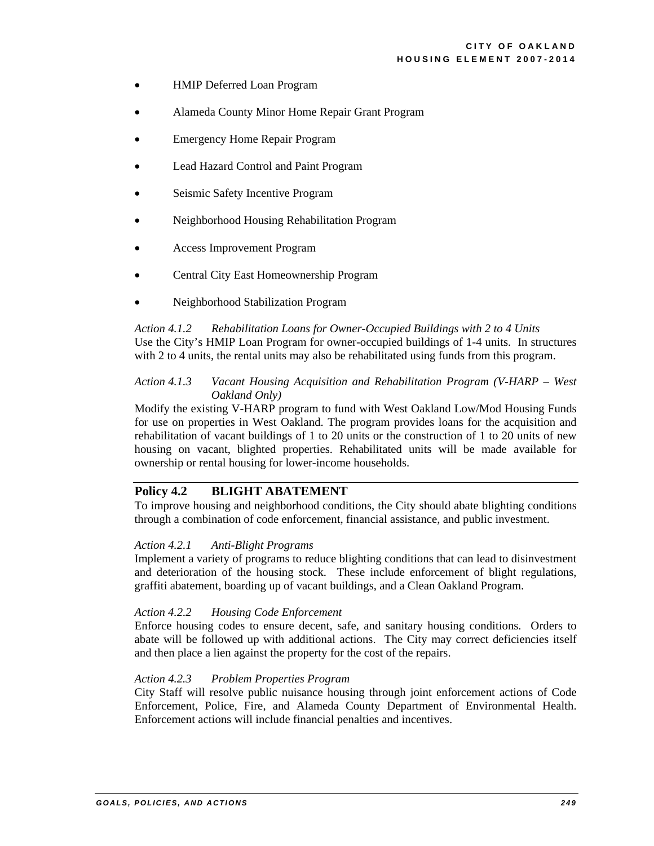- HMIP Deferred Loan Program
- Alameda County Minor Home Repair Grant Program
- Emergency Home Repair Program
- Lead Hazard Control and Paint Program
- Seismic Safety Incentive Program
- Neighborhood Housing Rehabilitation Program
- Access Improvement Program
- Central City East Homeownership Program
- Neighborhood Stabilization Program

#### *Action 4.1.2 Rehabilitation Loans for Owner-Occupied Buildings with 2 to 4 Units*  Use the City's HMIP Loan Program for owner-occupied buildings of 1-4 units. In structures with 2 to 4 units, the rental units may also be rehabilitated using funds from this program.

#### *Action 4.1.3 Vacant Housing Acquisition and Rehabilitation Program (V-HARP – West Oakland Only)*

Modify the existing V-HARP program to fund with West Oakland Low/Mod Housing Funds for use on properties in West Oakland. The program provides loans for the acquisition and rehabilitation of vacant buildings of 1 to 20 units or the construction of 1 to 20 units of new housing on vacant, blighted properties. Rehabilitated units will be made available for ownership or rental housing for lower-income households.

#### **Policy 4.2 BLIGHT ABATEMENT**

To improve housing and neighborhood conditions, the City should abate blighting conditions through a combination of code enforcement, financial assistance, and public investment.

#### *Action 4.2.1 Anti-Blight Programs*

Implement a variety of programs to reduce blighting conditions that can lead to disinvestment and deterioration of the housing stock. These include enforcement of blight regulations, graffiti abatement, boarding up of vacant buildings, and a Clean Oakland Program.

#### *Action 4.2.2 Housing Code Enforcement*

Enforce housing codes to ensure decent, safe, and sanitary housing conditions. Orders to abate will be followed up with additional actions. The City may correct deficiencies itself and then place a lien against the property for the cost of the repairs.

#### *Action 4.2.3 Problem Properties Program*

City Staff will resolve public nuisance housing through joint enforcement actions of Code Enforcement, Police, Fire, and Alameda County Department of Environmental Health. Enforcement actions will include financial penalties and incentives.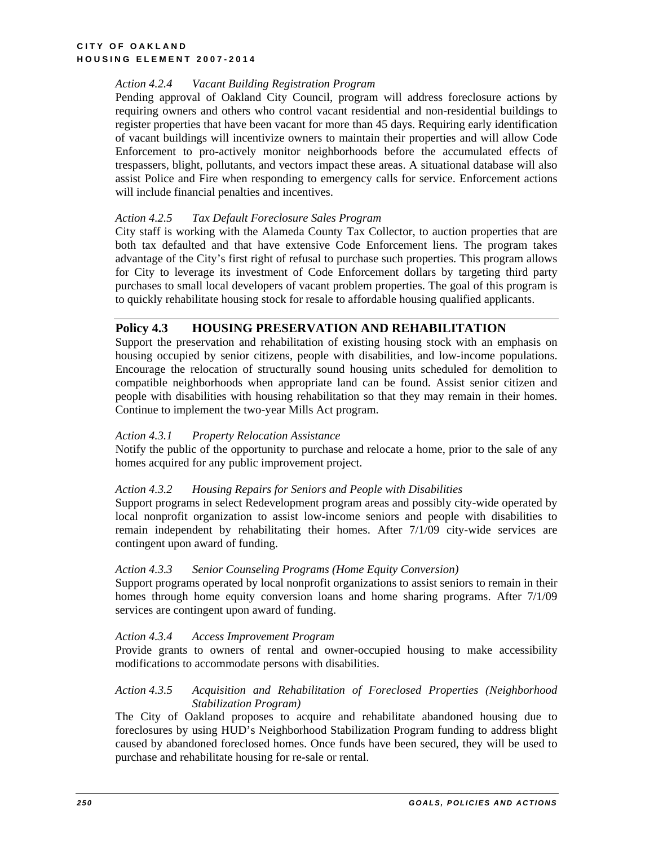#### *Action 4.2.4 Vacant Building Registration Program*

Pending approval of Oakland City Council, program will address foreclosure actions by requiring owners and others who control vacant residential and non-residential buildings to register properties that have been vacant for more than 45 days. Requiring early identification of vacant buildings will incentivize owners to maintain their properties and will allow Code Enforcement to pro-actively monitor neighborhoods before the accumulated effects of trespassers, blight, pollutants, and vectors impact these areas. A situational database will also assist Police and Fire when responding to emergency calls for service. Enforcement actions will include financial penalties and incentives.

#### *Action 4.2.5 Tax Default Foreclosure Sales Program*

City staff is working with the Alameda County Tax Collector, to auction properties that are both tax defaulted and that have extensive Code Enforcement liens. The program takes advantage of the City's first right of refusal to purchase such properties. This program allows for City to leverage its investment of Code Enforcement dollars by targeting third party purchases to small local developers of vacant problem properties. The goal of this program is to quickly rehabilitate housing stock for resale to affordable housing qualified applicants.

#### **Policy 4.3 HOUSING PRESERVATION AND REHABILITATION**

Support the preservation and rehabilitation of existing housing stock with an emphasis on housing occupied by senior citizens, people with disabilities, and low-income populations. Encourage the relocation of structurally sound housing units scheduled for demolition to compatible neighborhoods when appropriate land can be found. Assist senior citizen and people with disabilities with housing rehabilitation so that they may remain in their homes. Continue to implement the two-year Mills Act program.

#### *Action 4.3.1 Property Relocation Assistance*

Notify the public of the opportunity to purchase and relocate a home, prior to the sale of any homes acquired for any public improvement project.

#### *Action 4.3.2 Housing Repairs for Seniors and People with Disabilities*

Support programs in select Redevelopment program areas and possibly city-wide operated by local nonprofit organization to assist low-income seniors and people with disabilities to remain independent by rehabilitating their homes. After 7/1/09 city-wide services are contingent upon award of funding.

#### *Action 4.3.3 Senior Counseling Programs (Home Equity Conversion)*

Support programs operated by local nonprofit organizations to assist seniors to remain in their homes through home equity conversion loans and home sharing programs. After 7/1/09 services are contingent upon award of funding.

#### *Action 4.3.4 Access Improvement Program*

Provide grants to owners of rental and owner-occupied housing to make accessibility modifications to accommodate persons with disabilities.

#### *Action 4.3.5 Acquisition and Rehabilitation of Foreclosed Properties (Neighborhood Stabilization Program)*

The City of Oakland proposes to acquire and rehabilitate abandoned housing due to foreclosures by using HUD's Neighborhood Stabilization Program funding to address blight caused by abandoned foreclosed homes. Once funds have been secured, they will be used to purchase and rehabilitate housing for re-sale or rental.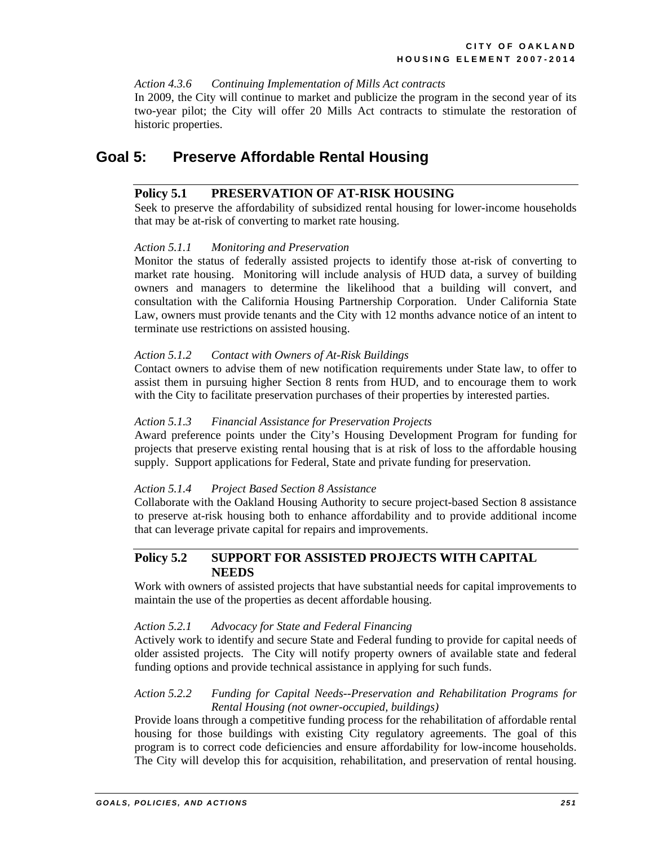#### *Action 4.3.6 Continuing Implementation of Mills Act contracts*

In 2009, the City will continue to market and publicize the program in the second year of its two-year pilot; the City will offer 20 Mills Act contracts to stimulate the restoration of historic properties.

## **Goal 5: Preserve Affordable Rental Housing**

#### **Policy 5.1 PRESERVATION OF AT-RISK HOUSING**

Seek to preserve the affordability of subsidized rental housing for lower-income households that may be at-risk of converting to market rate housing.

#### *Action 5.1.1 Monitoring and Preservation*

Monitor the status of federally assisted projects to identify those at-risk of converting to market rate housing. Monitoring will include analysis of HUD data, a survey of building owners and managers to determine the likelihood that a building will convert, and consultation with the California Housing Partnership Corporation. Under California State Law, owners must provide tenants and the City with 12 months advance notice of an intent to terminate use restrictions on assisted housing.

#### *Action 5.1.2 Contact with Owners of At-Risk Buildings*

Contact owners to advise them of new notification requirements under State law, to offer to assist them in pursuing higher Section 8 rents from HUD, and to encourage them to work with the City to facilitate preservation purchases of their properties by interested parties.

#### *Action 5.1.3 Financial Assistance for Preservation Projects*

Award preference points under the City's Housing Development Program for funding for projects that preserve existing rental housing that is at risk of loss to the affordable housing supply. Support applications for Federal, State and private funding for preservation.

#### *Action 5.1.4 Project Based Section 8 Assistance*

Collaborate with the Oakland Housing Authority to secure project-based Section 8 assistance to preserve at-risk housing both to enhance affordability and to provide additional income that can leverage private capital for repairs and improvements.

#### **Policy 5.2 SUPPORT FOR ASSISTED PROJECTS WITH CAPITAL NEEDS**

Work with owners of assisted projects that have substantial needs for capital improvements to maintain the use of the properties as decent affordable housing.

#### *Action 5.2.1 Advocacy for State and Federal Financing*

Actively work to identify and secure State and Federal funding to provide for capital needs of older assisted projects. The City will notify property owners of available state and federal funding options and provide technical assistance in applying for such funds.

#### *Action 5.2.2 Funding for Capital Needs--Preservation and Rehabilitation Programs for Rental Housing (not owner-occupied, buildings)*

Provide loans through a competitive funding process for the rehabilitation of affordable rental housing for those buildings with existing City regulatory agreements. The goal of this program is to correct code deficiencies and ensure affordability for low-income households. The City will develop this for acquisition, rehabilitation, and preservation of rental housing.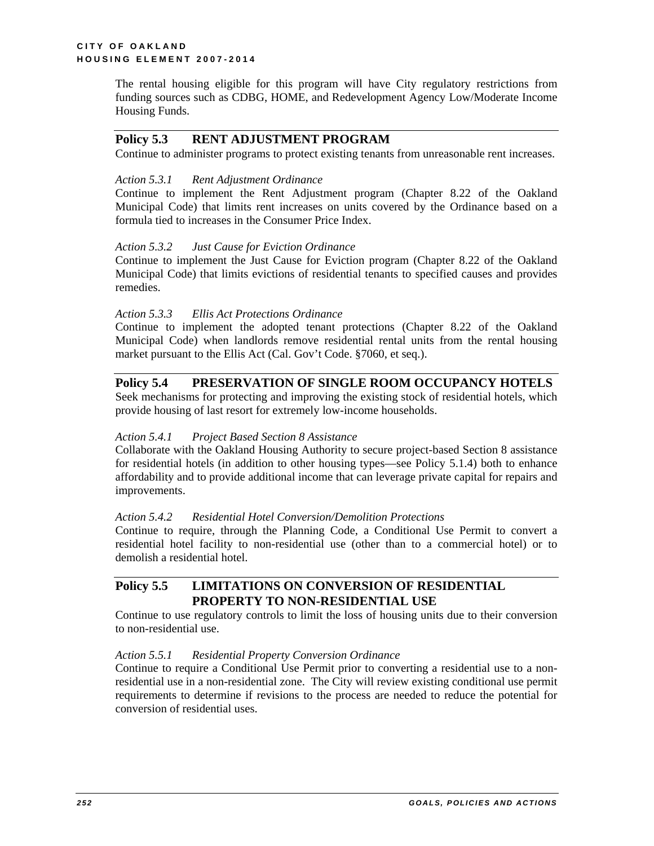The rental housing eligible for this program will have City regulatory restrictions from funding sources such as CDBG, HOME, and Redevelopment Agency Low/Moderate Income Housing Funds.

#### **Policy 5.3 RENT ADJUSTMENT PROGRAM**

Continue to administer programs to protect existing tenants from unreasonable rent increases.

#### *Action 5.3.1 Rent Adjustment Ordinance*

Continue to implement the Rent Adjustment program (Chapter 8.22 of the Oakland Municipal Code) that limits rent increases on units covered by the Ordinance based on a formula tied to increases in the Consumer Price Index.

#### *Action 5.3.2 Just Cause for Eviction Ordinance*

Continue to implement the Just Cause for Eviction program (Chapter 8.22 of the Oakland Municipal Code) that limits evictions of residential tenants to specified causes and provides remedies.

#### *Action 5.3.3 Ellis Act Protections Ordinance*

Continue to implement the adopted tenant protections (Chapter 8.22 of the Oakland Municipal Code) when landlords remove residential rental units from the rental housing market pursuant to the Ellis Act (Cal. Gov't Code. §7060, et seq.).

#### **Policy 5.4 PRESERVATION OF SINGLE ROOM OCCUPANCY HOTELS**

Seek mechanisms for protecting and improving the existing stock of residential hotels, which provide housing of last resort for extremely low-income households.

#### *Action 5.4.1 Project Based Section 8 Assistance*

Collaborate with the Oakland Housing Authority to secure project-based Section 8 assistance for residential hotels (in addition to other housing types—see Policy 5.1.4) both to enhance affordability and to provide additional income that can leverage private capital for repairs and improvements.

#### *Action 5.4.2 Residential Hotel Conversion/Demolition Protections*

Continue to require, through the Planning Code, a Conditional Use Permit to convert a residential hotel facility to non-residential use (other than to a commercial hotel) or to demolish a residential hotel.

#### **Policy 5.5 LIMITATIONS ON CONVERSION OF RESIDENTIAL PROPERTY TO NON-RESIDENTIAL USE**

Continue to use regulatory controls to limit the loss of housing units due to their conversion to non-residential use.

#### *Action 5.5.1 Residential Property Conversion Ordinance*

Continue to require a Conditional Use Permit prior to converting a residential use to a nonresidential use in a non-residential zone. The City will review existing conditional use permit requirements to determine if revisions to the process are needed to reduce the potential for conversion of residential uses.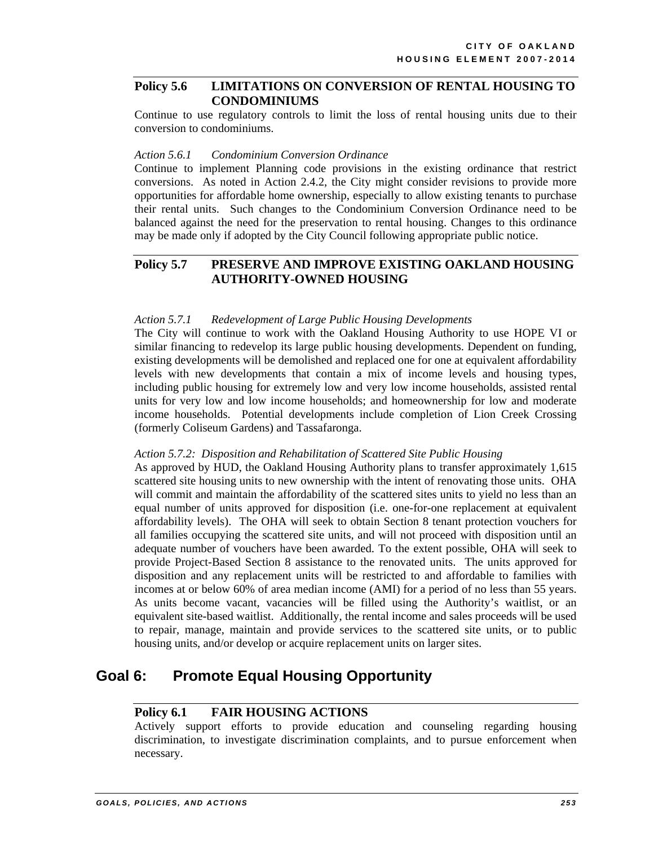#### **Policy 5.6 LIMITATIONS ON CONVERSION OF RENTAL HOUSING TO CONDOMINIUMS**

Continue to use regulatory controls to limit the loss of rental housing units due to their conversion to condominiums.

#### *Action 5.6.1 Condominium Conversion Ordinance*

Continue to implement Planning code provisions in the existing ordinance that restrict conversions. As noted in Action 2.4.2, the City might consider revisions to provide more opportunities for affordable home ownership, especially to allow existing tenants to purchase their rental units. Such changes to the Condominium Conversion Ordinance need to be balanced against the need for the preservation to rental housing. Changes to this ordinance may be made only if adopted by the City Council following appropriate public notice.

#### **Policy 5.7 PRESERVE AND IMPROVE EXISTING OAKLAND HOUSING AUTHORITY-OWNED HOUSING**

#### *Action 5.7.1 Redevelopment of Large Public Housing Developments*

The City will continue to work with the Oakland Housing Authority to use HOPE VI or similar financing to redevelop its large public housing developments. Dependent on funding, existing developments will be demolished and replaced one for one at equivalent affordability levels with new developments that contain a mix of income levels and housing types, including public housing for extremely low and very low income households, assisted rental units for very low and low income households; and homeownership for low and moderate income households. Potential developments include completion of Lion Creek Crossing (formerly Coliseum Gardens) and Tassafaronga.

#### *Action 5.7.2: Disposition and Rehabilitation of Scattered Site Public Housing*

As approved by HUD, the Oakland Housing Authority plans to transfer approximately 1,615 scattered site housing units to new ownership with the intent of renovating those units. OHA will commit and maintain the affordability of the scattered sites units to yield no less than an equal number of units approved for disposition (i.e. one-for-one replacement at equivalent affordability levels). The OHA will seek to obtain Section 8 tenant protection vouchers for all families occupying the scattered site units, and will not proceed with disposition until an adequate number of vouchers have been awarded. To the extent possible, OHA will seek to provide Project-Based Section 8 assistance to the renovated units. The units approved for disposition and any replacement units will be restricted to and affordable to families with incomes at or below 60% of area median income (AMI) for a period of no less than 55 years. As units become vacant, vacancies will be filled using the Authority's waitlist, or an equivalent site-based waitlist. Additionally, the rental income and sales proceeds will be used to repair, manage, maintain and provide services to the scattered site units, or to public housing units, and/or develop or acquire replacement units on larger sites.

## **Goal 6: Promote Equal Housing Opportunity**

#### **Policy 6.1 FAIR HOUSING ACTIONS**

Actively support efforts to provide education and counseling regarding housing discrimination, to investigate discrimination complaints, and to pursue enforcement when necessary.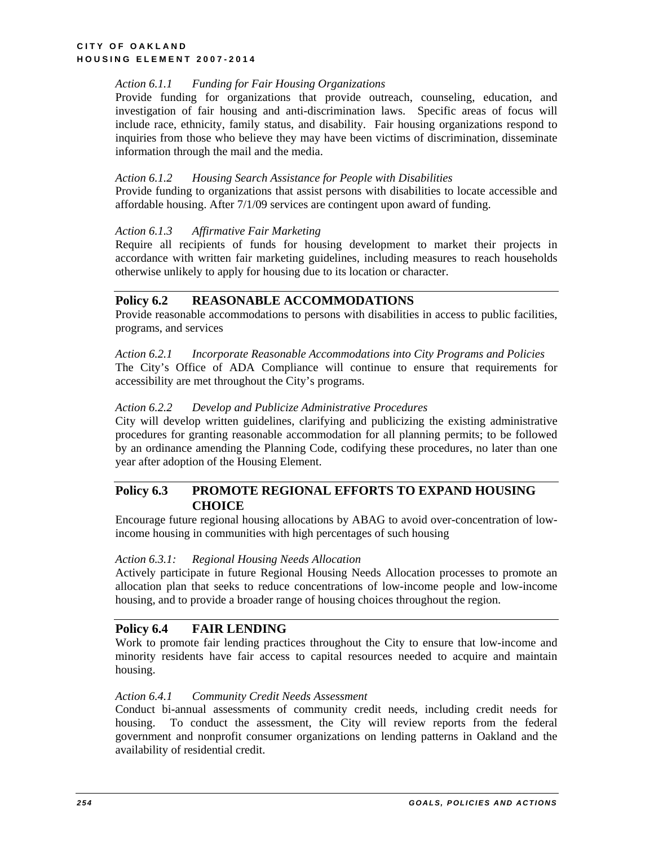#### *Action 6.1.1 Funding for Fair Housing Organizations*

Provide funding for organizations that provide outreach, counseling, education, and investigation of fair housing and anti-discrimination laws. Specific areas of focus will include race, ethnicity, family status, and disability. Fair housing organizations respond to inquiries from those who believe they may have been victims of discrimination, disseminate information through the mail and the media.

#### *Action 6.1.2 Housing Search Assistance for People with Disabilities*

Provide funding to organizations that assist persons with disabilities to locate accessible and affordable housing. After 7/1/09 services are contingent upon award of funding.

#### *Action 6.1.3 Affirmative Fair Marketing*

Require all recipients of funds for housing development to market their projects in accordance with written fair marketing guidelines, including measures to reach households otherwise unlikely to apply for housing due to its location or character.

### **Policy 6.2 REASONABLE ACCOMMODATIONS**

Provide reasonable accommodations to persons with disabilities in access to public facilities, programs, and services

*Action 6.2.1 Incorporate Reasonable Accommodations into City Programs and Policies*  The City's Office of ADA Compliance will continue to ensure that requirements for accessibility are met throughout the City's programs.

#### *Action 6.2.2 Develop and Publicize Administrative Procedures*

City will develop written guidelines, clarifying and publicizing the existing administrative procedures for granting reasonable accommodation for all planning permits; to be followed by an ordinance amending the Planning Code, codifying these procedures, no later than one year after adoption of the Housing Element.

#### **Policy 6.3 PROMOTE REGIONAL EFFORTS TO EXPAND HOUSING CHOICE**

Encourage future regional housing allocations by ABAG to avoid over-concentration of lowincome housing in communities with high percentages of such housing

#### *Action 6.3.1: Regional Housing Needs Allocation*

Actively participate in future Regional Housing Needs Allocation processes to promote an allocation plan that seeks to reduce concentrations of low-income people and low-income housing, and to provide a broader range of housing choices throughout the region.

#### **Policy 6.4 FAIR LENDING**

Work to promote fair lending practices throughout the City to ensure that low-income and minority residents have fair access to capital resources needed to acquire and maintain housing.

#### *Action 6.4.1 Community Credit Needs Assessment*

Conduct bi-annual assessments of community credit needs, including credit needs for housing. To conduct the assessment, the City will review reports from the federal government and nonprofit consumer organizations on lending patterns in Oakland and the availability of residential credit.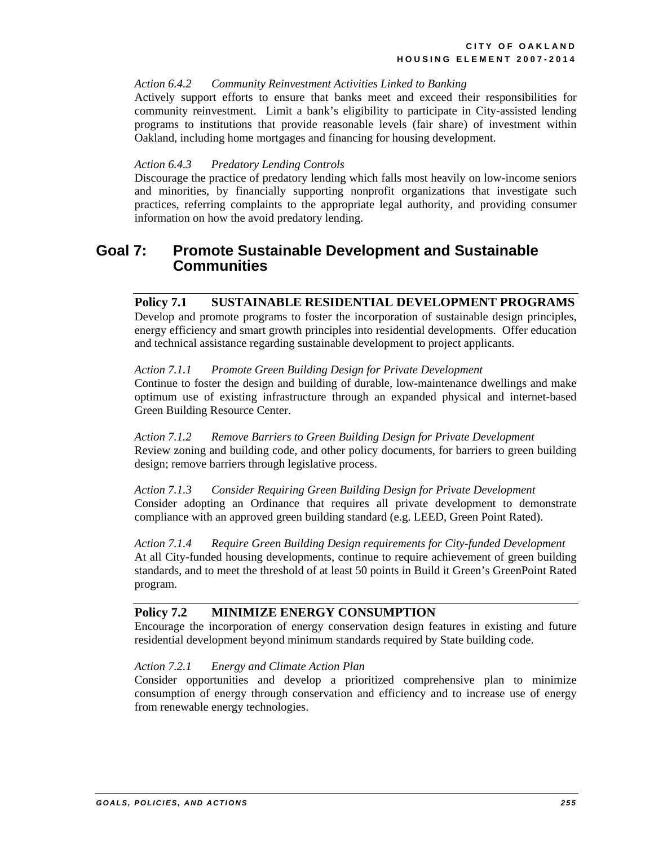#### *Action 6.4.2 Community Reinvestment Activities Linked to Banking*

Actively support efforts to ensure that banks meet and exceed their responsibilities for community reinvestment. Limit a bank's eligibility to participate in City-assisted lending programs to institutions that provide reasonable levels (fair share) of investment within Oakland, including home mortgages and financing for housing development.

#### *Action 6.4.3 Predatory Lending Controls*

Discourage the practice of predatory lending which falls most heavily on low-income seniors and minorities, by financially supporting nonprofit organizations that investigate such practices, referring complaints to the appropriate legal authority, and providing consumer information on how the avoid predatory lending.

### **Goal 7: Promote Sustainable Development and Sustainable Communities**

#### **Policy 7.1 SUSTAINABLE RESIDENTIAL DEVELOPMENT PROGRAMS**

Develop and promote programs to foster the incorporation of sustainable design principles, energy efficiency and smart growth principles into residential developments. Offer education and technical assistance regarding sustainable development to project applicants.

#### *Action 7.1.1 Promote Green Building Design for Private Development*

Continue to foster the design and building of durable, low-maintenance dwellings and make optimum use of existing infrastructure through an expanded physical and internet-based Green Building Resource Center.

*Action 7.1.2 Remove Barriers to Green Building Design for Private Development*  Review zoning and building code, and other policy documents, for barriers to green building design; remove barriers through legislative process.

*Action 7.1.3 Consider Requiring Green Building Design for Private Development*  Consider adopting an Ordinance that requires all private development to demonstrate compliance with an approved green building standard (e.g. LEED, Green Point Rated).

*Action 7.1.4 Require Green Building Design requirements for City-funded Development*  At all City-funded housing developments, continue to require achievement of green building standards, and to meet the threshold of at least 50 points in Build it Green's GreenPoint Rated program.

#### **Policy 7.2 MINIMIZE ENERGY CONSUMPTION**

Encourage the incorporation of energy conservation design features in existing and future residential development beyond minimum standards required by State building code.

#### *Action 7.2.1 Energy and Climate Action Plan*

Consider opportunities and develop a prioritized comprehensive plan to minimize consumption of energy through conservation and efficiency and to increase use of energy from renewable energy technologies.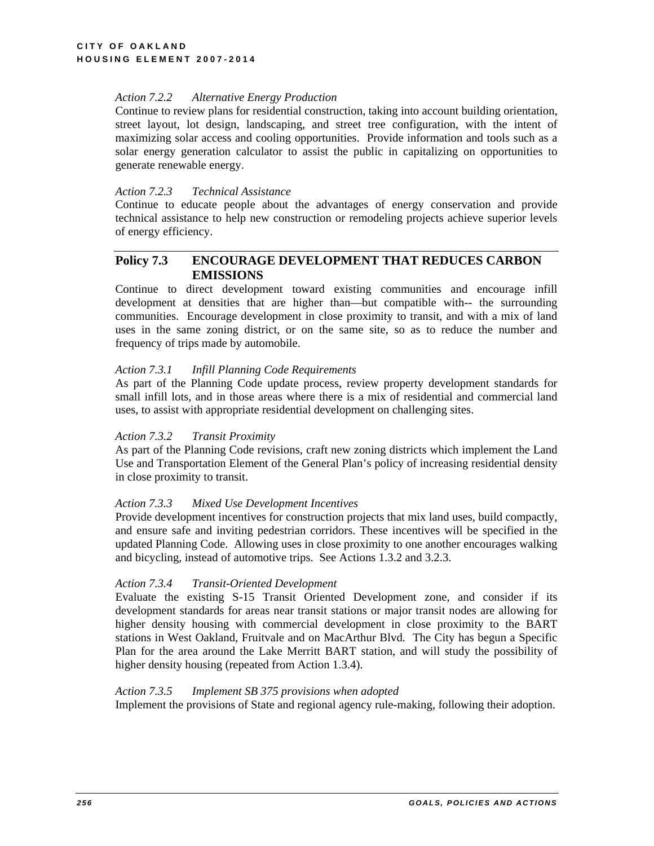#### *Action 7.2.2 Alternative Energy Production*

Continue to review plans for residential construction, taking into account building orientation, street layout, lot design, landscaping, and street tree configuration, with the intent of maximizing solar access and cooling opportunities. Provide information and tools such as a solar energy generation calculator to assist the public in capitalizing on opportunities to generate renewable energy.

#### *Action 7.2.3 Technical Assistance*

Continue to educate people about the advantages of energy conservation and provide technical assistance to help new construction or remodeling projects achieve superior levels of energy efficiency.

#### **Policy 7.3 ENCOURAGE DEVELOPMENT THAT REDUCES CARBON EMISSIONS**

Continue to direct development toward existing communities and encourage infill development at densities that are higher than—but compatible with-- the surrounding communities. Encourage development in close proximity to transit, and with a mix of land uses in the same zoning district, or on the same site, so as to reduce the number and frequency of trips made by automobile.

#### *Action 7.3.1 Infill Planning Code Requirements*

As part of the Planning Code update process, review property development standards for small infill lots, and in those areas where there is a mix of residential and commercial land uses, to assist with appropriate residential development on challenging sites.

#### *Action 7.3.2 Transit Proximity*

As part of the Planning Code revisions, craft new zoning districts which implement the Land Use and Transportation Element of the General Plan's policy of increasing residential density in close proximity to transit.

#### *Action 7.3.3 Mixed Use Development Incentives*

Provide development incentives for construction projects that mix land uses, build compactly, and ensure safe and inviting pedestrian corridors. These incentives will be specified in the updated Planning Code. Allowing uses in close proximity to one another encourages walking and bicycling, instead of automotive trips. See Actions 1.3.2 and 3.2.3.

#### *Action 7.3.4 Transit-Oriented Development*

Evaluate the existing S-15 Transit Oriented Development zone, and consider if its development standards for areas near transit stations or major transit nodes are allowing for higher density housing with commercial development in close proximity to the BART stations in West Oakland, Fruitvale and on MacArthur Blvd. The City has begun a Specific Plan for the area around the Lake Merritt BART station, and will study the possibility of higher density housing (repeated from Action 1.3.4).

#### *Action 7.3.5 Implement SB 375 provisions when adopted*

Implement the provisions of State and regional agency rule-making, following their adoption.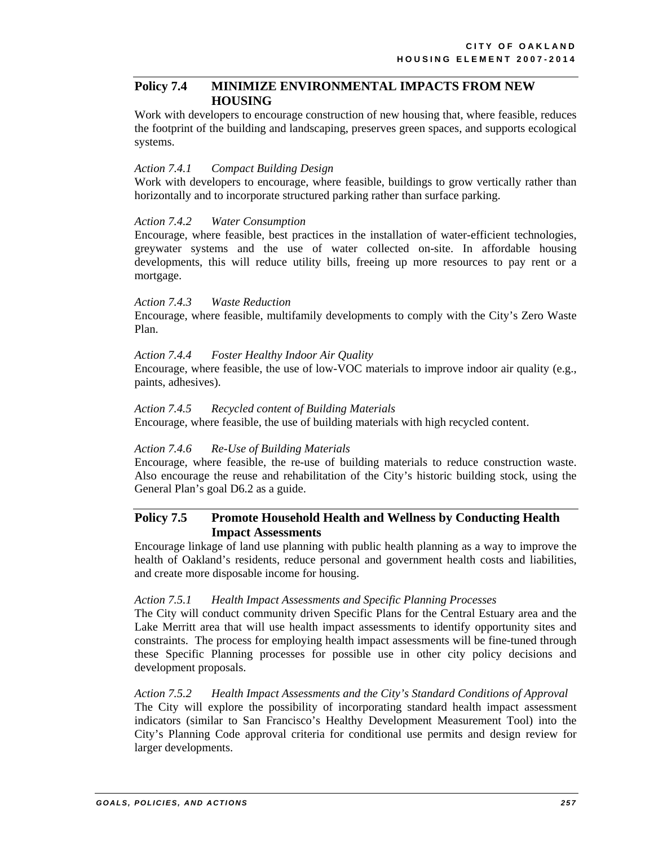#### **Policy 7.4 MINIMIZE ENVIRONMENTAL IMPACTS FROM NEW HOUSING**

Work with developers to encourage construction of new housing that, where feasible, reduces the footprint of the building and landscaping, preserves green spaces, and supports ecological systems.

#### *Action 7.4.1 Compact Building Design*

Work with developers to encourage, where feasible, buildings to grow vertically rather than horizontally and to incorporate structured parking rather than surface parking.

#### *Action 7.4.2 Water Consumption*

Encourage, where feasible, best practices in the installation of water-efficient technologies, greywater systems and the use of water collected on-site. In affordable housing developments, this will reduce utility bills, freeing up more resources to pay rent or a mortgage.

#### *Action 7.4.3 Waste Reduction*

Encourage, where feasible, multifamily developments to comply with the City's Zero Waste Plan.

*Action 7.4.4 Foster Healthy Indoor Air Quality* 

Encourage, where feasible, the use of low-VOC materials to improve indoor air quality (e.g., paints, adhesives).

#### *Action 7.4.5 Recycled content of Building Materials*

Encourage, where feasible, the use of building materials with high recycled content.

#### *Action 7.4.6 Re-Use of Building Materials*

Encourage, where feasible, the re-use of building materials to reduce construction waste. Also encourage the reuse and rehabilitation of the City's historic building stock, using the General Plan's goal D6.2 as a guide.

#### **Policy 7.5 Promote Household Health and Wellness by Conducting Health Impact Assessments**

Encourage linkage of land use planning with public health planning as a way to improve the health of Oakland's residents, reduce personal and government health costs and liabilities, and create more disposable income for housing.

#### *Action 7.5.1 Health Impact Assessments and Specific Planning Processes*

The City will conduct community driven Specific Plans for the Central Estuary area and the Lake Merritt area that will use health impact assessments to identify opportunity sites and constraints. The process for employing health impact assessments will be fine-tuned through these Specific Planning processes for possible use in other city policy decisions and development proposals.

#### *Action 7.5.2 Health Impact Assessments and the City's Standard Conditions of Approval*

The City will explore the possibility of incorporating standard health impact assessment indicators (similar to San Francisco's Healthy Development Measurement Tool) into the City's Planning Code approval criteria for conditional use permits and design review for larger developments.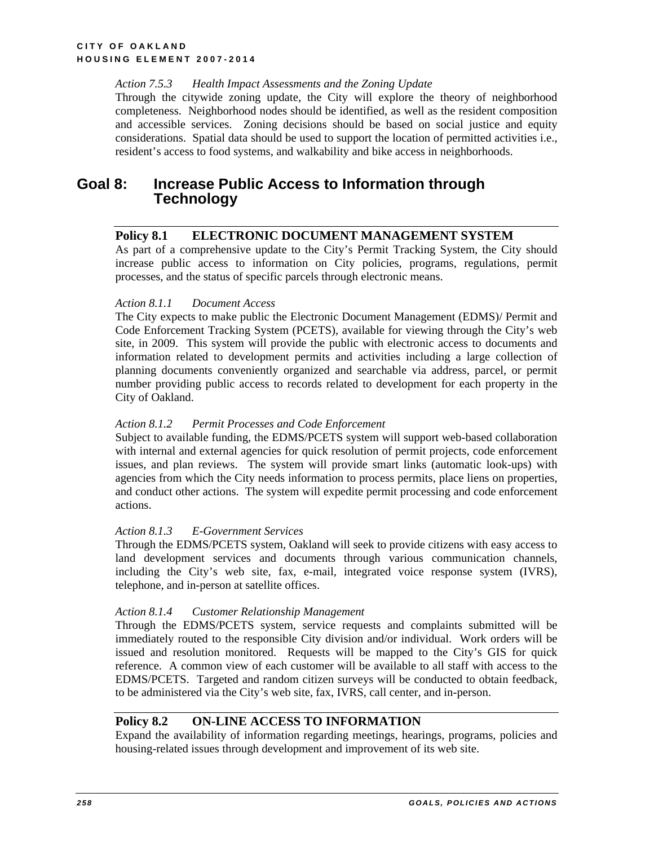#### *Action 7.5.3 Health Impact Assessments and the Zoning Update*

Through the citywide zoning update, the City will explore the theory of neighborhood completeness. Neighborhood nodes should be identified, as well as the resident composition and accessible services. Zoning decisions should be based on social justice and equity considerations. Spatial data should be used to support the location of permitted activities i.e., resident's access to food systems, and walkability and bike access in neighborhoods.

## **Goal 8: Increase Public Access to Information through Technology**

#### **Policy 8.1 ELECTRONIC DOCUMENT MANAGEMENT SYSTEM**

As part of a comprehensive update to the City's Permit Tracking System, the City should increase public access to information on City policies, programs, regulations, permit processes, and the status of specific parcels through electronic means.

#### *Action 8.1.1 Document Access*

The City expects to make public the Electronic Document Management (EDMS)/ Permit and Code Enforcement Tracking System (PCETS), available for viewing through the City's web site, in 2009. This system will provide the public with electronic access to documents and information related to development permits and activities including a large collection of planning documents conveniently organized and searchable via address, parcel, or permit number providing public access to records related to development for each property in the City of Oakland.

#### *Action 8.1.2 Permit Processes and Code Enforcement*

Subject to available funding, the EDMS/PCETS system will support web-based collaboration with internal and external agencies for quick resolution of permit projects, code enforcement issues, and plan reviews. The system will provide smart links (automatic look-ups) with agencies from which the City needs information to process permits, place liens on properties, and conduct other actions. The system will expedite permit processing and code enforcement actions.

#### *Action 8.1.3 E-Government Services*

Through the EDMS/PCETS system, Oakland will seek to provide citizens with easy access to land development services and documents through various communication channels, including the City's web site, fax, e-mail, integrated voice response system (IVRS), telephone, and in-person at satellite offices.

#### *Action 8.1.4 Customer Relationship Management*

Through the EDMS/PCETS system, service requests and complaints submitted will be immediately routed to the responsible City division and/or individual. Work orders will be issued and resolution monitored. Requests will be mapped to the City's GIS for quick reference. A common view of each customer will be available to all staff with access to the EDMS/PCETS. Targeted and random citizen surveys will be conducted to obtain feedback, to be administered via the City's web site, fax, IVRS, call center, and in-person.

#### **Policy 8.2 ON-LINE ACCESS TO INFORMATION**

Expand the availability of information regarding meetings, hearings, programs, policies and housing-related issues through development and improvement of its web site.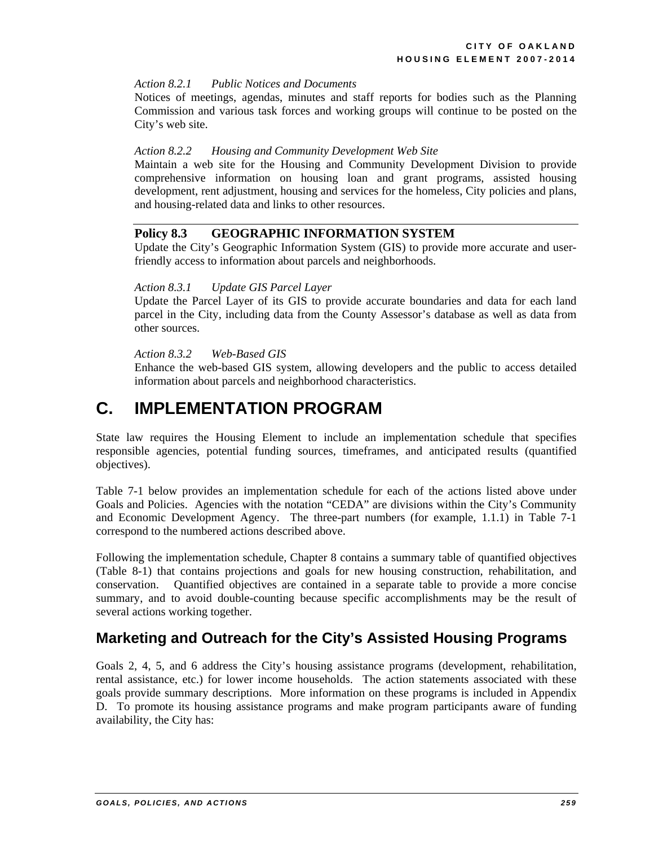#### *Action 8.2.1 Public Notices and Documents*

Notices of meetings, agendas, minutes and staff reports for bodies such as the Planning Commission and various task forces and working groups will continue to be posted on the City's web site.

#### *Action 8.2.2 Housing and Community Development Web Site*

Maintain a web site for the Housing and Community Development Division to provide comprehensive information on housing loan and grant programs, assisted housing development, rent adjustment, housing and services for the homeless, City policies and plans, and housing-related data and links to other resources.

#### **Policy 8.3 GEOGRAPHIC INFORMATION SYSTEM**

Update the City's Geographic Information System (GIS) to provide more accurate and userfriendly access to information about parcels and neighborhoods.

#### *Action 8.3.1 Update GIS Parcel Layer*

Update the Parcel Layer of its GIS to provide accurate boundaries and data for each land parcel in the City, including data from the County Assessor's database as well as data from other sources.

#### *Action 8.3.2 Web-Based GIS*

Enhance the web-based GIS system, allowing developers and the public to access detailed information about parcels and neighborhood characteristics.

## **C. IMPLEMENTATION PROGRAM**

State law requires the Housing Element to include an implementation schedule that specifies responsible agencies, potential funding sources, timeframes, and anticipated results (quantified objectives).

Table 7-1 below provides an implementation schedule for each of the actions listed above under Goals and Policies. Agencies with the notation "CEDA" are divisions within the City's Community and Economic Development Agency. The three-part numbers (for example, 1.1.1) in Table 7-1 correspond to the numbered actions described above.

Following the implementation schedule, Chapter 8 contains a summary table of quantified objectives (Table 8-1) that contains projections and goals for new housing construction, rehabilitation, and conservation. Quantified objectives are contained in a separate table to provide a more concise summary, and to avoid double-counting because specific accomplishments may be the result of several actions working together.

## **Marketing and Outreach for the City's Assisted Housing Programs**

Goals 2, 4, 5, and 6 address the City's housing assistance programs (development, rehabilitation, rental assistance, etc.) for lower income households. The action statements associated with these goals provide summary descriptions. More information on these programs is included in Appendix D. To promote its housing assistance programs and make program participants aware of funding availability, the City has: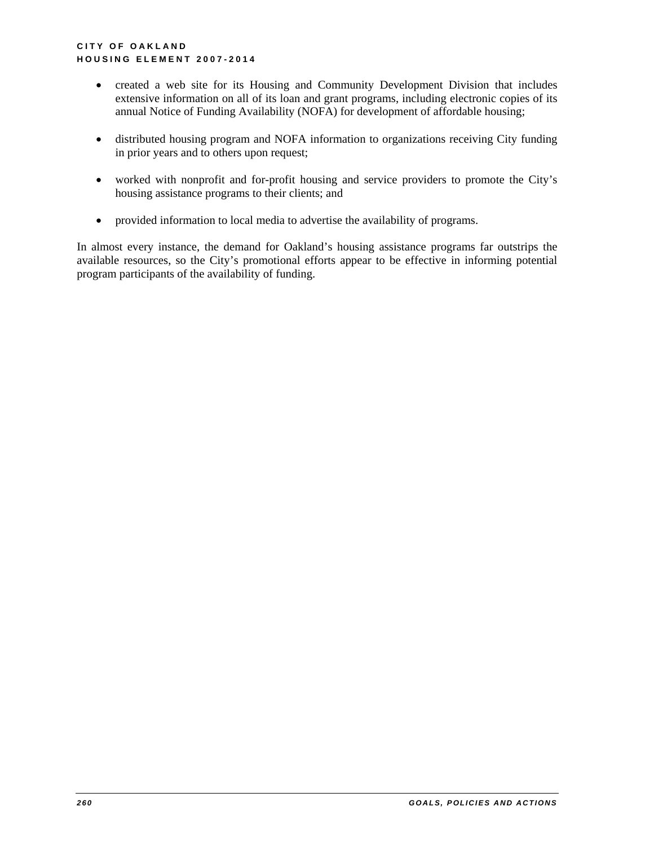- created a web site for its Housing and Community Development Division that includes extensive information on all of its loan and grant programs, including electronic copies of its annual Notice of Funding Availability (NOFA) for development of affordable housing;
- distributed housing program and NOFA information to organizations receiving City funding in prior years and to others upon request;
- worked with nonprofit and for-profit housing and service providers to promote the City's housing assistance programs to their clients; and
- provided information to local media to advertise the availability of programs.

In almost every instance, the demand for Oakland's housing assistance programs far outstrips the available resources, so the City's promotional efforts appear to be effective in informing potential program participants of the availability of funding.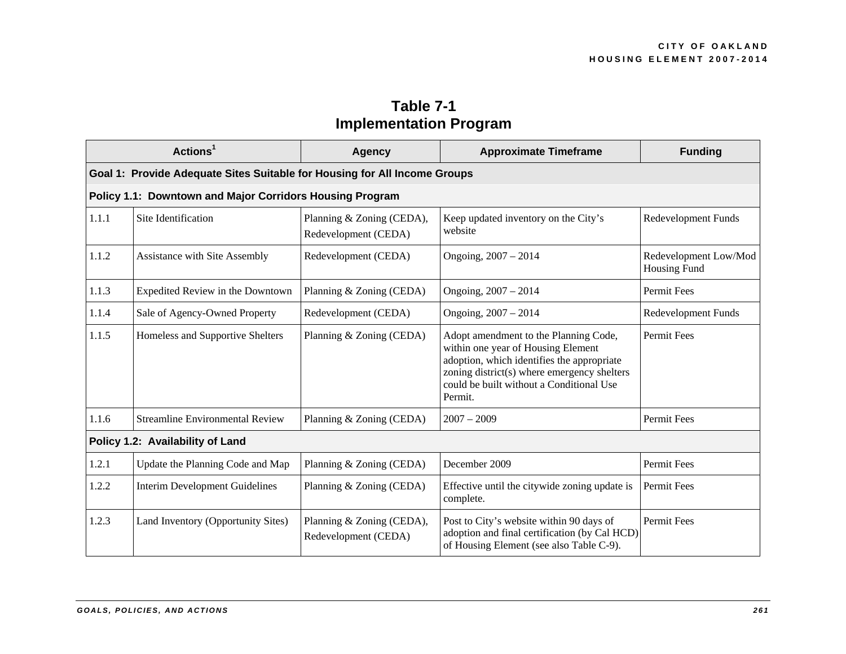| Table 7-1                     |
|-------------------------------|
| <b>Implementation Program</b> |

|       | Actions <sup>1</sup>                                                      | <b>Agency</b>                                     | <b>Approximate Timeframe</b>                                                                                                                                                                                                    | <b>Funding</b>                        |
|-------|---------------------------------------------------------------------------|---------------------------------------------------|---------------------------------------------------------------------------------------------------------------------------------------------------------------------------------------------------------------------------------|---------------------------------------|
|       | Goal 1: Provide Adequate Sites Suitable for Housing for All Income Groups |                                                   |                                                                                                                                                                                                                                 |                                       |
|       | Policy 1.1: Downtown and Major Corridors Housing Program                  |                                                   |                                                                                                                                                                                                                                 |                                       |
| 1.1.1 | Site Identification                                                       | Planning & Zoning (CEDA),<br>Redevelopment (CEDA) | Keep updated inventory on the City's<br>website                                                                                                                                                                                 | Redevelopment Funds                   |
| 1.1.2 | Assistance with Site Assembly                                             | Redevelopment (CEDA)                              | Ongoing, 2007 - 2014                                                                                                                                                                                                            | Redevelopment Low/Mod<br>Housing Fund |
| 1.1.3 | Expedited Review in the Downtown                                          | Planning & Zoning (CEDA)                          | Ongoing, $2007 - 2014$                                                                                                                                                                                                          | <b>Permit Fees</b>                    |
| 1.1.4 | Sale of Agency-Owned Property                                             | Redevelopment (CEDA)                              | Ongoing, 2007 - 2014                                                                                                                                                                                                            | Redevelopment Funds                   |
| 1.1.5 | Homeless and Supportive Shelters                                          | Planning & Zoning (CEDA)                          | Adopt amendment to the Planning Code,<br>within one year of Housing Element<br>adoption, which identifies the appropriate<br>zoning district(s) where emergency shelters<br>could be built without a Conditional Use<br>Permit. | Permit Fees                           |
| 1.1.6 | <b>Streamline Environmental Review</b>                                    | Planning & Zoning (CEDA)                          | $2007 - 2009$                                                                                                                                                                                                                   | Permit Fees                           |
|       | Policy 1.2: Availability of Land                                          |                                                   |                                                                                                                                                                                                                                 |                                       |
| 1.2.1 | Update the Planning Code and Map                                          | Planning & Zoning (CEDA)                          | December 2009                                                                                                                                                                                                                   | Permit Fees                           |
| 1.2.2 | <b>Interim Development Guidelines</b>                                     | Planning & Zoning (CEDA)                          | Effective until the citywide zoning update is<br>complete.                                                                                                                                                                      | <b>Permit Fees</b>                    |
| 1.2.3 | Land Inventory (Opportunity Sites)                                        | Planning & Zoning (CEDA),<br>Redevelopment (CEDA) | Post to City's website within 90 days of<br>adoption and final certification (by Cal HCD)<br>of Housing Element (see also Table C-9).                                                                                           | Permit Fees                           |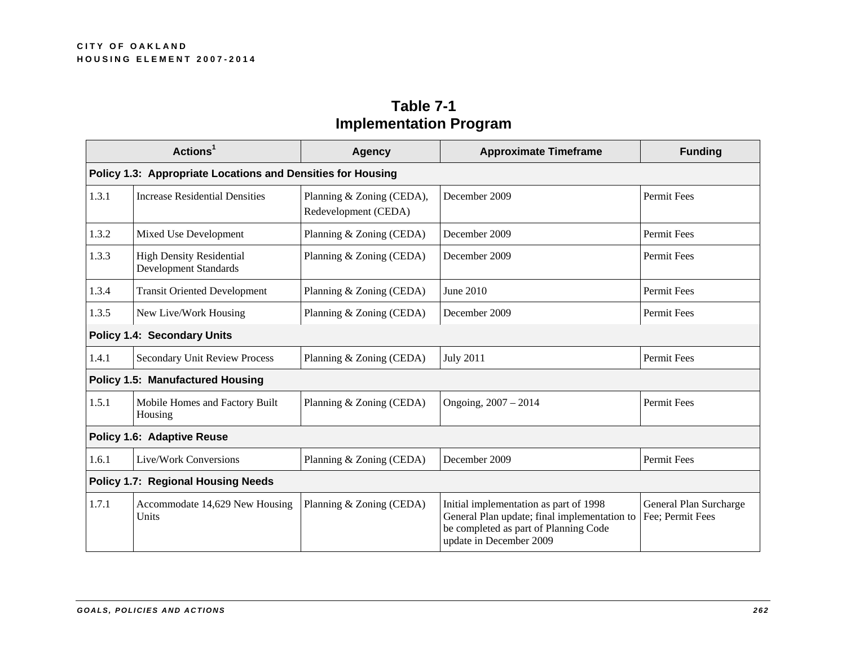|                                           | Actions <sup>1</sup>                                            | <b>Agency</b>                                     | <b>Approximate Timeframe</b>                                                                                                                               | <b>Funding</b>                             |
|-------------------------------------------|-----------------------------------------------------------------|---------------------------------------------------|------------------------------------------------------------------------------------------------------------------------------------------------------------|--------------------------------------------|
|                                           | Policy 1.3: Appropriate Locations and Densities for Housing     |                                                   |                                                                                                                                                            |                                            |
| 1.3.1                                     | <b>Increase Residential Densities</b>                           | Planning & Zoning (CEDA),<br>Redevelopment (CEDA) | December 2009                                                                                                                                              | Permit Fees                                |
| 1.3.2                                     | Mixed Use Development                                           | Planning & Zoning (CEDA)                          | December 2009                                                                                                                                              | Permit Fees                                |
| 1.3.3                                     | <b>High Density Residential</b><br><b>Development Standards</b> | Planning & Zoning (CEDA)                          | December 2009                                                                                                                                              | <b>Permit Fees</b>                         |
| 1.3.4                                     | <b>Transit Oriented Development</b>                             | Planning & Zoning (CEDA)                          | June 2010                                                                                                                                                  | Permit Fees                                |
| 1.3.5                                     | New Live/Work Housing                                           | Planning & Zoning (CEDA)                          | December 2009                                                                                                                                              | Permit Fees                                |
|                                           | <b>Policy 1.4: Secondary Units</b>                              |                                                   |                                                                                                                                                            |                                            |
| 1.4.1                                     | <b>Secondary Unit Review Process</b>                            | Planning & Zoning (CEDA)                          | <b>July 2011</b>                                                                                                                                           | Permit Fees                                |
|                                           | <b>Policy 1.5: Manufactured Housing</b>                         |                                                   |                                                                                                                                                            |                                            |
| 1.5.1                                     | Mobile Homes and Factory Built<br>Housing                       | Planning & Zoning (CEDA)                          | Ongoing, 2007 - 2014                                                                                                                                       | Permit Fees                                |
|                                           | <b>Policy 1.6: Adaptive Reuse</b>                               |                                                   |                                                                                                                                                            |                                            |
| 1.6.1                                     | Live/Work Conversions                                           | Planning & Zoning (CEDA)                          | December 2009                                                                                                                                              | Permit Fees                                |
| <b>Policy 1.7: Regional Housing Needs</b> |                                                                 |                                                   |                                                                                                                                                            |                                            |
| 1.7.1                                     | Accommodate 14,629 New Housing<br>Units                         | Planning & Zoning (CEDA)                          | Initial implementation as part of 1998<br>General Plan update; final implementation to<br>be completed as part of Planning Code<br>update in December 2009 | General Plan Surcharge<br>Fee; Permit Fees |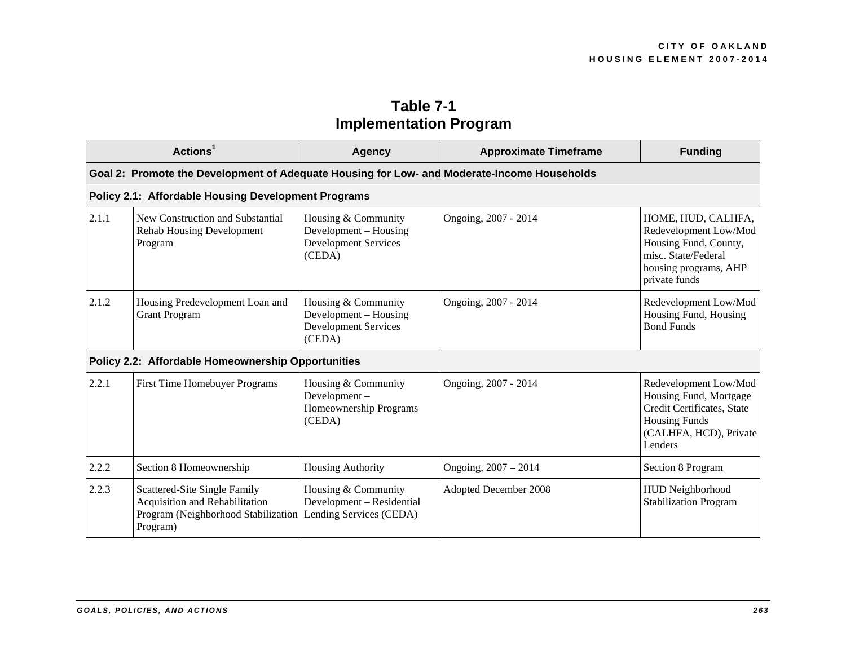|       | Actions <sup>1</sup>                                                                                              | <b>Agency</b>                                                                         | <b>Approximate Timeframe</b> | <b>Funding</b>                                                                                                                             |
|-------|-------------------------------------------------------------------------------------------------------------------|---------------------------------------------------------------------------------------|------------------------------|--------------------------------------------------------------------------------------------------------------------------------------------|
|       | Goal 2: Promote the Development of Adequate Housing for Low- and Moderate-Income Households                       |                                                                                       |                              |                                                                                                                                            |
|       | Policy 2.1: Affordable Housing Development Programs                                                               |                                                                                       |                              |                                                                                                                                            |
| 2.1.1 | New Construction and Substantial<br><b>Rehab Housing Development</b><br>Program                                   | Housing & Community<br>Development – Housing<br><b>Development Services</b><br>(CEDA) | Ongoing, 2007 - 2014         | HOME, HUD, CALHFA,<br>Redevelopment Low/Mod<br>Housing Fund, County,<br>misc. State/Federal<br>housing programs, AHP<br>private funds      |
| 2.1.2 | Housing Predevelopment Loan and<br><b>Grant Program</b>                                                           | Housing & Community<br>Development – Housing<br><b>Development Services</b><br>(CEDA) | Ongoing, 2007 - 2014         | Redevelopment Low/Mod<br>Housing Fund, Housing<br><b>Bond Funds</b>                                                                        |
|       | Policy 2.2: Affordable Homeownership Opportunities                                                                |                                                                                       |                              |                                                                                                                                            |
| 2.2.1 | First Time Homebuyer Programs                                                                                     | Housing & Community<br>Development-<br>Homeownership Programs<br>(CEDA)               | Ongoing, 2007 - 2014         | Redevelopment Low/Mod<br>Housing Fund, Mortgage<br>Credit Certificates, State<br><b>Housing Funds</b><br>(CALHFA, HCD), Private<br>Lenders |
| 2.2.2 | Section 8 Homeownership                                                                                           | Housing Authority                                                                     | Ongoing, 2007 - 2014         | Section 8 Program                                                                                                                          |
| 2.2.3 | Scattered-Site Single Family<br>Acquisition and Rehabilitation<br>Program (Neighborhood Stabilization<br>Program) | Housing & Community<br>Development - Residential<br>Lending Services (CEDA)           | Adopted December 2008        | HUD Neighborhood<br><b>Stabilization Program</b>                                                                                           |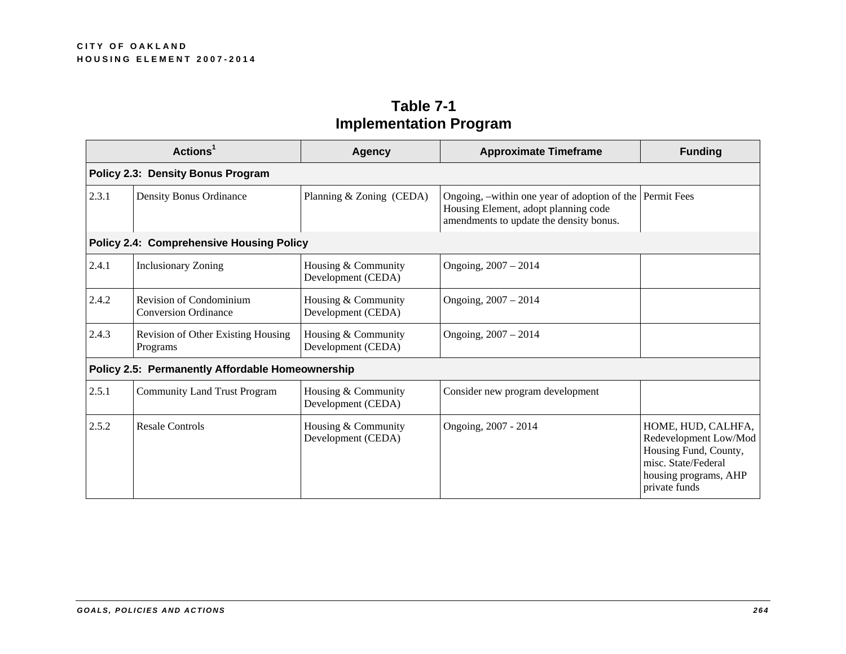|       | Actions <sup>1</sup>                                          | Agency                                    | <b>Approximate Timeframe</b>                                                                                                                | <b>Funding</b>                                                                                                                        |
|-------|---------------------------------------------------------------|-------------------------------------------|---------------------------------------------------------------------------------------------------------------------------------------------|---------------------------------------------------------------------------------------------------------------------------------------|
|       | Policy 2.3: Density Bonus Program                             |                                           |                                                                                                                                             |                                                                                                                                       |
| 2.3.1 | Density Bonus Ordinance                                       | Planning & Zoning (CEDA)                  | Ongoing, -within one year of adoption of the Permit Fees<br>Housing Element, adopt planning code<br>amendments to update the density bonus. |                                                                                                                                       |
|       | Policy 2.4: Comprehensive Housing Policy                      |                                           |                                                                                                                                             |                                                                                                                                       |
| 2.4.1 | <b>Inclusionary Zoning</b>                                    | Housing & Community<br>Development (CEDA) | Ongoing, 2007 - 2014                                                                                                                        |                                                                                                                                       |
| 2.4.2 | <b>Revision of Condominium</b><br><b>Conversion Ordinance</b> | Housing & Community<br>Development (CEDA) | Ongoing, 2007 - 2014                                                                                                                        |                                                                                                                                       |
| 2.4.3 | Revision of Other Existing Housing<br>Programs                | Housing & Community<br>Development (CEDA) | Ongoing, 2007 - 2014                                                                                                                        |                                                                                                                                       |
|       | Policy 2.5: Permanently Affordable Homeownership              |                                           |                                                                                                                                             |                                                                                                                                       |
| 2.5.1 | <b>Community Land Trust Program</b>                           | Housing & Community<br>Development (CEDA) | Consider new program development                                                                                                            |                                                                                                                                       |
| 2.5.2 | <b>Resale Controls</b>                                        | Housing & Community<br>Development (CEDA) | Ongoing, 2007 - 2014                                                                                                                        | HOME, HUD, CALHFA,<br>Redevelopment Low/Mod<br>Housing Fund, County,<br>misc. State/Federal<br>housing programs, AHP<br>private funds |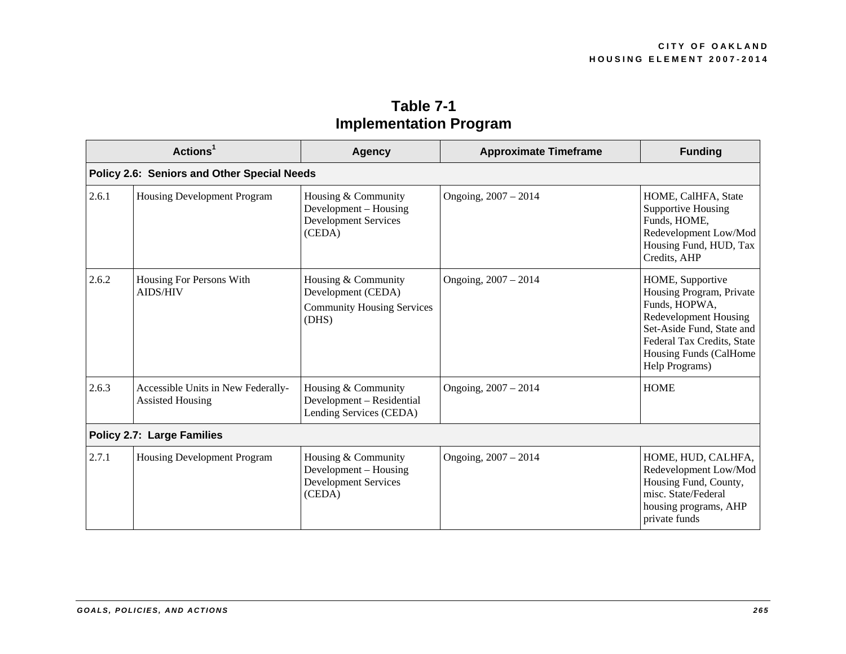|       | Actions <sup>1</sup>                                          | Agency                                                                                  | <b>Approximate Timeframe</b> | <b>Funding</b>                                                                                                                                                                                |  |  |
|-------|---------------------------------------------------------------|-----------------------------------------------------------------------------------------|------------------------------|-----------------------------------------------------------------------------------------------------------------------------------------------------------------------------------------------|--|--|
|       | Policy 2.6: Seniors and Other Special Needs                   |                                                                                         |                              |                                                                                                                                                                                               |  |  |
| 2.6.1 | <b>Housing Development Program</b>                            | Housing & Community<br>Development – Housing<br><b>Development Services</b><br>(CEDA)   | Ongoing, 2007 - 2014         | HOME, CalHFA, State<br><b>Supportive Housing</b><br>Funds, HOME,<br>Redevelopment Low/Mod<br>Housing Fund, HUD, Tax<br>Credits, AHP                                                           |  |  |
| 2.6.2 | Housing For Persons With<br><b>AIDS/HIV</b>                   | Housing & Community<br>Development (CEDA)<br><b>Community Housing Services</b><br>(DHS) | Ongoing, 2007 - 2014         | HOME, Supportive<br>Housing Program, Private<br>Funds, HOPWA,<br>Redevelopment Housing<br>Set-Aside Fund, State and<br>Federal Tax Credits, State<br>Housing Funds (CalHome<br>Help Programs) |  |  |
| 2.6.3 | Accessible Units in New Federally-<br><b>Assisted Housing</b> | Housing & Community<br>Development - Residential<br>Lending Services (CEDA)             | Ongoing, 2007 - 2014         | <b>HOME</b>                                                                                                                                                                                   |  |  |
|       | <b>Policy 2.7: Large Families</b>                             |                                                                                         |                              |                                                                                                                                                                                               |  |  |
| 2.7.1 | Housing Development Program                                   | Housing & Community<br>Development – Housing<br><b>Development Services</b><br>(CEDA)   | Ongoing, 2007 - 2014         | HOME, HUD, CALHFA,<br>Redevelopment Low/Mod<br>Housing Fund, County,<br>misc. State/Federal<br>housing programs, AHP<br>private funds                                                         |  |  |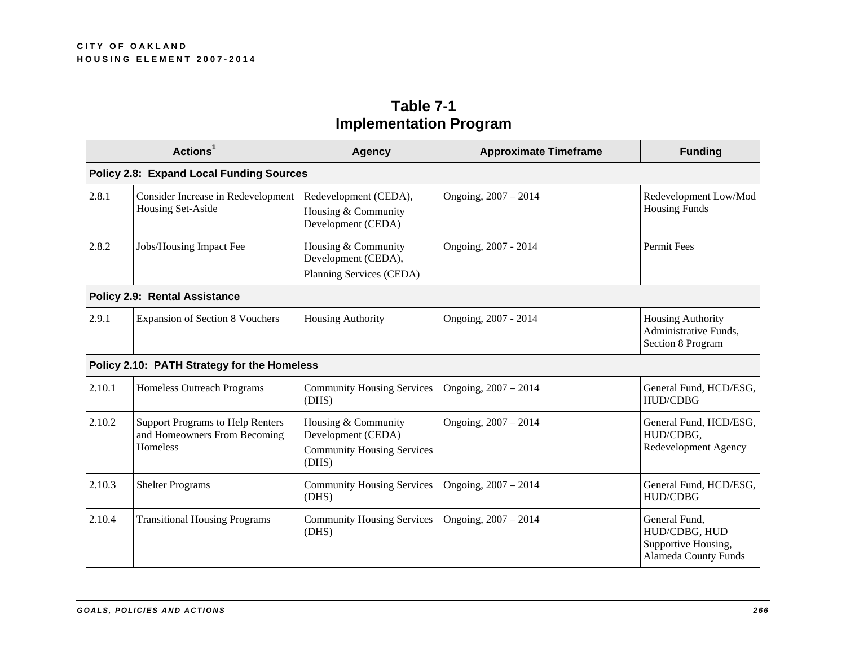|        | Actions <sup>1</sup>                                                                       | <b>Agency</b>                                                                           | <b>Approximate Timeframe</b> | <b>Funding</b>                                                                |
|--------|--------------------------------------------------------------------------------------------|-----------------------------------------------------------------------------------------|------------------------------|-------------------------------------------------------------------------------|
|        | <b>Policy 2.8: Expand Local Funding Sources</b>                                            |                                                                                         |                              |                                                                               |
| 2.8.1  | Consider Increase in Redevelopment<br>Housing Set-Aside                                    | Redevelopment (CEDA),<br>Housing & Community<br>Development (CEDA)                      | Ongoing, 2007 - 2014         | Redevelopment Low/Mod<br><b>Housing Funds</b>                                 |
| 2.8.2  | Jobs/Housing Impact Fee                                                                    | Housing & Community<br>Development (CEDA),<br>Planning Services (CEDA)                  | Ongoing, 2007 - 2014         | <b>Permit Fees</b>                                                            |
|        | <b>Policy 2.9: Rental Assistance</b>                                                       |                                                                                         |                              |                                                                               |
| 2.9.1  | <b>Expansion of Section 8 Vouchers</b>                                                     | <b>Housing Authority</b>                                                                | Ongoing, 2007 - 2014         | <b>Housing Authority</b><br>Administrative Funds,<br>Section 8 Program        |
|        | Policy 2.10: PATH Strategy for the Homeless                                                |                                                                                         |                              |                                                                               |
| 2.10.1 | Homeless Outreach Programs                                                                 | <b>Community Housing Services</b><br>(DHS)                                              | Ongoing, 2007 - 2014         | General Fund, HCD/ESG,<br>HUD/CDBG                                            |
| 2.10.2 | <b>Support Programs to Help Renters</b><br>and Homeowners From Becoming<br><b>Homeless</b> | Housing & Community<br>Development (CEDA)<br><b>Community Housing Services</b><br>(DHS) | Ongoing, 2007 - 2014         | General Fund, HCD/ESG,<br>HUD/CDBG,<br>Redevelopment Agency                   |
| 2.10.3 | <b>Shelter Programs</b>                                                                    | <b>Community Housing Services</b><br>(DHS)                                              | Ongoing, 2007 - 2014         | General Fund, HCD/ESG,<br>HUD/CDBG                                            |
| 2.10.4 | <b>Transitional Housing Programs</b>                                                       | <b>Community Housing Services</b><br>(DHS)                                              | Ongoing, 2007 - 2014         | General Fund,<br>HUD/CDBG, HUD<br>Supportive Housing,<br>Alameda County Funds |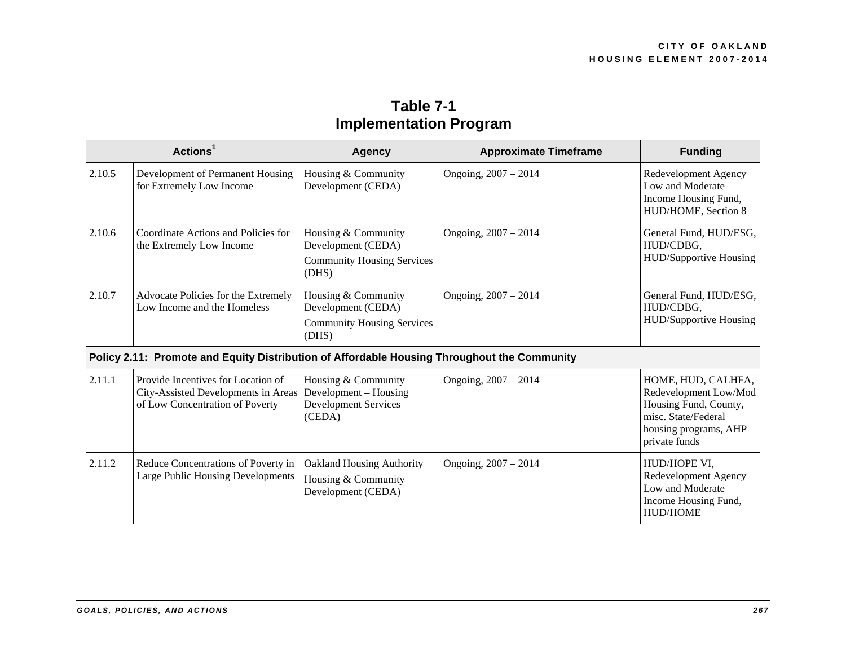| Table 7-1                     |
|-------------------------------|
| <b>Implementation Program</b> |

|        | Actions <sup>1</sup>                                                                                         | <b>Agency</b>                                                                           | <b>Approximate Timeframe</b> | <b>Funding</b>                                                                                                                        |
|--------|--------------------------------------------------------------------------------------------------------------|-----------------------------------------------------------------------------------------|------------------------------|---------------------------------------------------------------------------------------------------------------------------------------|
| 2.10.5 | Development of Permanent Housing<br>for Extremely Low Income                                                 | Housing & Community<br>Development (CEDA)                                               | Ongoing, 2007 - 2014         | Redevelopment Agency<br>Low and Moderate<br>Income Housing Fund,<br>HUD/HOME, Section 8                                               |
| 2.10.6 | Coordinate Actions and Policies for<br>the Extremely Low Income                                              | Housing & Community<br>Development (CEDA)<br><b>Community Housing Services</b><br>(DHS) | Ongoing, 2007 - 2014         | General Fund, HUD/ESG,<br>HUD/CDBG,<br>HUD/Supportive Housing                                                                         |
| 2.10.7 | Advocate Policies for the Extremely<br>Low Income and the Homeless                                           | Housing & Community<br>Development (CEDA)<br><b>Community Housing Services</b><br>(DHS) | Ongoing, 2007 - 2014         | General Fund, HUD/ESG,<br>HUD/CDBG,<br>HUD/Supportive Housing                                                                         |
|        | Policy 2.11: Promote and Equity Distribution of Affordable Housing Throughout the Community                  |                                                                                         |                              |                                                                                                                                       |
| 2.11.1 | Provide Incentives for Location of<br>City-Assisted Developments in Areas<br>of Low Concentration of Poverty | Housing & Community<br>Development - Housing<br><b>Development Services</b><br>(CEDA)   | Ongoing, 2007 - 2014         | HOME, HUD, CALHFA,<br>Redevelopment Low/Mod<br>Housing Fund, County,<br>misc. State/Federal<br>housing programs, AHP<br>private funds |
| 2.11.2 | Reduce Concentrations of Poverty in<br>Large Public Housing Developments                                     | <b>Oakland Housing Authority</b><br>Housing & Community<br>Development (CEDA)           | Ongoing, 2007 - 2014         | HUD/HOPE VI,<br>Redevelopment Agency<br>Low and Moderate<br>Income Housing Fund,<br><b>HUD/HOME</b>                                   |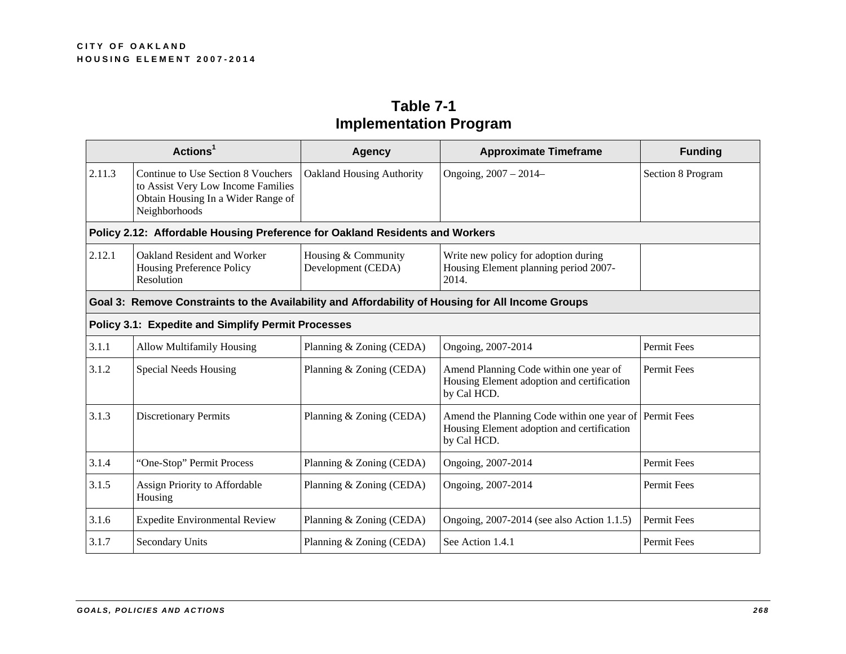|        | Actions <sup>1</sup>                                                                                                            | <b>Agency</b>                             | <b>Approximate Timeframe</b>                                                                                        | <b>Funding</b>     |
|--------|---------------------------------------------------------------------------------------------------------------------------------|-------------------------------------------|---------------------------------------------------------------------------------------------------------------------|--------------------|
| 2.11.3 | Continue to Use Section 8 Vouchers<br>to Assist Very Low Income Families<br>Obtain Housing In a Wider Range of<br>Neighborhoods | Oakland Housing Authority                 | Ongoing, 2007 - 2014-                                                                                               | Section 8 Program  |
|        | Policy 2.12: Affordable Housing Preference for Oakland Residents and Workers                                                    |                                           |                                                                                                                     |                    |
| 2.12.1 | Oakland Resident and Worker<br>Housing Preference Policy<br>Resolution                                                          | Housing & Community<br>Development (CEDA) | Write new policy for adoption during<br>Housing Element planning period 2007-<br>2014.                              |                    |
|        | Goal 3: Remove Constraints to the Availability and Affordability of Housing for All Income Groups                               |                                           |                                                                                                                     |                    |
|        | <b>Policy 3.1: Expedite and Simplify Permit Processes</b>                                                                       |                                           |                                                                                                                     |                    |
| 3.1.1  | <b>Allow Multifamily Housing</b>                                                                                                | Planning & Zoning (CEDA)                  | Ongoing, 2007-2014                                                                                                  | Permit Fees        |
| 3.1.2  | <b>Special Needs Housing</b>                                                                                                    | Planning & Zoning (CEDA)                  | Amend Planning Code within one year of<br>Housing Element adoption and certification<br>by Cal HCD.                 | Permit Fees        |
| 3.1.3  | <b>Discretionary Permits</b>                                                                                                    | Planning & Zoning (CEDA)                  | Amend the Planning Code within one year of Permit Fees<br>Housing Element adoption and certification<br>by Cal HCD. |                    |
| 3.1.4  | "One-Stop" Permit Process                                                                                                       | Planning & Zoning (CEDA)                  | Ongoing, 2007-2014                                                                                                  | Permit Fees        |
| 3.1.5  | Assign Priority to Affordable<br>Housing                                                                                        | Planning & Zoning (CEDA)                  | Ongoing, 2007-2014                                                                                                  | Permit Fees        |
| 3.1.6  | <b>Expedite Environmental Review</b>                                                                                            | Planning & Zoning (CEDA)                  | Ongoing, 2007-2014 (see also Action 1.1.5)                                                                          | Permit Fees        |
| 3.1.7  | <b>Secondary Units</b>                                                                                                          | Planning & Zoning (CEDA)                  | See Action 1.4.1                                                                                                    | <b>Permit Fees</b> |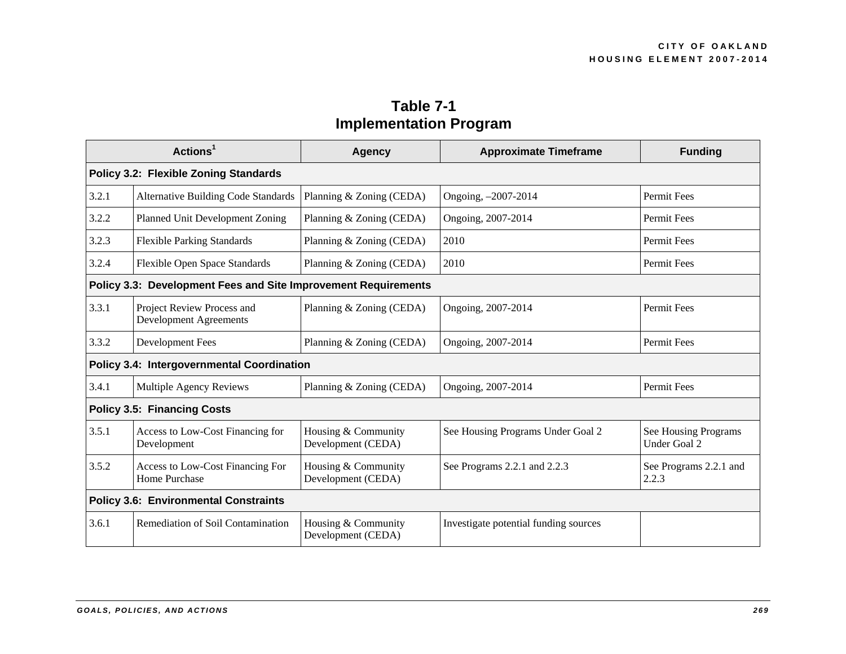|       | Actions <sup>1</sup>                                           | Agency                                    | <b>Approximate Timeframe</b>          | <b>Funding</b>                              |  |
|-------|----------------------------------------------------------------|-------------------------------------------|---------------------------------------|---------------------------------------------|--|
|       | Policy 3.2: Flexible Zoning Standards                          |                                           |                                       |                                             |  |
| 3.2.1 | <b>Alternative Building Code Standards</b>                     | Planning & Zoning (CEDA)                  | Ongoing, -2007-2014                   | Permit Fees                                 |  |
| 3.2.2 | Planned Unit Development Zoning                                | Planning & Zoning (CEDA)                  | Ongoing, 2007-2014                    | <b>Permit Fees</b>                          |  |
| 3.2.3 | <b>Flexible Parking Standards</b>                              | Planning & Zoning (CEDA)                  | 2010                                  | Permit Fees                                 |  |
| 3.2.4 | <b>Flexible Open Space Standards</b>                           | Planning & Zoning (CEDA)                  | 2010                                  | <b>Permit Fees</b>                          |  |
|       | Policy 3.3: Development Fees and Site Improvement Requirements |                                           |                                       |                                             |  |
| 3.3.1 | Project Review Process and<br><b>Development Agreements</b>    | Planning & Zoning (CEDA)                  | Ongoing, 2007-2014                    | <b>Permit Fees</b>                          |  |
| 3.3.2 | Development Fees                                               | Planning & Zoning (CEDA)                  | Ongoing, 2007-2014                    | Permit Fees                                 |  |
|       | Policy 3.4: Intergovernmental Coordination                     |                                           |                                       |                                             |  |
| 3.4.1 | Multiple Agency Reviews                                        | Planning & Zoning (CEDA)                  | Ongoing, 2007-2014                    | Permit Fees                                 |  |
|       | <b>Policy 3.5: Financing Costs</b>                             |                                           |                                       |                                             |  |
| 3.5.1 | Access to Low-Cost Financing for<br>Development                | Housing & Community<br>Development (CEDA) | See Housing Programs Under Goal 2     | See Housing Programs<br><b>Under Goal 2</b> |  |
| 3.5.2 | Access to Low-Cost Financing For<br>Home Purchase              | Housing & Community<br>Development (CEDA) | See Programs 2.2.1 and 2.2.3          | See Programs 2.2.1 and<br>2.2.3             |  |
|       | <b>Policy 3.6: Environmental Constraints</b>                   |                                           |                                       |                                             |  |
| 3.6.1 | Remediation of Soil Contamination                              | Housing & Community<br>Development (CEDA) | Investigate potential funding sources |                                             |  |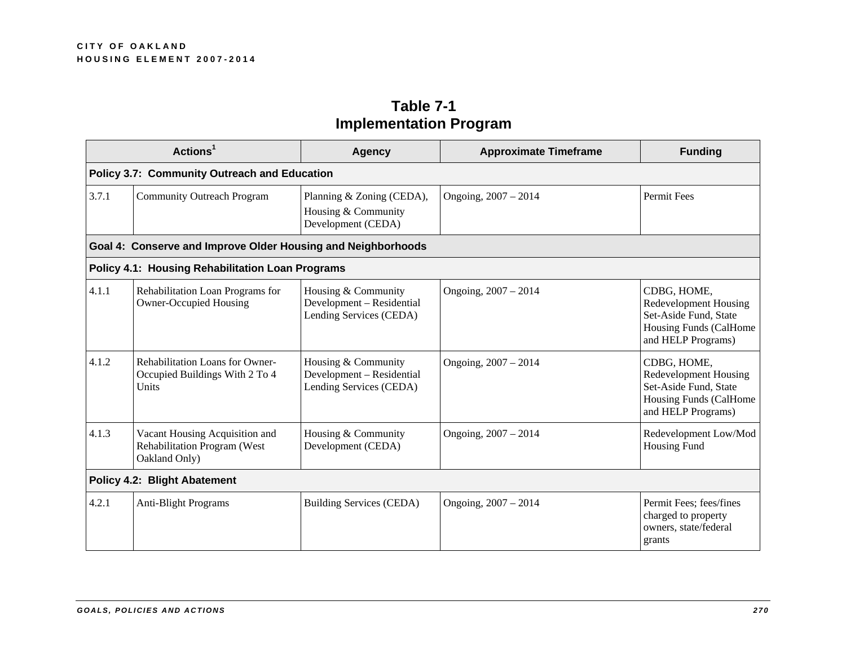|       | Actions <sup>1</sup>                                                            | Agency                                                                      | <b>Approximate Timeframe</b> | <b>Funding</b>                                                                                                       |  |  |
|-------|---------------------------------------------------------------------------------|-----------------------------------------------------------------------------|------------------------------|----------------------------------------------------------------------------------------------------------------------|--|--|
|       | Policy 3.7: Community Outreach and Education                                    |                                                                             |                              |                                                                                                                      |  |  |
| 3.7.1 | <b>Community Outreach Program</b>                                               | Planning & Zoning (CEDA),<br>Housing & Community<br>Development (CEDA)      | Ongoing, 2007 - 2014         | <b>Permit Fees</b>                                                                                                   |  |  |
|       | Goal 4: Conserve and Improve Older Housing and Neighborhoods                    |                                                                             |                              |                                                                                                                      |  |  |
|       | Policy 4.1: Housing Rehabilitation Loan Programs                                |                                                                             |                              |                                                                                                                      |  |  |
| 4.1.1 | Rehabilitation Loan Programs for<br><b>Owner-Occupied Housing</b>               | Housing & Community<br>Development - Residential<br>Lending Services (CEDA) | Ongoing, 2007 - 2014         | CDBG, HOME,<br><b>Redevelopment Housing</b><br>Set-Aside Fund, State<br>Housing Funds (CalHome<br>and HELP Programs) |  |  |
| 4.1.2 | Rehabilitation Loans for Owner-<br>Occupied Buildings With 2 To 4<br>Units      | Housing & Community<br>Development - Residential<br>Lending Services (CEDA) | Ongoing, 2007 - 2014         | CDBG, HOME,<br><b>Redevelopment Housing</b><br>Set-Aside Fund, State<br>Housing Funds (CalHome<br>and HELP Programs) |  |  |
| 4.1.3 | Vacant Housing Acquisition and<br>Rehabilitation Program (West<br>Oakland Only) | Housing & Community<br>Development (CEDA)                                   | Ongoing, 2007 - 2014         | Redevelopment Low/Mod<br><b>Housing Fund</b>                                                                         |  |  |
|       | Policy 4.2: Blight Abatement                                                    |                                                                             |                              |                                                                                                                      |  |  |
| 4.2.1 | <b>Anti-Blight Programs</b>                                                     | <b>Building Services (CEDA)</b>                                             | Ongoing, 2007 - 2014         | Permit Fees; fees/fines<br>charged to property<br>owners, state/federal<br>grants                                    |  |  |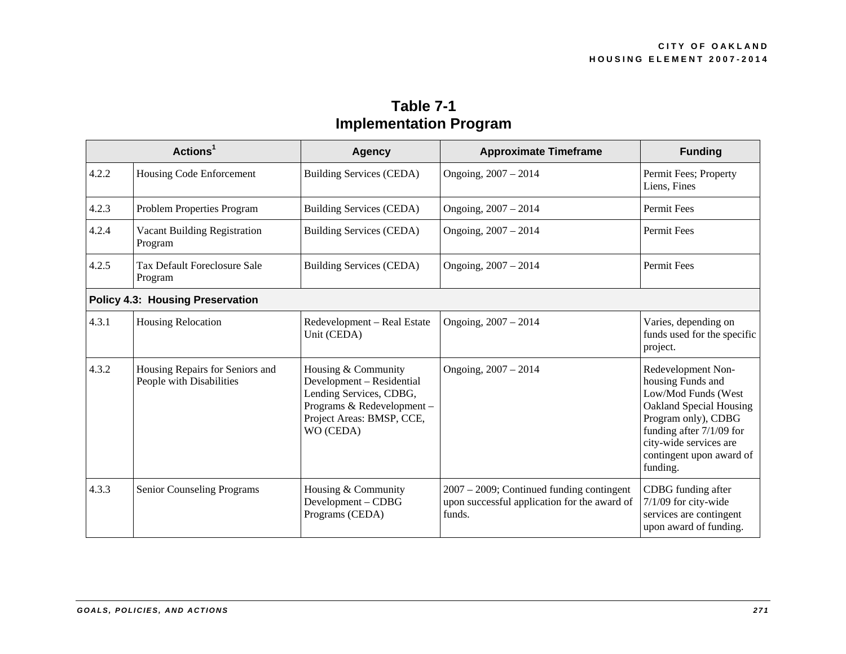| Table 7-1                     |
|-------------------------------|
| <b>Implementation Program</b> |

|       | Actions <sup>1</sup>                                        | <b>Agency</b>                                                                                                                                      | <b>Approximate Timeframe</b>                                                                           | <b>Funding</b>                                                                                                                                                                                                          |
|-------|-------------------------------------------------------------|----------------------------------------------------------------------------------------------------------------------------------------------------|--------------------------------------------------------------------------------------------------------|-------------------------------------------------------------------------------------------------------------------------------------------------------------------------------------------------------------------------|
| 4.2.2 | Housing Code Enforcement                                    | <b>Building Services (CEDA)</b>                                                                                                                    | Ongoing, 2007 - 2014                                                                                   | Permit Fees; Property<br>Liens, Fines                                                                                                                                                                                   |
| 4.2.3 | Problem Properties Program                                  | <b>Building Services (CEDA)</b>                                                                                                                    | Ongoing, 2007 - 2014                                                                                   | Permit Fees                                                                                                                                                                                                             |
| 4.2.4 | Vacant Building Registration<br>Program                     | <b>Building Services (CEDA)</b>                                                                                                                    | Ongoing, 2007 - 2014                                                                                   | Permit Fees                                                                                                                                                                                                             |
| 4.2.5 | Tax Default Foreclosure Sale<br>Program                     | <b>Building Services (CEDA)</b>                                                                                                                    | Ongoing, 2007 - 2014                                                                                   | Permit Fees                                                                                                                                                                                                             |
|       | <b>Policy 4.3: Housing Preservation</b>                     |                                                                                                                                                    |                                                                                                        |                                                                                                                                                                                                                         |
| 4.3.1 | <b>Housing Relocation</b>                                   | Redevelopment - Real Estate<br>Unit (CEDA)                                                                                                         | Ongoing, 2007 - 2014                                                                                   | Varies, depending on<br>funds used for the specific<br>project.                                                                                                                                                         |
| 4.3.2 | Housing Repairs for Seniors and<br>People with Disabilities | Housing & Community<br>Development - Residential<br>Lending Services, CDBG,<br>Programs & Redevelopment-<br>Project Areas: BMSP, CCE,<br>WO (CEDA) | Ongoing, 2007 - 2014                                                                                   | Redevelopment Non-<br>housing Funds and<br>Low/Mod Funds (West<br><b>Oakland Special Housing</b><br>Program only), CDBG<br>funding after $7/1/09$ for<br>city-wide services are<br>contingent upon award of<br>funding. |
| 4.3.3 | Senior Counseling Programs                                  | Housing & Community<br>Development - CDBG<br>Programs (CEDA)                                                                                       | $2007 - 2009$ ; Continued funding contingent<br>upon successful application for the award of<br>funds. | CDBG funding after<br>7/1/09 for city-wide<br>services are contingent<br>upon award of funding.                                                                                                                         |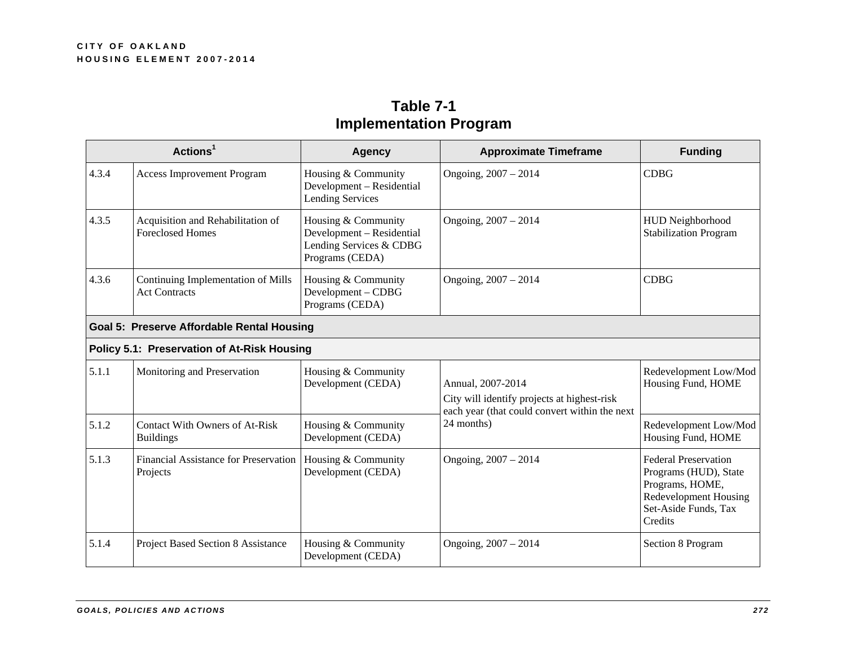| Table 7-1                     |
|-------------------------------|
| <b>Implementation Program</b> |

|       | Actions <sup>1</sup>                                         | <b>Agency</b>                                                                                  | <b>Approximate Timeframe</b>                                                                                                    | <b>Funding</b>                                                                                                                      |  |  |
|-------|--------------------------------------------------------------|------------------------------------------------------------------------------------------------|---------------------------------------------------------------------------------------------------------------------------------|-------------------------------------------------------------------------------------------------------------------------------------|--|--|
| 4.3.4 | <b>Access Improvement Program</b>                            | Housing & Community<br>Development - Residential<br><b>Lending Services</b>                    | Ongoing, 2007 - 2014                                                                                                            | <b>CDBG</b>                                                                                                                         |  |  |
| 4.3.5 | Acquisition and Rehabilitation of<br><b>Foreclosed Homes</b> | Housing & Community<br>Development - Residential<br>Lending Services & CDBG<br>Programs (CEDA) | Ongoing, 2007 - 2014                                                                                                            | HUD Neighborhood<br><b>Stabilization Program</b>                                                                                    |  |  |
| 4.3.6 | Continuing Implementation of Mills<br><b>Act Contracts</b>   | Housing & Community<br>Development - CDBG<br>Programs (CEDA)                                   | Ongoing, 2007 - 2014                                                                                                            | <b>CDBG</b>                                                                                                                         |  |  |
|       | Goal 5: Preserve Affordable Rental Housing                   |                                                                                                |                                                                                                                                 |                                                                                                                                     |  |  |
|       | Policy 5.1: Preservation of At-Risk Housing                  |                                                                                                |                                                                                                                                 |                                                                                                                                     |  |  |
| 5.1.1 | Monitoring and Preservation                                  | Housing & Community<br>Development (CEDA)                                                      | Annual, 2007-2014<br>City will identify projects at highest-risk<br>each year (that could convert within the next<br>24 months) | Redevelopment Low/Mod<br>Housing Fund, HOME                                                                                         |  |  |
| 5.1.2 | <b>Contact With Owners of At-Risk</b><br><b>Buildings</b>    | Housing & Community<br>Development (CEDA)                                                      |                                                                                                                                 | Redevelopment Low/Mod<br>Housing Fund, HOME                                                                                         |  |  |
| 5.1.3 | Financial Assistance for Preservation<br>Projects            | Housing & Community<br>Development (CEDA)                                                      | Ongoing, 2007 - 2014                                                                                                            | <b>Federal Preservation</b><br>Programs (HUD), State<br>Programs, HOME,<br>Redevelopment Housing<br>Set-Aside Funds, Tax<br>Credits |  |  |
| 5.1.4 | Project Based Section 8 Assistance                           | Housing & Community<br>Development (CEDA)                                                      | Ongoing, 2007 - 2014                                                                                                            | Section 8 Program                                                                                                                   |  |  |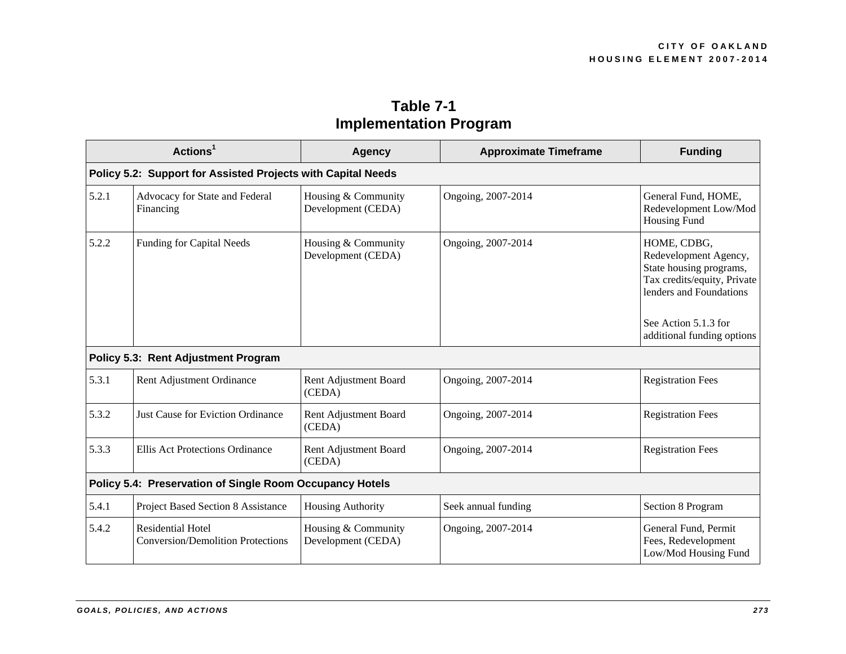| Table 7-1                     |
|-------------------------------|
| <b>Implementation Program</b> |

| Actions <sup>1</sup> |                                                                      | <b>Agency</b>                             | <b>Approximate Timeframe</b> | <b>Funding</b>                                                                                                            |
|----------------------|----------------------------------------------------------------------|-------------------------------------------|------------------------------|---------------------------------------------------------------------------------------------------------------------------|
|                      | Policy 5.2: Support for Assisted Projects with Capital Needs         |                                           |                              |                                                                                                                           |
| 5.2.1                | Advocacy for State and Federal<br>Financing                          | Housing & Community<br>Development (CEDA) | Ongoing, 2007-2014           | General Fund, HOME,<br>Redevelopment Low/Mod<br>Housing Fund                                                              |
| 5.2.2                | Funding for Capital Needs                                            | Housing & Community<br>Development (CEDA) | Ongoing, 2007-2014           | HOME, CDBG,<br>Redevelopment Agency,<br>State housing programs,<br>Tax credits/equity, Private<br>lenders and Foundations |
|                      |                                                                      |                                           |                              | See Action 5.1.3 for<br>additional funding options                                                                        |
|                      | Policy 5.3: Rent Adjustment Program                                  |                                           |                              |                                                                                                                           |
| 5.3.1                | Rent Adjustment Ordinance                                            | Rent Adjustment Board<br>(CEDA)           | Ongoing, 2007-2014           | <b>Registration Fees</b>                                                                                                  |
| 5.3.2                | Just Cause for Eviction Ordinance                                    | Rent Adjustment Board<br>(CEDA)           | Ongoing, 2007-2014           | <b>Registration Fees</b>                                                                                                  |
| 5.3.3                | Ellis Act Protections Ordinance                                      | Rent Adjustment Board<br>(CEDA)           | Ongoing, 2007-2014           | <b>Registration Fees</b>                                                                                                  |
|                      | Policy 5.4: Preservation of Single Room Occupancy Hotels             |                                           |                              |                                                                                                                           |
| 5.4.1                | Project Based Section 8 Assistance                                   | <b>Housing Authority</b>                  | Seek annual funding          | Section 8 Program                                                                                                         |
| 5.4.2                | <b>Residential Hotel</b><br><b>Conversion/Demolition Protections</b> | Housing & Community<br>Development (CEDA) | Ongoing, 2007-2014           | General Fund, Permit<br>Fees, Redevelopment<br>Low/Mod Housing Fund                                                       |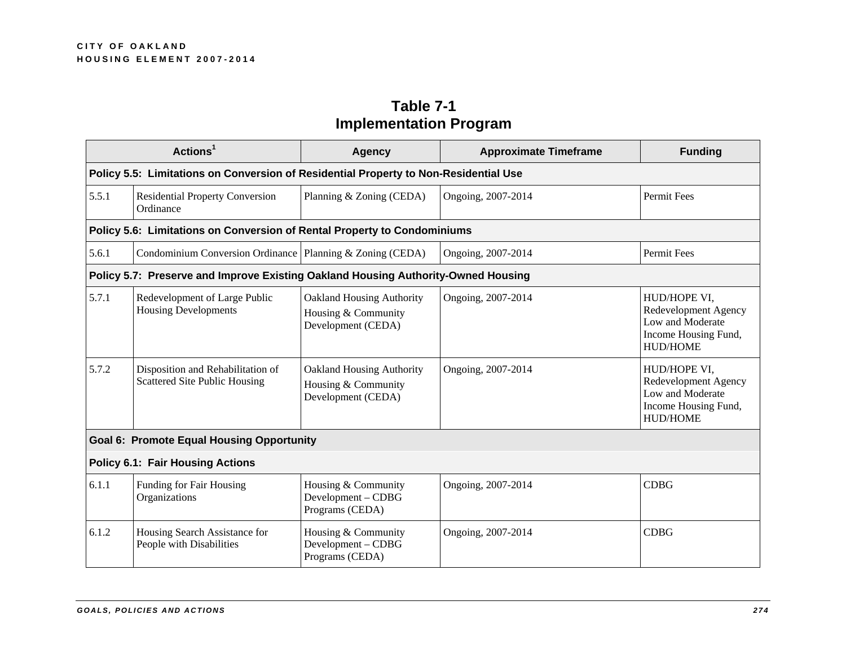|                                         | Actions <sup>1</sup>                                                                 | <b>Agency</b>                                                                 | <b>Approximate Timeframe</b> | <b>Funding</b>                                                                                      |
|-----------------------------------------|--------------------------------------------------------------------------------------|-------------------------------------------------------------------------------|------------------------------|-----------------------------------------------------------------------------------------------------|
|                                         | Policy 5.5: Limitations on Conversion of Residential Property to Non-Residential Use |                                                                               |                              |                                                                                                     |
| 5.5.1                                   | <b>Residential Property Conversion</b><br>Ordinance                                  | Planning & Zoning (CEDA)                                                      | Ongoing, 2007-2014           | Permit Fees                                                                                         |
|                                         | Policy 5.6: Limitations on Conversion of Rental Property to Condominiums             |                                                                               |                              |                                                                                                     |
| 5.6.1                                   | Condominium Conversion Ordinance Planning & Zoning (CEDA)                            |                                                                               | Ongoing, 2007-2014           | Permit Fees                                                                                         |
|                                         | Policy 5.7: Preserve and Improve Existing Oakland Housing Authority-Owned Housing    |                                                                               |                              |                                                                                                     |
| 5.7.1                                   | Redevelopment of Large Public<br><b>Housing Developments</b>                         | <b>Oakland Housing Authority</b><br>Housing & Community<br>Development (CEDA) | Ongoing, 2007-2014           | HUD/HOPE VI,<br>Redevelopment Agency<br>Low and Moderate<br>Income Housing Fund,<br><b>HUD/HOME</b> |
| 5.7.2                                   | Disposition and Rehabilitation of<br>Scattered Site Public Housing                   | <b>Oakland Housing Authority</b><br>Housing & Community<br>Development (CEDA) | Ongoing, 2007-2014           | HUD/HOPE VI,<br>Redevelopment Agency<br>Low and Moderate<br>Income Housing Fund,<br><b>HUD/HOME</b> |
|                                         | <b>Goal 6: Promote Equal Housing Opportunity</b>                                     |                                                                               |                              |                                                                                                     |
| <b>Policy 6.1: Fair Housing Actions</b> |                                                                                      |                                                                               |                              |                                                                                                     |
| 6.1.1                                   | Funding for Fair Housing<br>Organizations                                            | Housing & Community<br>Development - CDBG<br>Programs (CEDA)                  | Ongoing, 2007-2014           | <b>CDBG</b>                                                                                         |
| 6.1.2                                   | Housing Search Assistance for<br>People with Disabilities                            | Housing & Community<br>Development - CDBG<br>Programs (CEDA)                  | Ongoing, 2007-2014           | <b>CDBG</b>                                                                                         |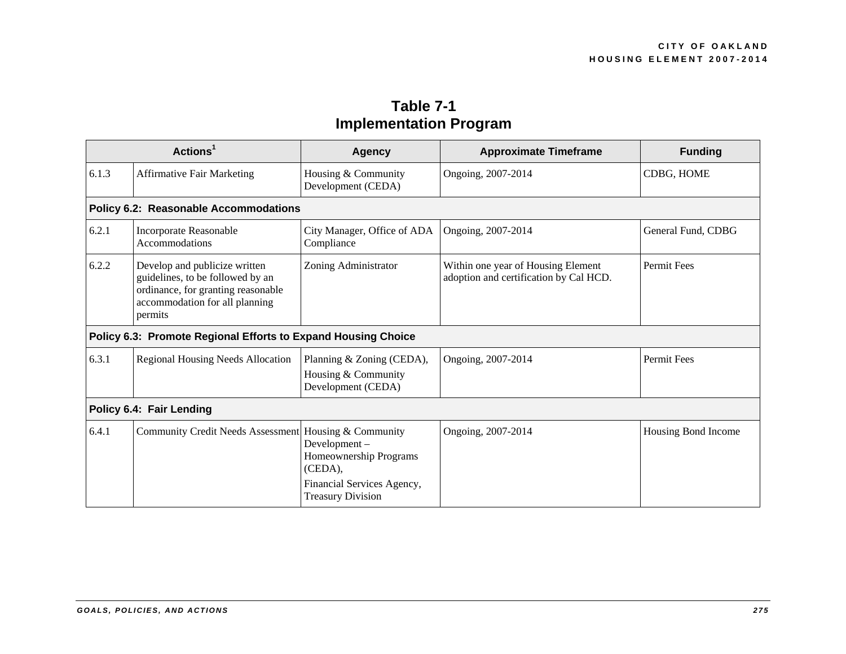| Table 7-1                     |
|-------------------------------|
| <b>Implementation Program</b> |

|       | Actions <sup>1</sup>                                                                                                                                 | <b>Agency</b>                                                                                               | <b>Approximate Timeframe</b>                                                 | <b>Funding</b>      |  |
|-------|------------------------------------------------------------------------------------------------------------------------------------------------------|-------------------------------------------------------------------------------------------------------------|------------------------------------------------------------------------------|---------------------|--|
| 6.1.3 | <b>Affirmative Fair Marketing</b>                                                                                                                    | Housing & Community<br>Development (CEDA)                                                                   | Ongoing, 2007-2014                                                           | CDBG, HOME          |  |
|       | Policy 6.2: Reasonable Accommodations                                                                                                                |                                                                                                             |                                                                              |                     |  |
| 6.2.1 | Incorporate Reasonable<br>Accommodations                                                                                                             | City Manager, Office of ADA<br>Compliance                                                                   | Ongoing, 2007-2014                                                           | General Fund, CDBG  |  |
| 6.2.2 | Develop and publicize written<br>guidelines, to be followed by an<br>ordinance, for granting reasonable<br>accommodation for all planning<br>permits | Zoning Administrator                                                                                        | Within one year of Housing Element<br>adoption and certification by Cal HCD. | <b>Permit Fees</b>  |  |
|       | Policy 6.3: Promote Regional Efforts to Expand Housing Choice                                                                                        |                                                                                                             |                                                                              |                     |  |
| 6.3.1 | Regional Housing Needs Allocation                                                                                                                    | Planning & Zoning (CEDA),<br>Housing & Community<br>Development (CEDA)                                      | Ongoing, 2007-2014                                                           | Permit Fees         |  |
|       | Policy 6.4: Fair Lending                                                                                                                             |                                                                                                             |                                                                              |                     |  |
| 6.4.1 | Community Credit Needs Assessment Housing & Community                                                                                                | Development-<br>Homeownership Programs<br>(CEDA),<br>Financial Services Agency,<br><b>Treasury Division</b> | Ongoing, 2007-2014                                                           | Housing Bond Income |  |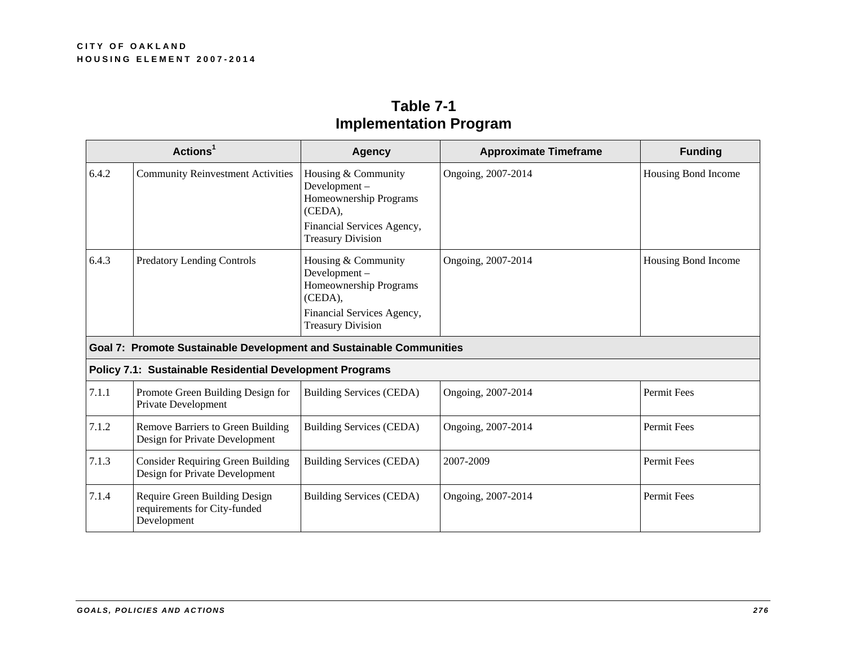| Table 7-1                     |
|-------------------------------|
| <b>Implementation Program</b> |

|       | Actions <sup>1</sup>                                                         | <b>Agency</b>                                                                                                                      | <b>Approximate Timeframe</b> | <b>Funding</b>      |  |
|-------|------------------------------------------------------------------------------|------------------------------------------------------------------------------------------------------------------------------------|------------------------------|---------------------|--|
| 6.4.2 | <b>Community Reinvestment Activities</b>                                     | Housing & Community<br>Development-<br>Homeownership Programs<br>(CEDA),<br>Financial Services Agency,<br><b>Treasury Division</b> | Ongoing, 2007-2014           | Housing Bond Income |  |
| 6.4.3 | <b>Predatory Lending Controls</b>                                            | Housing & Community<br>Development-<br>Homeownership Programs<br>(CEDA),<br>Financial Services Agency,<br><b>Treasury Division</b> | Ongoing, 2007-2014           | Housing Bond Income |  |
|       | Goal 7: Promote Sustainable Development and Sustainable Communities          |                                                                                                                                    |                              |                     |  |
|       | <b>Policy 7.1: Sustainable Residential Development Programs</b>              |                                                                                                                                    |                              |                     |  |
| 7.1.1 | Promote Green Building Design for<br>Private Development                     | Building Services (CEDA)                                                                                                           | Ongoing, 2007-2014           | Permit Fees         |  |
| 7.1.2 | Remove Barriers to Green Building<br>Design for Private Development          | <b>Building Services (CEDA)</b>                                                                                                    | Ongoing, 2007-2014           | <b>Permit Fees</b>  |  |
| 7.1.3 | <b>Consider Requiring Green Building</b><br>Design for Private Development   | <b>Building Services (CEDA)</b>                                                                                                    | 2007-2009                    | Permit Fees         |  |
| 7.1.4 | Require Green Building Design<br>requirements for City-funded<br>Development | <b>Building Services (CEDA)</b>                                                                                                    | Ongoing, 2007-2014           | Permit Fees         |  |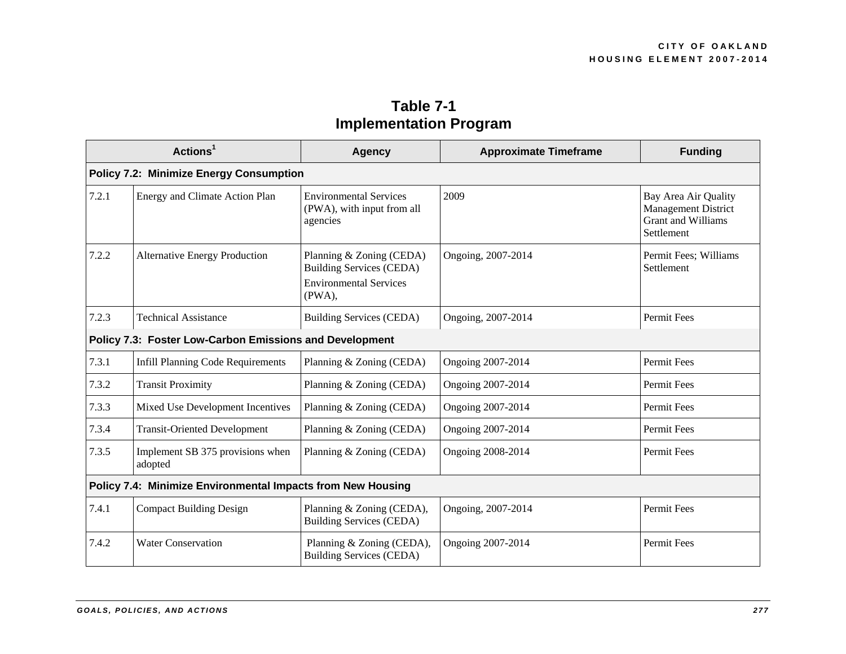| Table 7-1                     |
|-------------------------------|
| <b>Implementation Program</b> |

| Actions <sup>1</sup>                                        |                                             | <b>Agency</b>                                                                                             | <b>Approximate Timeframe</b> | <b>Funding</b>                                                                                |  |  |  |
|-------------------------------------------------------------|---------------------------------------------|-----------------------------------------------------------------------------------------------------------|------------------------------|-----------------------------------------------------------------------------------------------|--|--|--|
| <b>Policy 7.2: Minimize Energy Consumption</b>              |                                             |                                                                                                           |                              |                                                                                               |  |  |  |
| 7.2.1                                                       | Energy and Climate Action Plan              | <b>Environmental Services</b><br>(PWA), with input from all<br>agencies                                   | 2009                         | Bay Area Air Quality<br><b>Management District</b><br><b>Grant and Williams</b><br>Settlement |  |  |  |
| 7.2.2                                                       | <b>Alternative Energy Production</b>        | Planning & Zoning (CEDA)<br><b>Building Services (CEDA)</b><br><b>Environmental Services</b><br>$(PWA)$ , | Ongoing, 2007-2014           | Permit Fees; Williams<br>Settlement                                                           |  |  |  |
| 7.2.3                                                       | <b>Technical Assistance</b>                 | Building Services (CEDA)                                                                                  | Ongoing, 2007-2014           | Permit Fees                                                                                   |  |  |  |
| Policy 7.3: Foster Low-Carbon Emissions and Development     |                                             |                                                                                                           |                              |                                                                                               |  |  |  |
| 7.3.1                                                       | <b>Infill Planning Code Requirements</b>    | Planning & Zoning (CEDA)                                                                                  | Ongoing 2007-2014            | Permit Fees                                                                                   |  |  |  |
| 7.3.2                                                       | <b>Transit Proximity</b>                    | Planning & Zoning (CEDA)                                                                                  | Ongoing 2007-2014            | <b>Permit Fees</b>                                                                            |  |  |  |
| 7.3.3                                                       | Mixed Use Development Incentives            | Planning & Zoning (CEDA)                                                                                  | Ongoing 2007-2014            | Permit Fees                                                                                   |  |  |  |
| 7.3.4                                                       | <b>Transit-Oriented Development</b>         | Planning & Zoning (CEDA)                                                                                  | <b>Ongoing 2007-2014</b>     | Permit Fees                                                                                   |  |  |  |
| 7.3.5                                                       | Implement SB 375 provisions when<br>adopted | Planning & Zoning (CEDA)                                                                                  | Ongoing 2008-2014            | <b>Permit Fees</b>                                                                            |  |  |  |
| Policy 7.4: Minimize Environmental Impacts from New Housing |                                             |                                                                                                           |                              |                                                                                               |  |  |  |
| 7.4.1                                                       | <b>Compact Building Design</b>              | Planning & Zoning (CEDA),<br><b>Building Services (CEDA)</b>                                              | Ongoing, 2007-2014           | Permit Fees                                                                                   |  |  |  |
| 7.4.2                                                       | <b>Water Conservation</b>                   | Planning & Zoning (CEDA),<br><b>Building Services (CEDA)</b>                                              | <b>Ongoing 2007-2014</b>     | Permit Fees                                                                                   |  |  |  |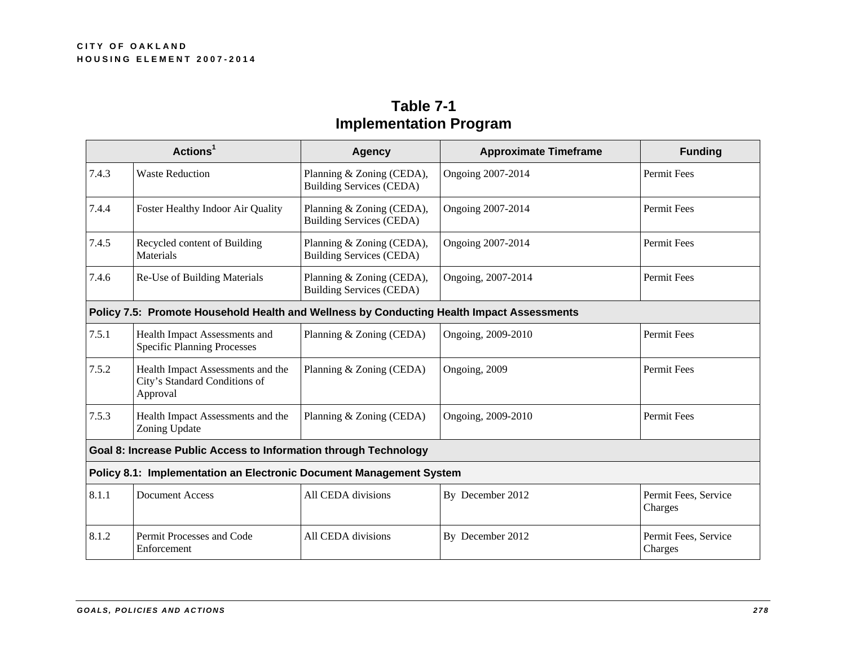| Table 7-1                     |  |  |  |
|-------------------------------|--|--|--|
| <b>Implementation Program</b> |  |  |  |

| Actions <sup>1</sup>                                                       |                                                                                           | <b>Agency</b>                                                | <b>Approximate Timeframe</b> | <b>Funding</b>                  |  |  |  |
|----------------------------------------------------------------------------|-------------------------------------------------------------------------------------------|--------------------------------------------------------------|------------------------------|---------------------------------|--|--|--|
| 7.4.3                                                                      | <b>Waste Reduction</b>                                                                    | Planning & Zoning (CEDA),<br><b>Building Services (CEDA)</b> | Ongoing 2007-2014            | Permit Fees                     |  |  |  |
| 7.4.4                                                                      | Foster Healthy Indoor Air Quality                                                         | Planning & Zoning (CEDA),<br><b>Building Services (CEDA)</b> | Ongoing 2007-2014            | Permit Fees                     |  |  |  |
| 7.4.5                                                                      | Recycled content of Building<br>Materials                                                 | Planning & Zoning (CEDA),<br><b>Building Services (CEDA)</b> | Ongoing 2007-2014            | <b>Permit Fees</b>              |  |  |  |
| 7.4.6                                                                      | Re-Use of Building Materials                                                              | Planning & Zoning (CEDA),<br><b>Building Services (CEDA)</b> | Ongoing, 2007-2014           | Permit Fees                     |  |  |  |
|                                                                            | Policy 7.5: Promote Household Health and Wellness by Conducting Health Impact Assessments |                                                              |                              |                                 |  |  |  |
| 7.5.1                                                                      | Health Impact Assessments and<br><b>Specific Planning Processes</b>                       | Planning & Zoning (CEDA)                                     | Ongoing, 2009-2010           | Permit Fees                     |  |  |  |
| 7.5.2                                                                      | Health Impact Assessments and the<br>City's Standard Conditions of<br>Approval            | Planning & Zoning (CEDA)                                     | Ongoing, 2009                | Permit Fees                     |  |  |  |
| 7.5.3                                                                      | Health Impact Assessments and the<br>Zoning Update                                        | Planning & Zoning (CEDA)                                     | Ongoing, 2009-2010           | Permit Fees                     |  |  |  |
| Goal 8: Increase Public Access to Information through Technology           |                                                                                           |                                                              |                              |                                 |  |  |  |
| <b>Policy 8.1: Implementation an Electronic Document Management System</b> |                                                                                           |                                                              |                              |                                 |  |  |  |
| 8.1.1                                                                      | <b>Document Access</b>                                                                    | All CEDA divisions                                           | By December 2012             | Permit Fees, Service<br>Charges |  |  |  |
| 8.1.2                                                                      | Permit Processes and Code<br>Enforcement                                                  | All CEDA divisions                                           | By December 2012             | Permit Fees, Service<br>Charges |  |  |  |